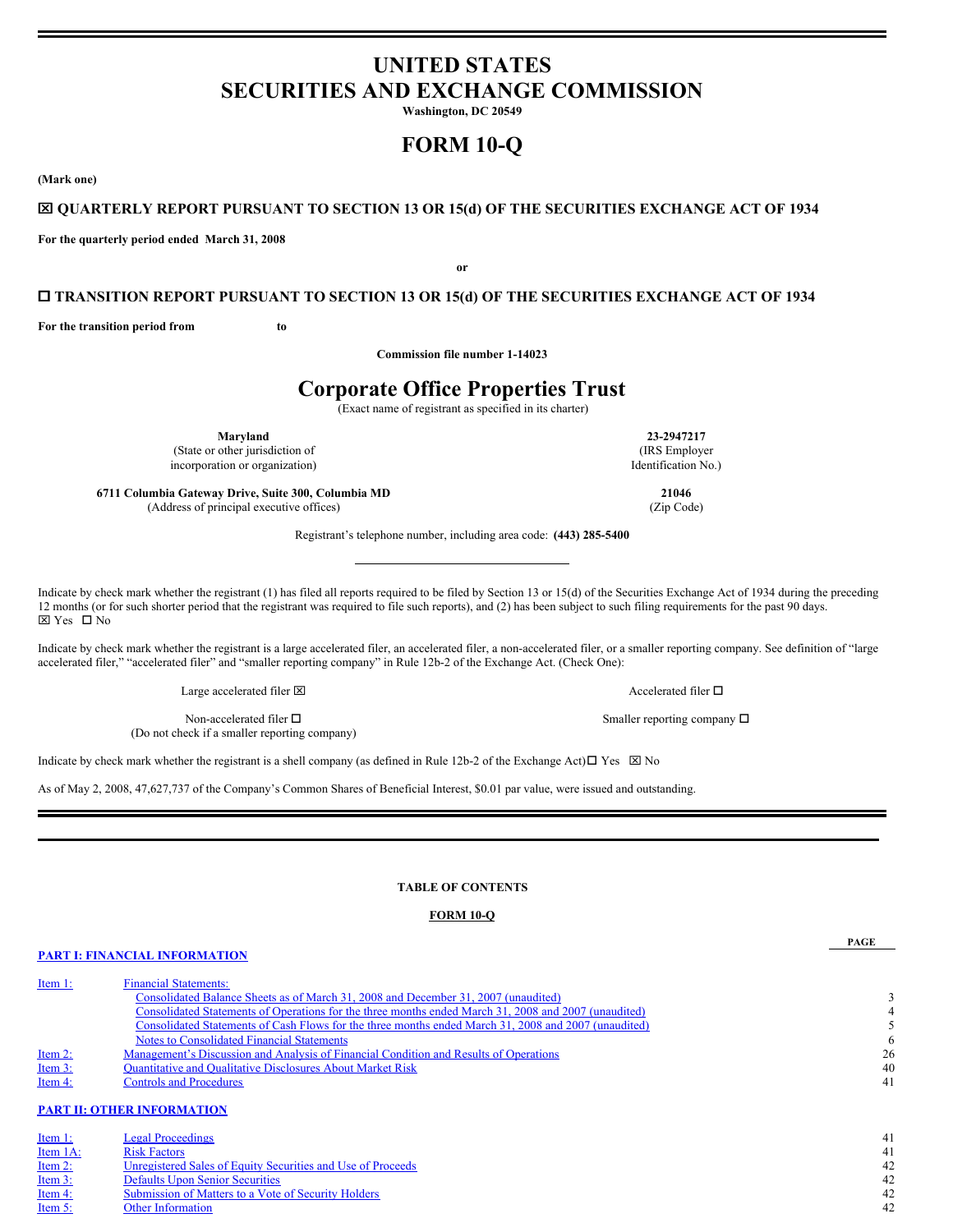# **UNITED STATES SECURITIES AND EXCHANGE COMMISSION**

**Washington, DC 20549**

# **FORM 10-Q**

**(Mark one)**

# x **QUARTERLY REPORT PURSUANT TO SECTION 13 OR 15(d) OF THE SECURITIES EXCHANGE ACT OF 1934**

**For the quarterly period ended March 31, 2008**

**or**

# o **TRANSITION REPORT PURSUANT TO SECTION 13 OR 15(d) OF THE SECURITIES EXCHANGE ACT OF 1934**

**For the transition period from to**

**Commission file number 1-14023**

# **Corporate Office Properties Trust**

(Exact name of registrant as specified in its charter)

(State or other jurisdiction of incorporation or organization)

**6711 Columbia Gateway Drive, Suite 300, Columbia MD 21046** (Address of principal executive offices) (Zip Code)

Registrant's telephone number, including area code: **(443) 285-5400**

Indicate by check mark whether the registrant (1) has filed all reports required to be filed by Section 13 or 15(d) of the Securities Exchange Act of 1934 during the preceding 12 months (or for such shorter period that the registrant was required to file such reports), and (2) has been subject to such filing requirements for the past 90 days.  $\boxtimes$  Yes  $\Box$  No

Indicate by check mark whether the registrant is a large accelerated filer, an accelerated filer, a non-accelerated filer, or a smaller reporting company. See definition of "large accelerated filer," "accelerated filer" and "smaller reporting company" in Rule 12b-2 of the Exchange Act. (Check One):

Large accelerated filer  $\boxtimes$ 

Non-accelerated filer  $\square$  Smaller reporting company  $\square$ (Do not check if a smaller reporting company)

Indicate by check mark whether the registrant is a shell company (as defined in Rule 12b-2 of the Exchange Act) $\Box$  Yes  $\boxtimes$  No

As of May 2, 2008, 47,627,737 of the Company's Common Shares of Beneficial Interest, \$0.01 par value, were issued and outstanding.

**TABLE OF CONTENTS**

### **FORM 10-Q**

# **PART I: FINANCIAL [INFORMATION](#page-1-0)**

| Item 1:    | <b>Financial Statements:</b>                                                                         |    |
|------------|------------------------------------------------------------------------------------------------------|----|
|            | Consolidated Balance Sheets as of March 31, 2008 and December 31, 2007 (unaudited)                   |    |
|            | Consolidated Statements of Operations for the three months ended March 31, 2008 and 2007 (unaudited) |    |
|            | Consolidated Statements of Cash Flows for the three months ended March 31, 2008 and 2007 (unaudited) |    |
|            | Notes to Consolidated Financial Statements                                                           | 6  |
| Item $2$ : | Management's Discussion and Analysis of Financial Condition and Results of Operations                | 26 |
| Item $3:$  | <b>Quantitative and Qualitative Disclosures About Market Risk</b>                                    | 40 |
| Item 4:    | <b>Controls and Procedures</b>                                                                       | 41 |
|            |                                                                                                      |    |

# **PART II: OTHER [INFORMATION](#page-22-0)**

| Item 1:     | <b>Legal Proceedings</b>                                    | 41 |
|-------------|-------------------------------------------------------------|----|
| Item $1A$ : | <b>Risk Factors</b>                                         | 41 |
| Item $2$ :  | Unregistered Sales of Equity Securities and Use of Proceeds | 42 |
| Item $3$ :  | <b>Defaults Upon Senior Securities</b>                      | 42 |
| Item 4:     | Submission of Matters to a Vote of Security Holders         | 42 |
| Item 5:     | <b>Other Information</b>                                    | 42 |

**Maryland 23-2947217** (IRS Employer Identification No.)

**PAGE**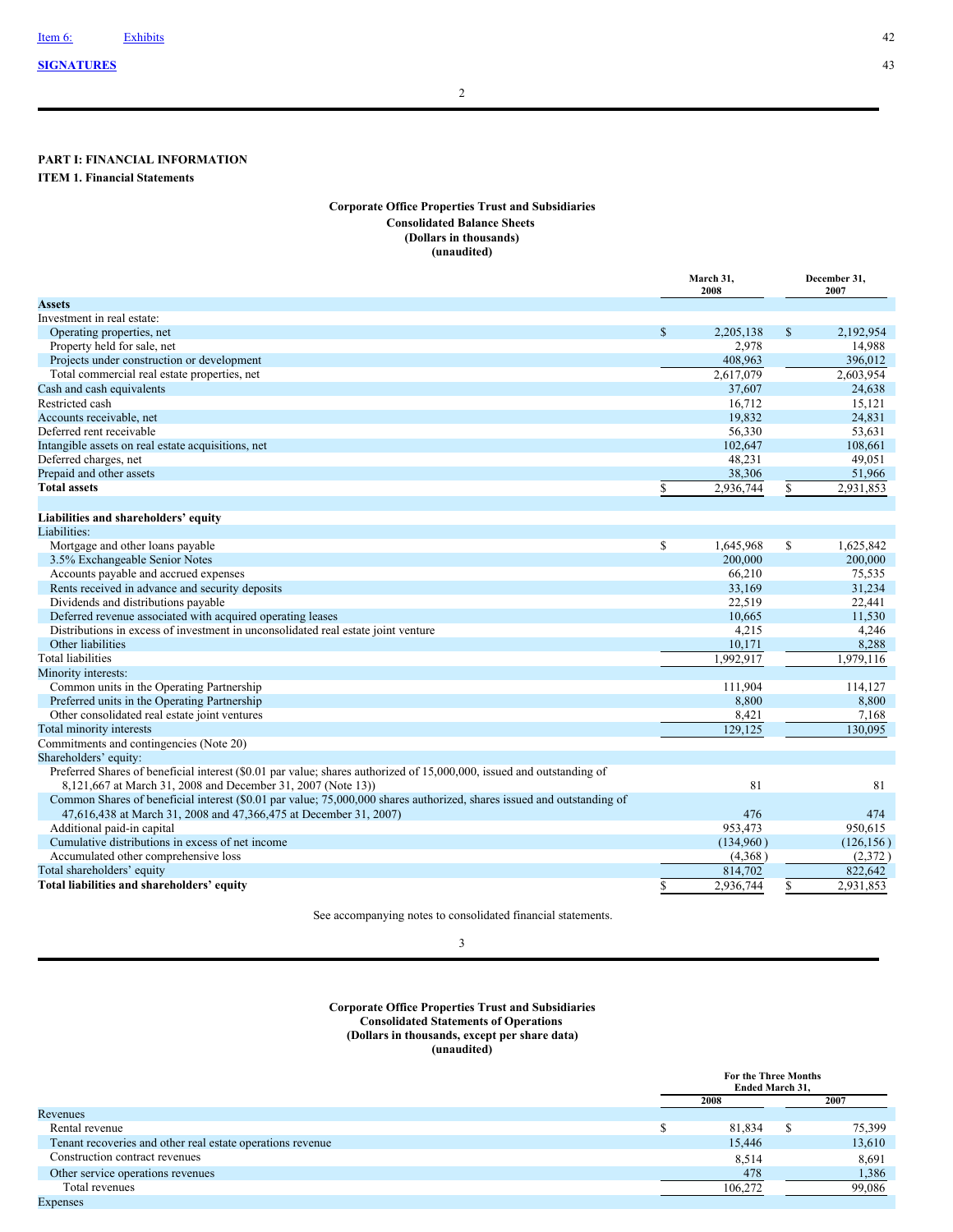<span id="page-1-2"></span>2

# **PART I: FINANCIAL INFORMATION**

**ITEM 1. Financial Statements**

# <span id="page-1-1"></span><span id="page-1-0"></span>**Corporate Office Properties Trust and Subsidiaries Consolidated Balance Sheets (Dollars in thousands) (unaudited)**

|                                                                                                                        |             | March 31,<br>2008 |    | December 31,<br>2007 |  |
|------------------------------------------------------------------------------------------------------------------------|-------------|-------------------|----|----------------------|--|
| <b>Assets</b>                                                                                                          |             |                   |    |                      |  |
| Investment in real estate:                                                                                             |             |                   |    |                      |  |
| Operating properties, net                                                                                              | $\mathbf S$ | 2,205,138         | \$ | 2,192,954            |  |
| Property held for sale, net                                                                                            |             | 2,978             |    | 14,988               |  |
| Projects under construction or development                                                                             |             | 408,963           |    | 396,012              |  |
| Total commercial real estate properties, net                                                                           |             | 2,617,079         |    | 2,603,954            |  |
| Cash and cash equivalents                                                                                              |             | 37,607            |    | 24,638               |  |
| Restricted cash                                                                                                        |             | 16,712            |    | 15,121               |  |
| Accounts receivable, net                                                                                               |             | 19,832            |    | 24,831               |  |
| Deferred rent receivable                                                                                               |             | 56,330            |    | 53,631               |  |
| Intangible assets on real estate acquisitions, net                                                                     |             | 102,647           |    | 108,661              |  |
| Deferred charges, net                                                                                                  |             | 48,231            |    | 49,051               |  |
| Prepaid and other assets                                                                                               |             | 38,306            |    | 51,966               |  |
| <b>Total assets</b>                                                                                                    | \$          | 2,936,744         | \$ | 2,931,853            |  |
|                                                                                                                        |             |                   |    |                      |  |
| Liabilities and shareholders' equity                                                                                   |             |                   |    |                      |  |
| Liabilities:                                                                                                           |             |                   |    |                      |  |
| Mortgage and other loans payable                                                                                       | \$          | 1,645,968         | \$ | 1,625,842            |  |
| 3.5% Exchangeable Senior Notes                                                                                         |             | 200,000           |    | 200,000              |  |
| Accounts payable and accrued expenses                                                                                  |             | 66,210            |    | 75,535               |  |
| Rents received in advance and security deposits                                                                        |             | 33,169            |    | 31,234               |  |
| Dividends and distributions payable                                                                                    |             | 22,519            |    | 22,441               |  |
| Deferred revenue associated with acquired operating leases                                                             |             | 10,665            |    | 11,530               |  |
| Distributions in excess of investment in unconsolidated real estate joint venture                                      |             | 4.215             |    | 4,246                |  |
| Other liabilities                                                                                                      |             | 10,171            |    | 8,288                |  |
| <b>Total liabilities</b>                                                                                               |             | 1.992.917         |    | 1,979,116            |  |
| Minority interests:                                                                                                    |             |                   |    |                      |  |
| Common units in the Operating Partnership                                                                              |             | 111,904           |    | 114,127              |  |
| Preferred units in the Operating Partnership                                                                           |             | 8,800             |    | 8,800                |  |
| Other consolidated real estate joint ventures                                                                          |             | 8,421             |    | 7,168                |  |
| Total minority interests                                                                                               |             | 129,125           |    | 130.095              |  |
| Commitments and contingencies (Note 20)                                                                                |             |                   |    |                      |  |
| Shareholders' equity:                                                                                                  |             |                   |    |                      |  |
| Preferred Shares of beneficial interest (\$0.01 par value; shares authorized of 15,000,000, issued and outstanding of  |             |                   |    |                      |  |
| 8,121,667 at March 31, 2008 and December 31, 2007 (Note 13))                                                           |             | 81                |    | 81                   |  |
| Common Shares of beneficial interest (\$0.01 par value; 75,000,000 shares authorized, shares issued and outstanding of |             |                   |    |                      |  |
| 47,616,438 at March 31, 2008 and 47,366,475 at December 31, 2007)                                                      |             | 476               |    | 474                  |  |
| Additional paid-in capital                                                                                             |             | 953,473           |    | 950.615              |  |
| Cumulative distributions in excess of net income                                                                       |             | (134,960)         |    | (126, 156)           |  |
| Accumulated other comprehensive loss                                                                                   |             | (4,368)           |    | (2,372)              |  |
| Total shareholders' equity                                                                                             |             | 814,702           |    | 822,642              |  |
| Total liabilities and shareholders' equity                                                                             | S           | 2,936,744         | \$ | 2,931,853            |  |
|                                                                                                                        |             |                   |    |                      |  |

See accompanying notes to consolidated financial statements.

# <span id="page-1-3"></span>3

### **Corporate Office Properties Trust and Subsidiaries Consolidated Statements of Operations (Dollars in thousands, except per share data) (unaudited)**

|                                                            |      | For the Three Months<br>Ended March 31, |   |        |
|------------------------------------------------------------|------|-----------------------------------------|---|--------|
|                                                            | 2008 |                                         |   | 2007   |
| Revenues                                                   |      |                                         |   |        |
| Rental revenue                                             |      | 81,834                                  | S | 75,399 |
| Tenant recoveries and other real estate operations revenue |      | 15,446                                  |   | 13,610 |
| Construction contract revenues                             |      | 8,514                                   |   | 8,691  |
| Other service operations revenues                          |      | 478                                     |   | 1,386  |
| Total revenues                                             |      | 106.272                                 |   | 99,086 |
| <b>Expenses</b>                                            |      |                                         |   |        |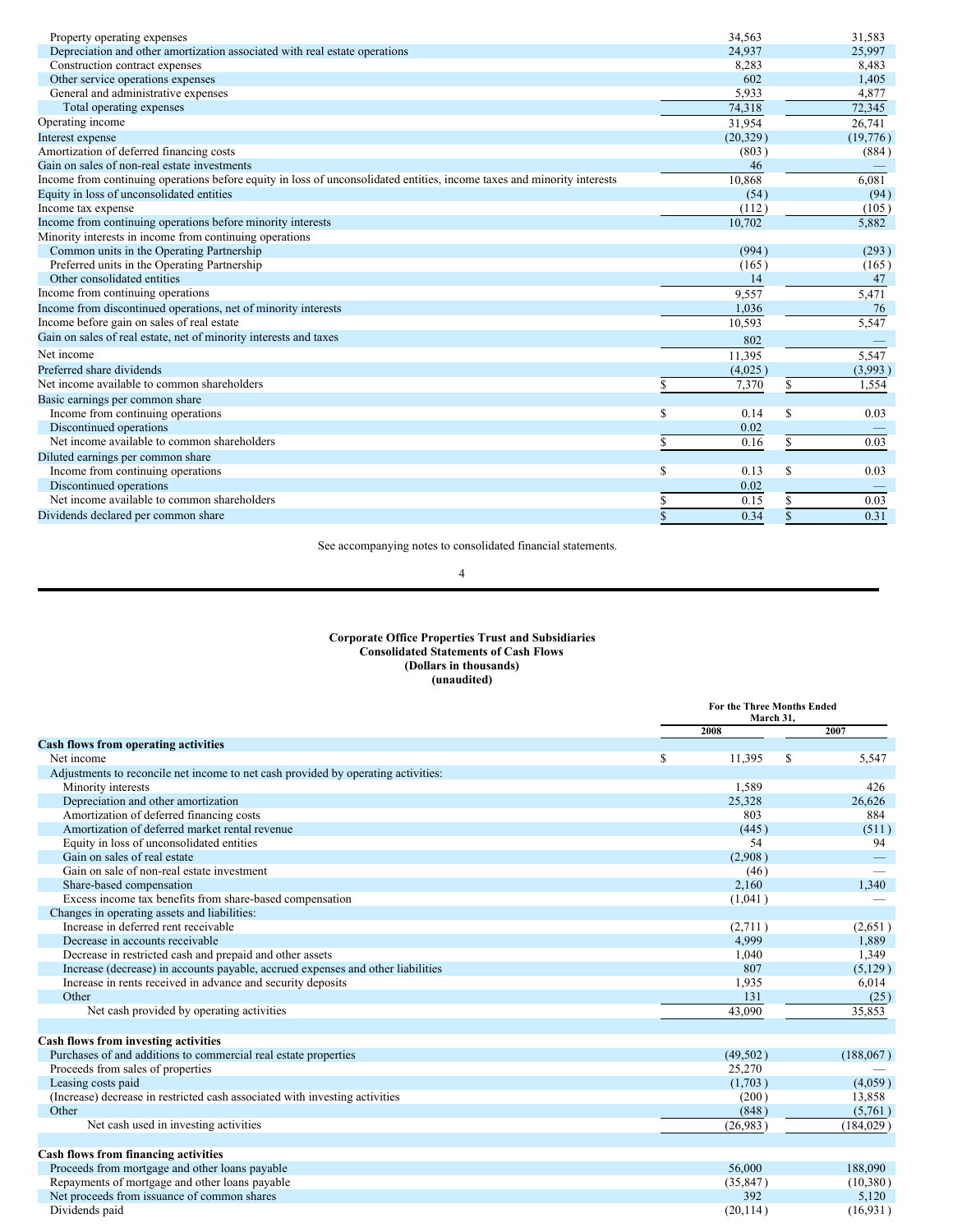| Property operating expenses                                                                                             |   | 34,563    |               | 31,583   |
|-------------------------------------------------------------------------------------------------------------------------|---|-----------|---------------|----------|
| Depreciation and other amortization associated with real estate operations                                              |   | 24,937    |               | 25,997   |
| Construction contract expenses                                                                                          |   | 8.283     |               | 8,483    |
| Other service operations expenses                                                                                       |   | 602       |               | 1,405    |
| General and administrative expenses                                                                                     |   | 5,933     |               | 4,877    |
| Total operating expenses                                                                                                |   | 74,318    |               | 72,345   |
| Operating income                                                                                                        |   | 31,954    |               | 26,741   |
| Interest expense                                                                                                        |   | (20, 329) |               | (19,776) |
| Amortization of deferred financing costs                                                                                |   | (803)     |               | (884)    |
| Gain on sales of non-real estate investments                                                                            |   | 46        |               |          |
| Income from continuing operations before equity in loss of unconsolidated entities, income taxes and minority interests |   | 10,868    |               | 6,081    |
| Equity in loss of unconsolidated entities                                                                               |   | (54)      |               | (94)     |
| Income tax expense                                                                                                      |   | (112)     |               | (105)    |
| Income from continuing operations before minority interests                                                             |   | 10,702    |               | 5,882    |
| Minority interests in income from continuing operations                                                                 |   |           |               |          |
| Common units in the Operating Partnership                                                                               |   | (994)     |               | (293)    |
| Preferred units in the Operating Partnership                                                                            |   | (165)     |               | (165)    |
| Other consolidated entities                                                                                             |   | 14        |               | 47       |
| Income from continuing operations                                                                                       |   | 9,557     |               | 5,471    |
| Income from discontinued operations, net of minority interests                                                          |   | 1,036     |               | 76       |
| Income before gain on sales of real estate                                                                              |   | 10,593    |               | 5,547    |
| Gain on sales of real estate, net of minority interests and taxes                                                       |   | 802       |               |          |
| Net income                                                                                                              |   | 11,395    |               | 5,547    |
| Preferred share dividends                                                                                               |   | (4,025)   |               | (3,993)  |
| Net income available to common shareholders                                                                             | S | 7,370     | \$            | 1,554    |
| Basic earnings per common share                                                                                         |   |           |               |          |
| Income from continuing operations                                                                                       | S | 0.14      | S             | 0.03     |
| Discontinued operations                                                                                                 |   | 0.02      |               |          |
| Net income available to common shareholders                                                                             |   | 0.16      | \$            | 0.03     |
| Diluted earnings per common share                                                                                       |   |           |               |          |
| Income from continuing operations                                                                                       | S | 0.13      | <sup>\$</sup> | 0.03     |
| Discontinued operations                                                                                                 |   | 0.02      |               |          |
| Net income available to common shareholders                                                                             | S | 0.15      | \$            | 0.03     |
| Dividends declared per common share                                                                                     |   | 0.34      | $\mathbb{S}$  | 0.31     |
|                                                                                                                         |   |           |               |          |

See accompanying notes to consolidated financial statements.

<span id="page-2-0"></span>4

### **Corporate Office Properties Trust and Subsidiaries Consolidated Statements of Cash Flows (Dollars in thousands) (unaudited)**

| 2008<br>2007<br><b>Cash flows from operating activities</b><br>Net income<br>\$<br>11,395<br>S.<br>5,547<br>Adjustments to reconcile net income to net cash provided by operating activities:<br>Minority interests<br>1,589<br>426<br>Depreciation and other amortization<br>25,328<br>26,626<br>Amortization of deferred financing costs<br>803<br>884<br>Amortization of deferred market rental revenue<br>(445)<br>(511)<br>Equity in loss of unconsolidated entities<br>54<br>94<br>Gain on sales of real estate<br>(2,908)<br>Gain on sale of non-real estate investment<br>(46)<br>Share-based compensation<br>1.340<br>2,160<br>Excess income tax benefits from share-based compensation<br>(1,041)<br>Changes in operating assets and liabilities:<br>Increase in deferred rent receivable<br>(2,711)<br>(2,651)<br>Decrease in accounts receivable<br>4,999<br>1,889<br>Decrease in restricted cash and prepaid and other assets<br>1,040<br>1,349<br>Increase (decrease) in accounts payable, accrued expenses and other liabilities<br>807<br>(5, 129)<br>Increase in rents received in advance and security deposits<br>1,935<br>6,014<br>Other<br>131<br>(25)<br>Net cash provided by operating activities<br>43.090<br>35,853<br>Cash flows from investing activities<br>Purchases of and additions to commercial real estate properties<br>(49, 502)<br>(188,067)<br>Proceeds from sales of properties<br>25,270<br>(1,703)<br>Leasing costs paid<br>(4,059)<br>(Increase) decrease in restricted cash associated with investing activities<br>(200)<br>13,858<br>Other<br>(848)<br>(5,761)<br>Net cash used in investing activities<br>(184, 029)<br>(26,983)<br>Cash flows from financing activities<br>Proceeds from mortgage and other loans payable<br>56,000<br>188,090<br>Repayments of mortgage and other loans payable<br>(35, 847)<br>(10,380)<br>Net proceeds from issuance of common shares<br>392<br>5,120<br>Dividends paid<br>(16, 931)<br>(20, 114) |  | <b>For the Three Months Ended</b><br>March 31, |  |  |
|-------------------------------------------------------------------------------------------------------------------------------------------------------------------------------------------------------------------------------------------------------------------------------------------------------------------------------------------------------------------------------------------------------------------------------------------------------------------------------------------------------------------------------------------------------------------------------------------------------------------------------------------------------------------------------------------------------------------------------------------------------------------------------------------------------------------------------------------------------------------------------------------------------------------------------------------------------------------------------------------------------------------------------------------------------------------------------------------------------------------------------------------------------------------------------------------------------------------------------------------------------------------------------------------------------------------------------------------------------------------------------------------------------------------------------------------------------------------------------------------------------------------------------------------------------------------------------------------------------------------------------------------------------------------------------------------------------------------------------------------------------------------------------------------------------------------------------------------------------------------------------------------------------------------------------------------------------------------------------------|--|------------------------------------------------|--|--|
|                                                                                                                                                                                                                                                                                                                                                                                                                                                                                                                                                                                                                                                                                                                                                                                                                                                                                                                                                                                                                                                                                                                                                                                                                                                                                                                                                                                                                                                                                                                                                                                                                                                                                                                                                                                                                                                                                                                                                                                     |  |                                                |  |  |
|                                                                                                                                                                                                                                                                                                                                                                                                                                                                                                                                                                                                                                                                                                                                                                                                                                                                                                                                                                                                                                                                                                                                                                                                                                                                                                                                                                                                                                                                                                                                                                                                                                                                                                                                                                                                                                                                                                                                                                                     |  |                                                |  |  |
|                                                                                                                                                                                                                                                                                                                                                                                                                                                                                                                                                                                                                                                                                                                                                                                                                                                                                                                                                                                                                                                                                                                                                                                                                                                                                                                                                                                                                                                                                                                                                                                                                                                                                                                                                                                                                                                                                                                                                                                     |  |                                                |  |  |
|                                                                                                                                                                                                                                                                                                                                                                                                                                                                                                                                                                                                                                                                                                                                                                                                                                                                                                                                                                                                                                                                                                                                                                                                                                                                                                                                                                                                                                                                                                                                                                                                                                                                                                                                                                                                                                                                                                                                                                                     |  |                                                |  |  |
|                                                                                                                                                                                                                                                                                                                                                                                                                                                                                                                                                                                                                                                                                                                                                                                                                                                                                                                                                                                                                                                                                                                                                                                                                                                                                                                                                                                                                                                                                                                                                                                                                                                                                                                                                                                                                                                                                                                                                                                     |  |                                                |  |  |
|                                                                                                                                                                                                                                                                                                                                                                                                                                                                                                                                                                                                                                                                                                                                                                                                                                                                                                                                                                                                                                                                                                                                                                                                                                                                                                                                                                                                                                                                                                                                                                                                                                                                                                                                                                                                                                                                                                                                                                                     |  |                                                |  |  |
|                                                                                                                                                                                                                                                                                                                                                                                                                                                                                                                                                                                                                                                                                                                                                                                                                                                                                                                                                                                                                                                                                                                                                                                                                                                                                                                                                                                                                                                                                                                                                                                                                                                                                                                                                                                                                                                                                                                                                                                     |  |                                                |  |  |
|                                                                                                                                                                                                                                                                                                                                                                                                                                                                                                                                                                                                                                                                                                                                                                                                                                                                                                                                                                                                                                                                                                                                                                                                                                                                                                                                                                                                                                                                                                                                                                                                                                                                                                                                                                                                                                                                                                                                                                                     |  |                                                |  |  |
|                                                                                                                                                                                                                                                                                                                                                                                                                                                                                                                                                                                                                                                                                                                                                                                                                                                                                                                                                                                                                                                                                                                                                                                                                                                                                                                                                                                                                                                                                                                                                                                                                                                                                                                                                                                                                                                                                                                                                                                     |  |                                                |  |  |
|                                                                                                                                                                                                                                                                                                                                                                                                                                                                                                                                                                                                                                                                                                                                                                                                                                                                                                                                                                                                                                                                                                                                                                                                                                                                                                                                                                                                                                                                                                                                                                                                                                                                                                                                                                                                                                                                                                                                                                                     |  |                                                |  |  |
|                                                                                                                                                                                                                                                                                                                                                                                                                                                                                                                                                                                                                                                                                                                                                                                                                                                                                                                                                                                                                                                                                                                                                                                                                                                                                                                                                                                                                                                                                                                                                                                                                                                                                                                                                                                                                                                                                                                                                                                     |  |                                                |  |  |
|                                                                                                                                                                                                                                                                                                                                                                                                                                                                                                                                                                                                                                                                                                                                                                                                                                                                                                                                                                                                                                                                                                                                                                                                                                                                                                                                                                                                                                                                                                                                                                                                                                                                                                                                                                                                                                                                                                                                                                                     |  |                                                |  |  |
|                                                                                                                                                                                                                                                                                                                                                                                                                                                                                                                                                                                                                                                                                                                                                                                                                                                                                                                                                                                                                                                                                                                                                                                                                                                                                                                                                                                                                                                                                                                                                                                                                                                                                                                                                                                                                                                                                                                                                                                     |  |                                                |  |  |
|                                                                                                                                                                                                                                                                                                                                                                                                                                                                                                                                                                                                                                                                                                                                                                                                                                                                                                                                                                                                                                                                                                                                                                                                                                                                                                                                                                                                                                                                                                                                                                                                                                                                                                                                                                                                                                                                                                                                                                                     |  |                                                |  |  |
|                                                                                                                                                                                                                                                                                                                                                                                                                                                                                                                                                                                                                                                                                                                                                                                                                                                                                                                                                                                                                                                                                                                                                                                                                                                                                                                                                                                                                                                                                                                                                                                                                                                                                                                                                                                                                                                                                                                                                                                     |  |                                                |  |  |
|                                                                                                                                                                                                                                                                                                                                                                                                                                                                                                                                                                                                                                                                                                                                                                                                                                                                                                                                                                                                                                                                                                                                                                                                                                                                                                                                                                                                                                                                                                                                                                                                                                                                                                                                                                                                                                                                                                                                                                                     |  |                                                |  |  |
|                                                                                                                                                                                                                                                                                                                                                                                                                                                                                                                                                                                                                                                                                                                                                                                                                                                                                                                                                                                                                                                                                                                                                                                                                                                                                                                                                                                                                                                                                                                                                                                                                                                                                                                                                                                                                                                                                                                                                                                     |  |                                                |  |  |
|                                                                                                                                                                                                                                                                                                                                                                                                                                                                                                                                                                                                                                                                                                                                                                                                                                                                                                                                                                                                                                                                                                                                                                                                                                                                                                                                                                                                                                                                                                                                                                                                                                                                                                                                                                                                                                                                                                                                                                                     |  |                                                |  |  |
|                                                                                                                                                                                                                                                                                                                                                                                                                                                                                                                                                                                                                                                                                                                                                                                                                                                                                                                                                                                                                                                                                                                                                                                                                                                                                                                                                                                                                                                                                                                                                                                                                                                                                                                                                                                                                                                                                                                                                                                     |  |                                                |  |  |
|                                                                                                                                                                                                                                                                                                                                                                                                                                                                                                                                                                                                                                                                                                                                                                                                                                                                                                                                                                                                                                                                                                                                                                                                                                                                                                                                                                                                                                                                                                                                                                                                                                                                                                                                                                                                                                                                                                                                                                                     |  |                                                |  |  |
|                                                                                                                                                                                                                                                                                                                                                                                                                                                                                                                                                                                                                                                                                                                                                                                                                                                                                                                                                                                                                                                                                                                                                                                                                                                                                                                                                                                                                                                                                                                                                                                                                                                                                                                                                                                                                                                                                                                                                                                     |  |                                                |  |  |
|                                                                                                                                                                                                                                                                                                                                                                                                                                                                                                                                                                                                                                                                                                                                                                                                                                                                                                                                                                                                                                                                                                                                                                                                                                                                                                                                                                                                                                                                                                                                                                                                                                                                                                                                                                                                                                                                                                                                                                                     |  |                                                |  |  |
|                                                                                                                                                                                                                                                                                                                                                                                                                                                                                                                                                                                                                                                                                                                                                                                                                                                                                                                                                                                                                                                                                                                                                                                                                                                                                                                                                                                                                                                                                                                                                                                                                                                                                                                                                                                                                                                                                                                                                                                     |  |                                                |  |  |
|                                                                                                                                                                                                                                                                                                                                                                                                                                                                                                                                                                                                                                                                                                                                                                                                                                                                                                                                                                                                                                                                                                                                                                                                                                                                                                                                                                                                                                                                                                                                                                                                                                                                                                                                                                                                                                                                                                                                                                                     |  |                                                |  |  |
|                                                                                                                                                                                                                                                                                                                                                                                                                                                                                                                                                                                                                                                                                                                                                                                                                                                                                                                                                                                                                                                                                                                                                                                                                                                                                                                                                                                                                                                                                                                                                                                                                                                                                                                                                                                                                                                                                                                                                                                     |  |                                                |  |  |
|                                                                                                                                                                                                                                                                                                                                                                                                                                                                                                                                                                                                                                                                                                                                                                                                                                                                                                                                                                                                                                                                                                                                                                                                                                                                                                                                                                                                                                                                                                                                                                                                                                                                                                                                                                                                                                                                                                                                                                                     |  |                                                |  |  |
|                                                                                                                                                                                                                                                                                                                                                                                                                                                                                                                                                                                                                                                                                                                                                                                                                                                                                                                                                                                                                                                                                                                                                                                                                                                                                                                                                                                                                                                                                                                                                                                                                                                                                                                                                                                                                                                                                                                                                                                     |  |                                                |  |  |
|                                                                                                                                                                                                                                                                                                                                                                                                                                                                                                                                                                                                                                                                                                                                                                                                                                                                                                                                                                                                                                                                                                                                                                                                                                                                                                                                                                                                                                                                                                                                                                                                                                                                                                                                                                                                                                                                                                                                                                                     |  |                                                |  |  |
|                                                                                                                                                                                                                                                                                                                                                                                                                                                                                                                                                                                                                                                                                                                                                                                                                                                                                                                                                                                                                                                                                                                                                                                                                                                                                                                                                                                                                                                                                                                                                                                                                                                                                                                                                                                                                                                                                                                                                                                     |  |                                                |  |  |
|                                                                                                                                                                                                                                                                                                                                                                                                                                                                                                                                                                                                                                                                                                                                                                                                                                                                                                                                                                                                                                                                                                                                                                                                                                                                                                                                                                                                                                                                                                                                                                                                                                                                                                                                                                                                                                                                                                                                                                                     |  |                                                |  |  |
|                                                                                                                                                                                                                                                                                                                                                                                                                                                                                                                                                                                                                                                                                                                                                                                                                                                                                                                                                                                                                                                                                                                                                                                                                                                                                                                                                                                                                                                                                                                                                                                                                                                                                                                                                                                                                                                                                                                                                                                     |  |                                                |  |  |
|                                                                                                                                                                                                                                                                                                                                                                                                                                                                                                                                                                                                                                                                                                                                                                                                                                                                                                                                                                                                                                                                                                                                                                                                                                                                                                                                                                                                                                                                                                                                                                                                                                                                                                                                                                                                                                                                                                                                                                                     |  |                                                |  |  |
|                                                                                                                                                                                                                                                                                                                                                                                                                                                                                                                                                                                                                                                                                                                                                                                                                                                                                                                                                                                                                                                                                                                                                                                                                                                                                                                                                                                                                                                                                                                                                                                                                                                                                                                                                                                                                                                                                                                                                                                     |  |                                                |  |  |
|                                                                                                                                                                                                                                                                                                                                                                                                                                                                                                                                                                                                                                                                                                                                                                                                                                                                                                                                                                                                                                                                                                                                                                                                                                                                                                                                                                                                                                                                                                                                                                                                                                                                                                                                                                                                                                                                                                                                                                                     |  |                                                |  |  |
|                                                                                                                                                                                                                                                                                                                                                                                                                                                                                                                                                                                                                                                                                                                                                                                                                                                                                                                                                                                                                                                                                                                                                                                                                                                                                                                                                                                                                                                                                                                                                                                                                                                                                                                                                                                                                                                                                                                                                                                     |  |                                                |  |  |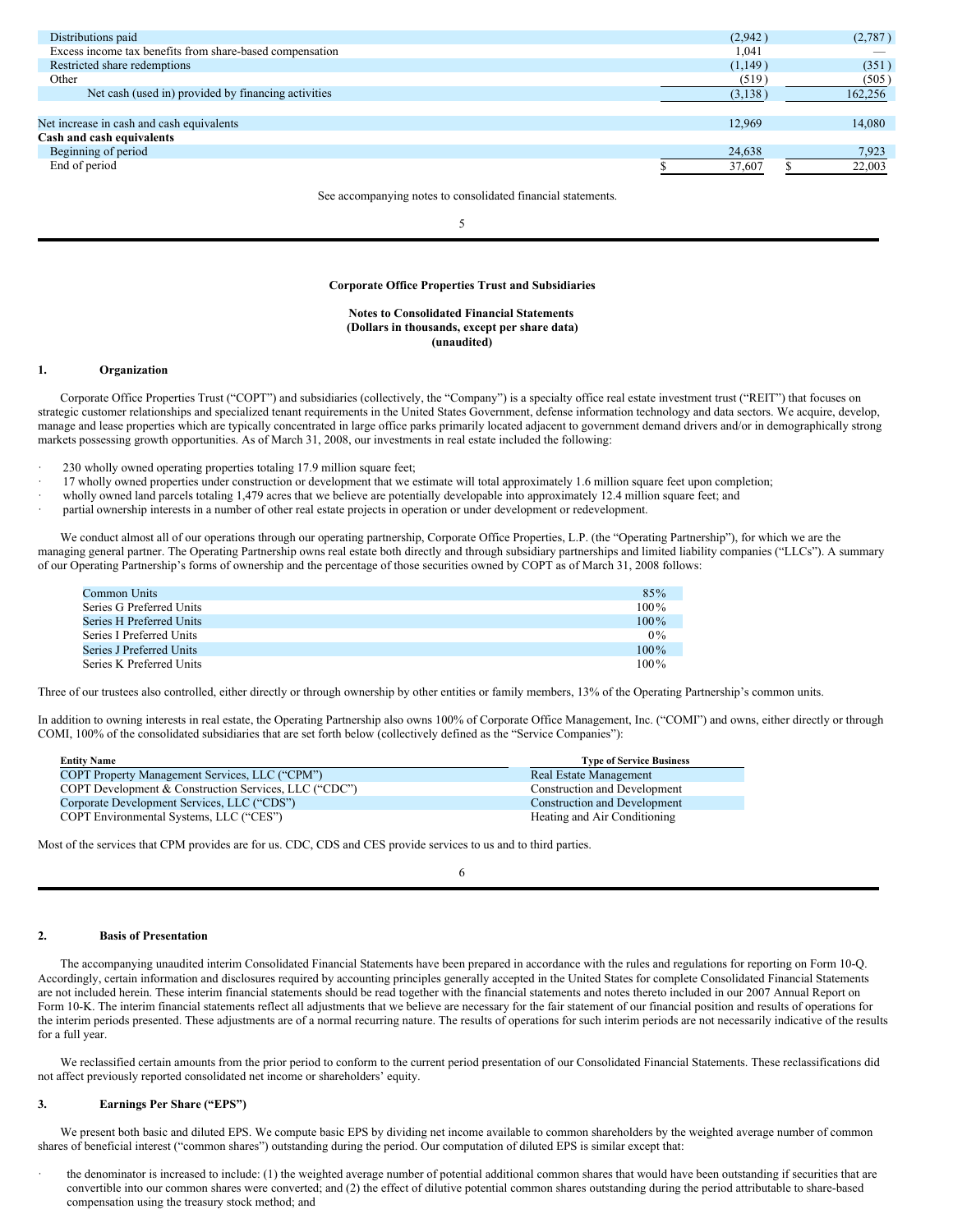| Distributions paid                                       | (2,942) | (2,787) |
|----------------------------------------------------------|---------|---------|
| Excess income tax benefits from share-based compensation | 1,041   |         |
| Restricted share redemptions                             | (1,149) | (351)   |
| Other                                                    | (519)   | (505)   |
| Net cash (used in) provided by financing activities      | (3,138) | 162,256 |
|                                                          |         |         |
| Net increase in cash and cash equivalents                | 12.969  | 14,080  |
| Cash and cash equivalents                                |         |         |
| Beginning of period                                      | 24,638  | 7,923   |
| End of period                                            | 37,607  | 22,003  |
|                                                          |         |         |

See accompanying notes to consolidated financial statements.

<span id="page-3-0"></span>5

#### **Corporate Office Properties Trust and Subsidiaries**

### **Notes to Consolidated Financial Statements (Dollars in thousands, except per share data) (unaudited)**

### **1. Organization**

Corporate Office Properties Trust ("COPT") and subsidiaries (collectively, the "Company") is a specialty office real estate investment trust ("REIT") that focuses on strategic customer relationships and specialized tenant requirements in the United States Government, defense information technology and data sectors. We acquire, develop, manage and lease properties which are typically concentrated in large office parks primarily located adjacent to government demand drivers and/or in demographically strong markets possessing growth opportunities. As of March 31, 2008, our investments in real estate included the following:

- 230 wholly owned operating properties totaling 17.9 million square feet;
- · 17 wholly owned properties under construction or development that we estimate will total approximately 1.6 million square feet upon completion;
- wholly owned land parcels totaling 1,479 acres that we believe are potentially developable into approximately 12.4 million square feet; and
- · partial ownership interests in a number of other real estate projects in operation or under development or redevelopment.

We conduct almost all of our operations through our operating partnership, Corporate Office Properties, L.P. (the "Operating Partnership"), for which we are the managing general partner. The Operating Partnership owns real estate both directly and through subsidiary partnerships and limited liability companies ("LLCs"). A summary of our Operating Partnership's forms of ownership and the percentage of those securities owned by COPT as of March 31, 2008 follows:

| Common Units             | 85%     |
|--------------------------|---------|
| Series G Preferred Units | $100\%$ |
| Series H Preferred Units | $100\%$ |
| Series I Preferred Units | $0\%$   |
| Series J Preferred Units | $100\%$ |
| Series K Preferred Units | $100\%$ |

Three of our trustees also controlled, either directly or through ownership by other entities or family members, 13% of the Operating Partnership's common units.

In addition to owning interests in real estate, the Operating Partnership also owns 100% of Corporate Office Management, Inc. ("COMI") and owns, either directly or through COMI, 100% of the consolidated subsidiaries that are set forth below (collectively defined as the "Service Companies"):

| <b>Entity Name</b>                                    | <b>Type of Service Business</b> |
|-------------------------------------------------------|---------------------------------|
| COPT Property Management Services, LLC ("CPM")        | Real Estate Management          |
| COPT Development & Construction Services, LLC ("CDC") | Construction and Development    |
| Corporate Development Services, LLC ("CDS")           | Construction and Development    |
| COPT Environmental Systems, LLC ("CES")               | Heating and Air Conditioning    |

Most of the services that CPM provides are for us. CDC, CDS and CES provide services to us and to third parties.

6

#### **2. Basis of Presentation**

The accompanying unaudited interim Consolidated Financial Statements have been prepared in accordance with the rules and regulations for reporting on Form 10-Q. Accordingly, certain information and disclosures required by accounting principles generally accepted in the United States for complete Consolidated Financial Statements are not included herein. These interim financial statements should be read together with the financial statements and notes thereto included in our 2007 Annual Report on Form 10-K. The interim financial statements reflect all adjustments that we believe are necessary for the fair statement of our financial position and results of operations for the interim periods presented. These adjustments are of a normal recurring nature. The results of operations for such interim periods are not necessarily indicative of the results for a full year.

We reclassified certain amounts from the prior period to conform to the current period presentation of our Consolidated Financial Statements. These reclassifications did not affect previously reported consolidated net income or shareholders' equity.

#### **3. Earnings Per Share ("EPS")**

We present both basic and diluted EPS. We compute basic EPS by dividing net income available to common shareholders by the weighted average number of common shares of beneficial interest ("common shares") outstanding during the period. Our computation of diluted EPS is similar except that:

the denominator is increased to include: (1) the weighted average number of potential additional common shares that would have been outstanding if securities that are convertible into our common shares were converted; and (2) the effect of dilutive potential common shares outstanding during the period attributable to share-based compensation using the treasury stock method; and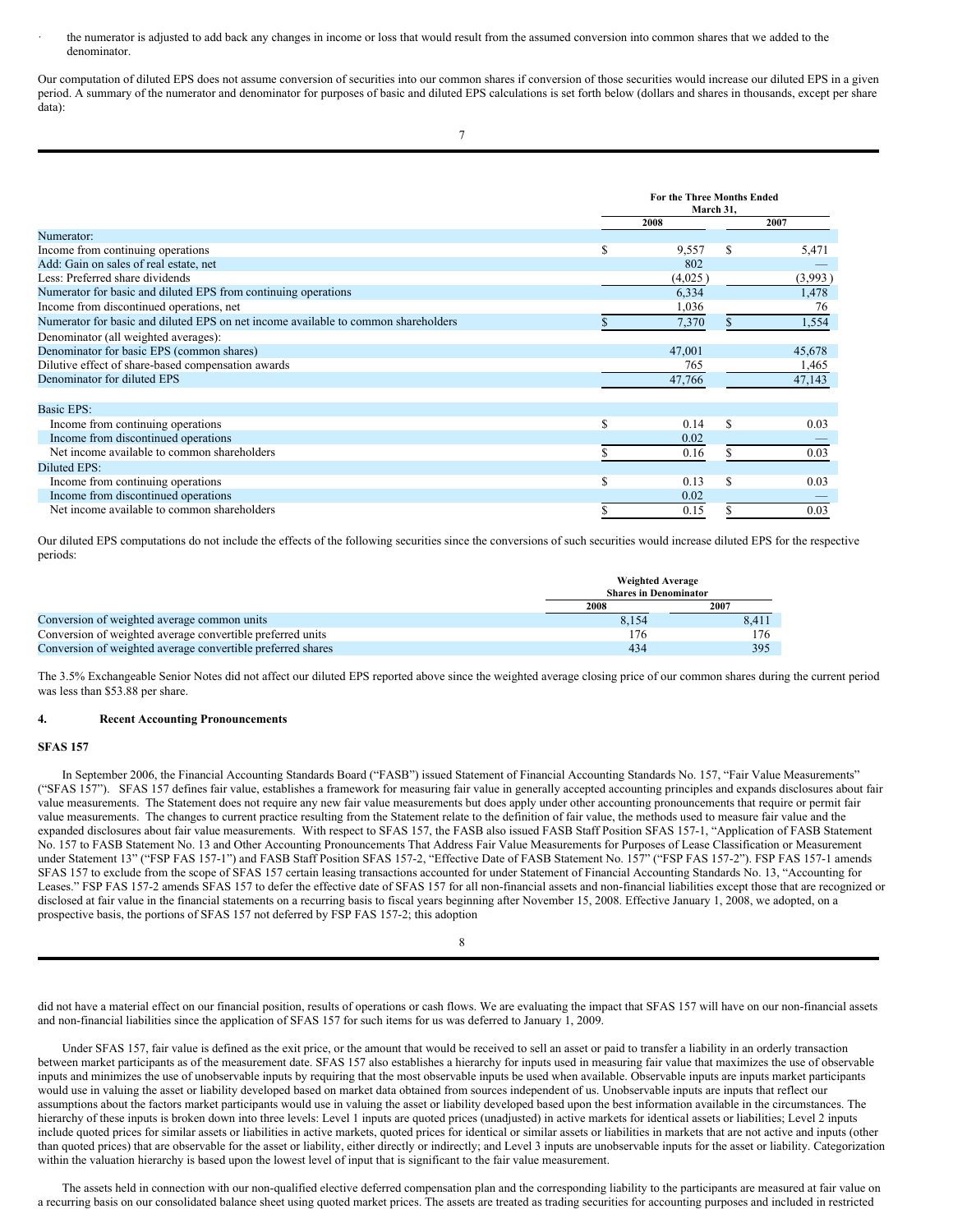the numerator is adjusted to add back any changes in income or loss that would result from the assumed conversion into common shares that we added to the denominator.

Our computation of diluted EPS does not assume conversion of securities into our common shares if conversion of those securities would increase our diluted EPS in a given period. A summary of the numerator and denominator for purposes of basic and diluted EPS calculations is set forth below (dollars and shares in thousands, except per share data):

|                                                                                    |    | <b>For the Three Months Ended</b><br>March 31, |   |         |
|------------------------------------------------------------------------------------|----|------------------------------------------------|---|---------|
|                                                                                    |    | 2008                                           |   | 2007    |
| Numerator:                                                                         |    |                                                |   |         |
| Income from continuing operations                                                  | S  | 9,557                                          | S | 5,471   |
| Add: Gain on sales of real estate, net                                             |    | 802                                            |   |         |
| Less: Preferred share dividends                                                    |    | (4,025)                                        |   | (3,993) |
| Numerator for basic and diluted EPS from continuing operations                     |    | 6,334                                          |   | 1,478   |
| Income from discontinued operations, net                                           |    | 1,036                                          |   | 76      |
| Numerator for basic and diluted EPS on net income available to common shareholders |    | 7,370                                          |   | 1,554   |
| Denominator (all weighted averages):                                               |    |                                                |   |         |
| Denominator for basic EPS (common shares)                                          |    | 47,001                                         |   | 45,678  |
| Dilutive effect of share-based compensation awards                                 |    | 765                                            |   | 1,465   |
| Denominator for diluted EPS                                                        |    | 47,766                                         |   | 47,143  |
|                                                                                    |    |                                                |   |         |
| <b>Basic EPS:</b>                                                                  |    |                                                |   |         |
| Income from continuing operations                                                  | S  | 0.14                                           | S | 0.03    |
| Income from discontinued operations                                                |    | 0.02                                           |   |         |
| Net income available to common shareholders                                        |    | 0.16                                           | S | 0.03    |
| Diluted EPS:                                                                       |    |                                                |   |         |
| Income from continuing operations                                                  | S  | 0.13                                           | S | 0.03    |
| Income from discontinued operations                                                |    | 0.02                                           |   |         |
| Net income available to common shareholders                                        | \$ | 0.15                                           | S | 0.03    |

Our diluted EPS computations do not include the effects of the following securities since the conversions of such securities would increase diluted EPS for the respective periods:

|                                                             |       | <b>Weighted Average</b><br><b>Shares in Denominator</b> |
|-------------------------------------------------------------|-------|---------------------------------------------------------|
|                                                             | 2008  | 2007                                                    |
| Conversion of weighted average common units                 | 8.154 | 8.411                                                   |
| Conversion of weighted average convertible preferred units  | 176   | 176                                                     |
| Conversion of weighted average convertible preferred shares | 434   | 395                                                     |

The 3.5% Exchangeable Senior Notes did not affect our diluted EPS reported above since the weighted average closing price of our common shares during the current period was less than \$53.88 per share.

### **4. Recent Accounting Pronouncements**

### **SFAS 157**

In September 2006, the Financial Accounting Standards Board ("FASB") issued Statement of Financial Accounting Standards No. 157, "Fair Value Measurements" ("SFAS 157"). SFAS 157 defines fair value, establishes a framework for measuring fair value in generally accepted accounting principles and expands disclosures about fair value measurements. The Statement does not require any new fair value measurements but does apply under other accounting pronouncements that require or permit fair value measurements. The changes to current practice resulting from the Statement relate to the definition of fair value, the methods used to measure fair value and the expanded disclosures about fair value measurements. With respect to SFAS 157, the FASB also issued FASB Staff Position SFAS 157-1, "Application of FASB Statement No. 157 to FASB Statement No. 13 and Other Accounting Pronouncements That Address Fair Value Measurements for Purposes of Lease Classification or Measurement under Statement 13" ("FSP FAS 157-1") and FASB Staff Position SFAS 157-2, "Effective Date of FASB Statement No. 157" ("FSP FAS 157-2"). FSP FAS 157-1 amends SFAS 157 to exclude from the scope of SFAS 157 certain leasing transactions accounted for under Statement of Financial Accounting Standards No. 13, "Accounting for Leases." FSP FAS 157-2 amends SFAS 157 to defer the effective date of SFAS 157 for all non-financial assets and non-financial liabilities except those that are recognized or disclosed at fair value in the financial statements on a recurring basis to fiscal years beginning after November 15, 2008. Effective January 1, 2008, we adopted, on a prospective basis, the portions of SFAS 157 not deferred by FSP FAS 157-2; this adoption

8

did not have a material effect on our financial position, results of operations or cash flows. We are evaluating the impact that SFAS 157 will have on our non-financial assets and non-financial liabilities since the application of SFAS 157 for such items for us was deferred to January 1, 2009.

Under SFAS 157, fair value is defined as the exit price, or the amount that would be received to sell an asset or paid to transfer a liability in an orderly transaction between market participants as of the measurement date. SFAS 157 also establishes a hierarchy for inputs used in measuring fair value that maximizes the use of observable inputs and minimizes the use of unobservable inputs by requiring that the most observable inputs be used when available. Observable inputs are inputs market participants would use in valuing the asset or liability developed based on market data obtained from sources independent of us. Unobservable inputs are inputs that reflect our assumptions about the factors market participants would use in valuing the asset or liability developed based upon the best information available in the circumstances. The hierarchy of these inputs is broken down into three levels: Level 1 inputs are quoted prices (unadjusted) in active markets for identical assets or liabilities; Level 2 inputs include quoted prices for similar assets or liabilities in active markets, quoted prices for identical or similar assets or liabilities in markets that are not active and inputs (other than quoted prices) that are observable for the asset or liability, either directly or indirectly; and Level 3 inputs are unobservable inputs for the asset or liability. Categorization within the valuation hierarchy is based upon the lowest level of input that is significant to the fair value measurement.

The assets held in connection with our non-qualified elective deferred compensation plan and the corresponding liability to the participants are measured at fair value on a recurring basis on our consolidated balance sheet using quoted market prices. The assets are treated as trading securities for accounting purposes and included in restricted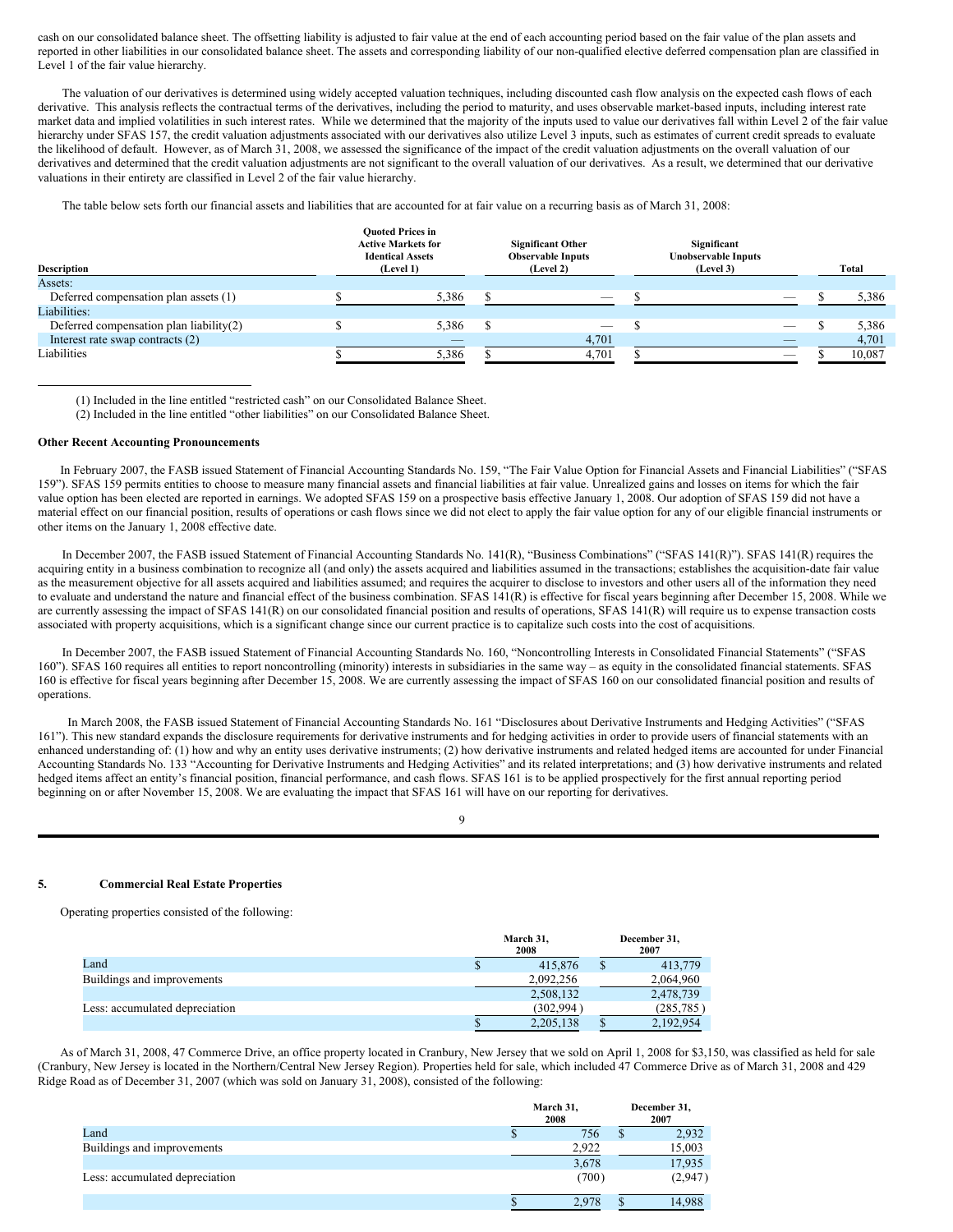cash on our consolidated balance sheet. The offsetting liability is adjusted to fair value at the end of each accounting period based on the fair value of the plan assets and reported in other liabilities in our consolidated balance sheet. The assets and corresponding liability of our non-qualified elective deferred compensation plan are classified in Level 1 of the fair value hierarchy.

The valuation of our derivatives is determined using widely accepted valuation techniques, including discounted cash flow analysis on the expected cash flows of each derivative. This analysis reflects the contractual terms of the derivatives, including the period to maturity, and uses observable market-based inputs, including interest rate market data and implied volatilities in such interest rates. While we determined that the majority of the inputs used to value our derivatives fall within Level 2 of the fair value hierarchy under SFAS 157, the credit valuation adjustments associated with our derivatives also utilize Level 3 inputs, such as estimates of current credit spreads to evaluate the likelihood of default. However, as of March 31, 2008, we assessed the significance of the impact of the credit valuation adjustments on the overall valuation of our derivatives and determined that the credit valuation adjustments are not significant to the overall valuation of our derivatives. As a result, we determined that our derivative valuations in their entirety are classified in Level 2 of the fair value hierarchy.

The table below sets forth our financial assets and liabilities that are accounted for at fair value on a recurring basis as of March 31, 2008:

| Significant<br><b>Unobservable Inputs</b><br>(Level 3) | Total  |
|--------------------------------------------------------|--------|
|                                                        |        |
| __                                                     | 5,386  |
|                                                        |        |
|                                                        | 5,386  |
| _                                                      | 4,701  |
| __                                                     | 10,087 |
|                                                        |        |

(1) Included in the line entitled "restricted cash" on our Consolidated Balance Sheet.

(2) Included in the line entitled "other liabilities" on our Consolidated Balance Sheet.

### **Other Recent Accounting Pronouncements**

In February 2007, the FASB issued Statement of Financial Accounting Standards No. 159, "The Fair Value Option for Financial Assets and Financial Liabilities" ("SFAS 159"). SFAS 159 permits entities to choose to measure many financial assets and financial liabilities at fair value. Unrealized gains and losses on items for which the fair value option has been elected are reported in earnings. We adopted SFAS 159 on a prospective basis effective January 1, 2008. Our adoption of SFAS 159 did not have a material effect on our financial position, results of operations or cash flows since we did not elect to apply the fair value option for any of our eligible financial instruments or other items on the January 1, 2008 effective date.

In December 2007, the FASB issued Statement of Financial Accounting Standards No. 141(R), "Business Combinations" ("SFAS 141(R)"). SFAS 141(R) requires the acquiring entity in a business combination to recognize all (and only) the assets acquired and liabilities assumed in the transactions; establishes the acquisition-date fair value as the measurement objective for all assets acquired and liabilities assumed; and requires the acquirer to disclose to investors and other users all of the information they need to evaluate and understand the nature and financial effect of the business combination. SFAS 141(R) is effective for fiscal years beginning after December 15, 2008. While we are currently assessing the impact of SFAS 141(R) on our consolidated financial position and results of operations, SFAS 141(R) will require us to expense transaction costs associated with property acquisitions, which is a significant change since our current practice is to capitalize such costs into the cost of acquisitions.

In December 2007, the FASB issued Statement of Financial Accounting Standards No. 160, "Noncontrolling Interests in Consolidated Financial Statements" ("SFAS 160"). SFAS 160 requires all entities to report noncontrolling (minority) interests in subsidiaries in the same way – as equity in the consolidated financial statements. SFAS 160 is effective for fiscal years beginning after December 15, 2008. We are currently assessing the impact of SFAS 160 on our consolidated financial position and results of operations.

In March 2008, the FASB issued Statement of Financial Accounting Standards No. 161 "Disclosures about Derivative Instruments and Hedging Activities" ("SFAS 161"). This new standard expands the disclosure requirements for derivative instruments and for hedging activities in order to provide users of financial statements with an enhanced understanding of: (1) how and why an entity uses derivative instruments; (2) how derivative instruments and related hedged items are accounted for under Financial Accounting Standards No. 133 "Accounting for Derivative Instruments and Hedging Activities" and its related interpretations; and (3) how derivative instruments and related hedged items affect an entity's financial position, financial performance, and cash flows. SFAS 161 is to be applied prospectively for the first annual reporting period beginning on or after November 15, 2008. We are evaluating the impact that SFAS 161 will have on our reporting for derivatives.

9

# **5. Commercial Real Estate Properties**

Operating properties consisted of the following:

|                                | March 31,<br>2008 |   | December 31,<br>2007 |
|--------------------------------|-------------------|---|----------------------|
| Land                           | 415,876           | S | 413,779              |
| Buildings and improvements     | 2,092,256         |   | 2,064,960            |
|                                | 2,508,132         |   | 2,478,739            |
| Less: accumulated depreciation | (302,994)         |   | (285, 785)           |
|                                | 2,205,138         |   | 2,192,954            |

As of March 31, 2008, 47 Commerce Drive, an office property located in Cranbury, New Jersey that we sold on April 1, 2008 for \$3,150, was classified as held for sale (Cranbury, New Jersey is located in the Northern/Central New Jersey Region). Properties held for sale, which included 47 Commerce Drive as of March 31, 2008 and 429 Ridge Road as of December 31, 2007 (which was sold on January 31, 2008), consisted of the following:

|                                | March 31,<br>2008 |   | December 31,<br>2007 |  |  |  |
|--------------------------------|-------------------|---|----------------------|--|--|--|
| Land                           | 756<br>Φ          | S | 2,932                |  |  |  |
| Buildings and improvements     | 2.922             |   | 15,003               |  |  |  |
|                                | 3,678             |   | 17,935               |  |  |  |
| Less: accumulated depreciation | (700)             |   | (2,947)              |  |  |  |
|                                | 2.978<br>Φ        |   | 14.988               |  |  |  |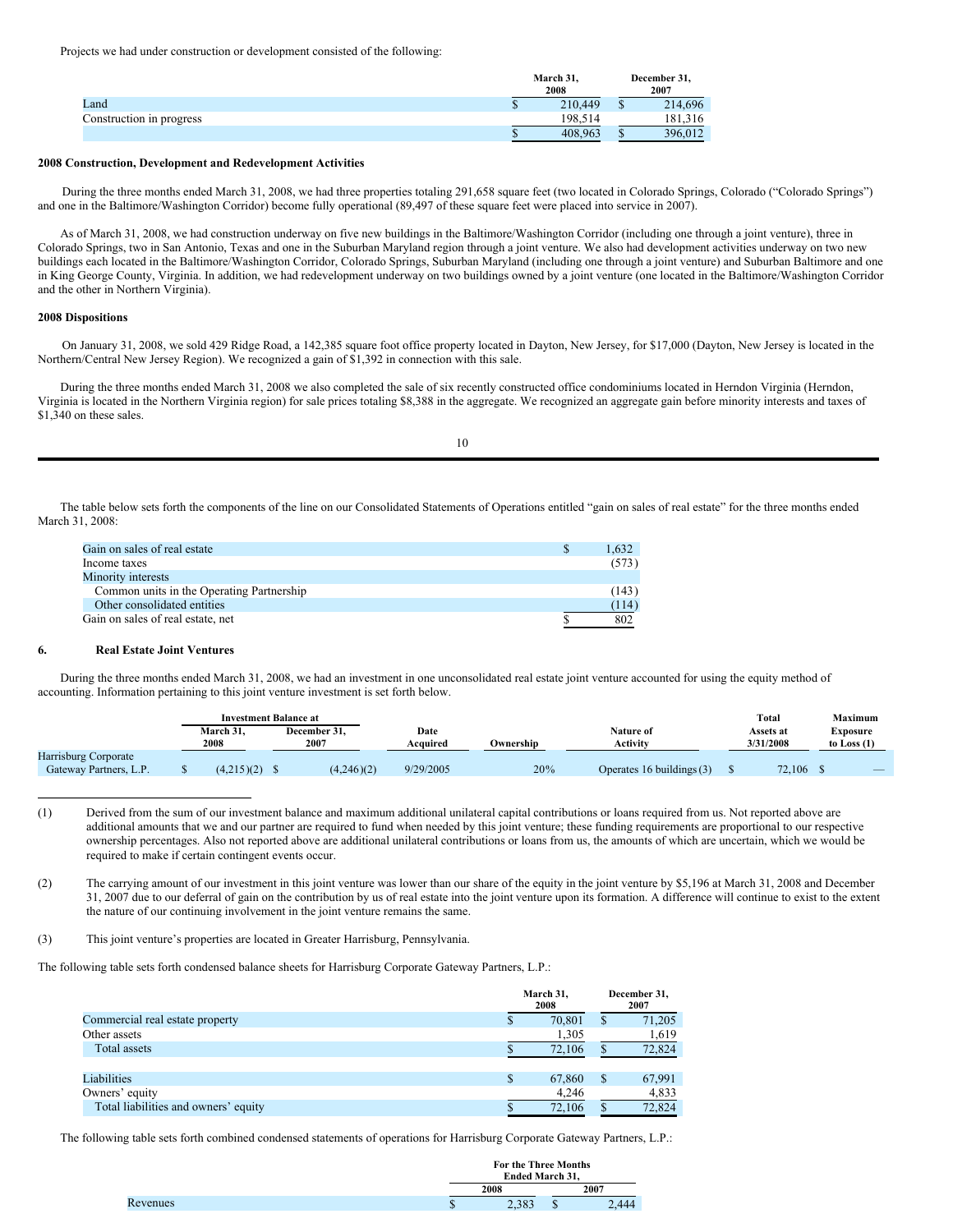Projects we had under construction or development consisted of the following:

|                          | March 31.<br>2008 |   | December 31,<br>2007 |
|--------------------------|-------------------|---|----------------------|
| Land                     | 210,449           |   | 214,696              |
| Construction in progress | 198.514           |   | 181.316              |
|                          | 408.963           | D | 396,012              |

# **2008 Construction, Development and Redevelopment Activities**

During the three months ended March 31, 2008, we had three properties totaling 291,658 square feet (two located in Colorado Springs, Colorado ("Colorado Springs") and one in the Baltimore/Washington Corridor) become fully operational (89,497 of these square feet were placed into service in 2007).

As of March 31, 2008, we had construction underway on five new buildings in the Baltimore/Washington Corridor (including one through a joint venture), three in Colorado Springs, two in San Antonio, Texas and one in the Suburban Maryland region through a joint venture. We also had development activities underway on two new buildings each located in the Baltimore/Washington Corridor, Colorado Springs, Suburban Maryland (including one through a joint venture) and Suburban Baltimore and one in King George County, Virginia. In addition, we had redevelopment underway on two buildings owned by a joint venture (one located in the Baltimore/Washington Corridor and the other in Northern Virginia).

#### **2008 Dispositions**

On January 31, 2008, we sold 429 Ridge Road, a 142,385 square foot office property located in Dayton, New Jersey, for \$17,000 (Dayton, New Jersey is located in the Northern/Central New Jersey Region). We recognized a gain of \$1,392 in connection with this sale.

During the three months ended March 31, 2008 we also completed the sale of six recently constructed office condominiums located in Herndon Virginia (Herndon, Virginia is located in the Northern Virginia region) for sale prices totaling \$8,388 in the aggregate. We recognized an aggregate gain before minority interests and taxes of \$1,340 on these sales.

$$
10\quad
$$

The table below sets forth the components of the line on our Consolidated Statements of Operations entitled "gain on sales of real estate" for the three months ended March 31, 2008:

| Gain on sales of real estate              | 1.632 |
|-------------------------------------------|-------|
| Income taxes                              | (573) |
| Minority interests                        |       |
| Common units in the Operating Partnership | (143) |
| Other consolidated entities               | (114) |
| Gain on sales of real estate, net         | 802   |

### **6. Real Estate Joint Ventures**

During the three months ended March 31, 2008, we had an investment in one unconsolidated real estate joint venture accounted for using the equity method of accounting. Information pertaining to this joint venture investment is set forth below.

|            |              |                                      |          |                           | Total     | Maximum             |
|------------|--------------|--------------------------------------|----------|---------------------------|-----------|---------------------|
| March 31,  | December 31. | Date                                 |          | Nature of                 | Assets at | Exposure            |
|            |              |                                      |          |                           |           | to Loss $(1)$       |
|            |              |                                      |          |                           |           |                     |
| (4,215)(2) | (4,246)(2)   | 9/29/2005                            | 20%      | Operates 16 buildings (3) |           |                     |
|            | 2008         | <b>Investment Balance at</b><br>2007 | Acquired | Ownership                 | Activity  | 3/31/2008<br>72,106 |

(1) Derived from the sum of our investment balance and maximum additional unilateral capital contributions or loans required from us. Not reported above are additional amounts that we and our partner are required to fund when needed by this joint venture; these funding requirements are proportional to our respective ownership percentages. Also not reported above are additional unilateral contributions or loans from us, the amounts of which are uncertain, which we would be required to make if certain contingent events occur.

(2) The carrying amount of our investment in this joint venture was lower than our share of the equity in the joint venture by \$5,196 at March 31, 2008 and December 31, 2007 due to our deferral of gain on the contribution by us of real estate into the joint venture upon its formation. A difference will continue to exist to the extent the nature of our continuing involvement in the joint venture remains the same.

(3) This joint venture's properties are located in Greater Harrisburg, Pennsylvania.

The following table sets forth condensed balance sheets for Harrisburg Corporate Gateway Partners, L.P.:

|                                      | March 31,<br>2008 |        |   | December 31,<br>2007 |  |  |
|--------------------------------------|-------------------|--------|---|----------------------|--|--|
| Commercial real estate property      |                   | 70,801 | S | 71,205               |  |  |
| Other assets                         |                   | 1.305  |   | 1,619                |  |  |
| Total assets                         |                   | 72,106 |   | 72,824               |  |  |
| Liabilities                          | S                 | 67,860 | S | 67,991               |  |  |
| Owners' equity                       |                   | 4.246  |   | 4,833                |  |  |
| Total liabilities and owners' equity |                   | 72,106 |   | 72,824               |  |  |

The following table sets forth combined condensed statements of operations for Harrisburg Corporate Gateway Partners, L.P.:

|          |      |  | For the Three Months<br><b>Ended March 31.</b> |        |        |  |
|----------|------|--|------------------------------------------------|--------|--------|--|
|          | 2008 |  |                                                |        | 2007   |  |
| Revenues | J    |  | 2.383                                          | ¢<br>ъ | 2. AAA |  |
|          |      |  |                                                |        |        |  |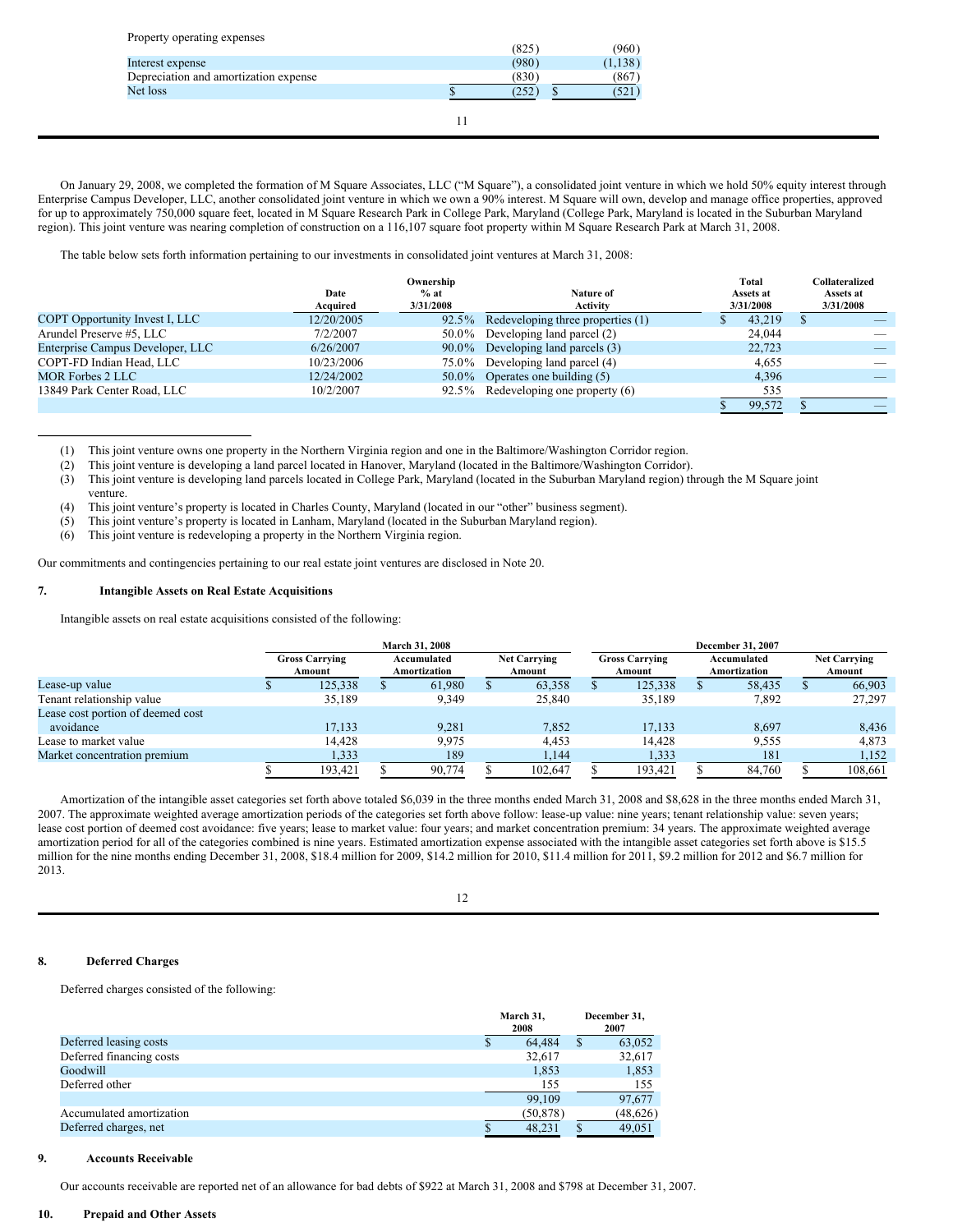| Property operating expenses           |       |          |
|---------------------------------------|-------|----------|
|                                       | (825) | (960)    |
| Interest expense                      | (980) | (1, 138) |
| Depreciation and amortization expense | (830) | (867     |
| Net loss                              | (252) | (521)    |
|                                       |       |          |
|                                       |       |          |

The table below sets forth information pertaining to our investments in consolidated joint ventures at March 31, 2008:

|                                  | Date<br>Acquired | Ownership<br>$%$ at<br>3/31/2008 | Nature of<br><b>Activity</b>              |  | Total<br>Assets at<br>3/31/2008 |  |  |  | Collateralized<br>Assets at<br>3/31/2008 |
|----------------------------------|------------------|----------------------------------|-------------------------------------------|--|---------------------------------|--|--|--|------------------------------------------|
| COPT Opportunity Invest I, LLC   | 12/20/2005       |                                  | 92.5% Redeveloping three properties $(1)$ |  | 43.219                          |  |  |  |                                          |
| Arundel Preserve #5, LLC         | 7/2/2007         |                                  | 50.0% Developing land parcel $(2)$        |  | 24,044                          |  |  |  |                                          |
| Enterprise Campus Developer, LLC | 6/26/2007        |                                  | 90.0% Developing land parcels (3)         |  | 22.723                          |  |  |  |                                          |
| COPT-FD Indian Head, LLC         | 10/23/2006       |                                  | 75.0% Developing land parcel (4)          |  | 4.655                           |  |  |  |                                          |
| MOR Forbes 2 LLC                 | 12/24/2002       |                                  | 50.0% Operates one building (5)           |  | 4.396                           |  |  |  |                                          |
| 13849 Park Center Road, LLC      | 10/2/2007        |                                  | 92.5% Redeveloping one property $(6)$     |  | 535                             |  |  |  |                                          |
|                                  |                  |                                  |                                           |  | 99,572                          |  |  |  |                                          |

(1) This joint venture owns one property in the Northern Virginia region and one in the Baltimore/Washington Corridor region.

(2) This joint venture is developing a land parcel located in Hanover, Maryland (located in the Baltimore/Washington Corridor).

- (4) This joint venture's property is located in Charles County, Maryland (located in our "other" business segment).
- (5) This joint venture's property is located in Lanham, Maryland (located in the Suburban Maryland region).
- (6) This joint venture is redeveloping a property in the Northern Virginia region.

Our commitments and contingencies pertaining to our real estate joint ventures are disclosed in Note 20.

### **7. Intangible Assets on Real Estate Acquisitions**

Intangible assets on real estate acquisitions consisted of the following:

|                                   | <b>March 31, 2008</b>           |  |                             |  | December 31, 2007             |                                 |  |                             |  |                               |
|-----------------------------------|---------------------------------|--|-----------------------------|--|-------------------------------|---------------------------------|--|-----------------------------|--|-------------------------------|
|                                   | <b>Gross Carrying</b><br>Amount |  | Accumulated<br>Amortization |  | <b>Net Carrying</b><br>Amount | <b>Gross Carrying</b><br>Amount |  | Accumulated<br>Amortization |  | <b>Net Carrying</b><br>Amount |
| Lease-up value                    | 125,338                         |  | 61,980                      |  | 63.358                        | 125,338                         |  | 58.435                      |  | 66,903                        |
| Tenant relationship value         | 35.189                          |  | 9.349                       |  | 25,840                        | 35,189                          |  | 7,892                       |  | 27,297                        |
| Lease cost portion of deemed cost |                                 |  |                             |  |                               |                                 |  |                             |  |                               |
| avoidance                         | 17.133                          |  | 9.281                       |  | 7.852                         | 17.133                          |  | 8,697                       |  | 8,436                         |
| Lease to market value             | 14.428                          |  | 9.975                       |  | 4.453                         | 14.428                          |  | 9,555                       |  | 4,873                         |
| Market concentration premium      | 1,333                           |  | 189                         |  | 1,144                         | 1,333                           |  | 181                         |  | 1,152                         |
|                                   | 193.421                         |  | 90.774                      |  | 102.647                       | 193.421                         |  | 84,760                      |  | 108,661                       |

Amortization of the intangible asset categories set forth above totaled \$6,039 in the three months ended March 31, 2008 and \$8,628 in the three months ended March 31, 2007. The approximate weighted average amortization periods of the categories set forth above follow: lease-up value: nine years; tenant relationship value: seven years; lease cost portion of deemed cost avoidance: five years; lease to market value: four years; and market concentration premium: 34 years. The approximate weighted average amortization period for all of the categories combined is nine years. Estimated amortization expense associated with the intangible asset categories set forth above is \$15.5 million for the nine months ending December 31, 2008, \$18.4 million for 2009, \$14.2 million for 2010, \$11.4 million for 2011, \$9.2 million for 2012 and \$6.7 million for 2013.

### 12

### **8. Deferred Charges**

Deferred charges consisted of the following:

|                          |   | March 31,<br>2008 | December 31.<br>2007 |           |  |
|--------------------------|---|-------------------|----------------------|-----------|--|
| Deferred leasing costs   | Φ | 64.484            | S                    | 63,052    |  |
| Deferred financing costs |   | 32,617            |                      | 32,617    |  |
| Goodwill                 |   | 1,853             |                      | 1,853     |  |
| Deferred other           |   | 155               |                      | 155       |  |
|                          |   | 99,109            |                      | 97,677    |  |
| Accumulated amortization |   | (50, 878)         |                      | (48, 626) |  |
| Deferred charges, net    |   | 48,231            |                      | 49,051    |  |

## **9. Accounts Receivable**

Our accounts receivable are reported net of an allowance for bad debts of \$922 at March 31, 2008 and \$798 at December 31, 2007.

### **10. Prepaid and Other Assets**

<sup>(3)</sup> This joint venture is developing land parcels located in College Park, Maryland (located in the Suburban Maryland region) through the M Square joint venture.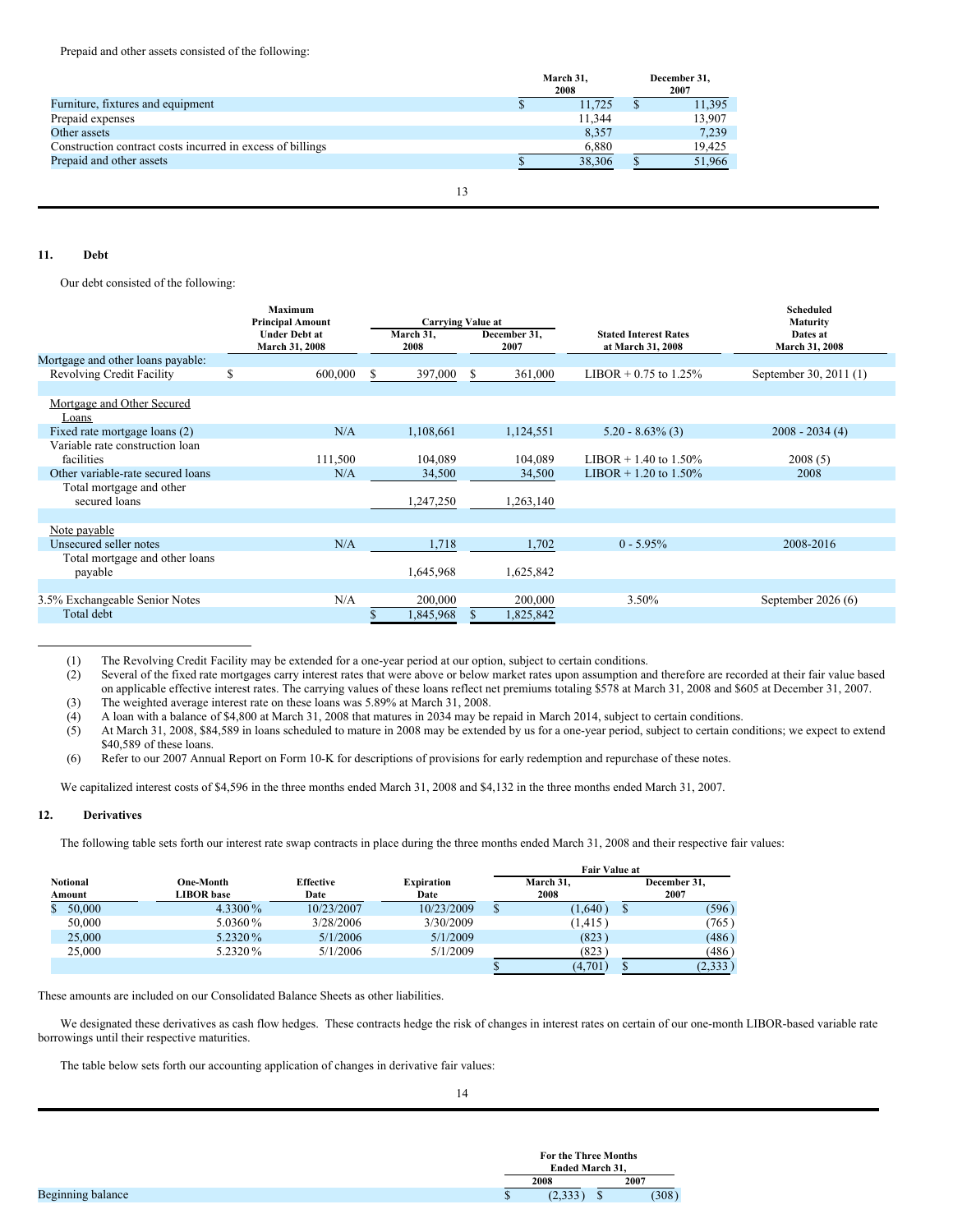|                                                            | March 31,<br>2008 | December 31,<br>2007 |
|------------------------------------------------------------|-------------------|----------------------|
| Furniture, fixtures and equipment                          | 11.725            | 11,395               |
| Prepaid expenses                                           | 11.344            | 13,907               |
| Other assets                                               | 8,357             | 7,239                |
| Construction contract costs incurred in excess of billings | 6.880             | 19,425               |
| Prepaid and other assets                                   | 38,306            | 51,966               |

13

# **11. Debt**

Our debt consisted of the following:

|                                   | Maximum<br><b>Principal Amount</b>     | <b>Carrying Value at</b> |                         |                                                   | <b>Scheduled</b><br>Maturity |
|-----------------------------------|----------------------------------------|--------------------------|-------------------------|---------------------------------------------------|------------------------------|
|                                   | <b>Under Debt at</b><br>March 31, 2008 | March 31,<br>2008        | December 31,<br>2007    | <b>Stated Interest Rates</b><br>at March 31, 2008 | Dates at<br>March 31, 2008   |
| Mortgage and other loans payable: |                                        |                          |                         |                                                   |                              |
| <b>Revolving Credit Facility</b>  | S<br>600,000                           | 397,000<br>S.            | 361,000<br><sup>S</sup> | LIBOR + 0.75 to 1.25%                             | September 30, 2011 (1)       |
|                                   |                                        |                          |                         |                                                   |                              |
| Mortgage and Other Secured        |                                        |                          |                         |                                                   |                              |
| Loans                             |                                        |                          |                         |                                                   |                              |
| Fixed rate mortgage loans (2)     | N/A                                    | 1,108,661                | 1,124,551               | $5.20 - 8.63\%$ (3)                               | $2008 - 2034(4)$             |
| Variable rate construction loan   |                                        |                          |                         |                                                   |                              |
| facilities                        | 111,500                                | 104,089                  | 104,089                 | LIBOR + 1.40 to 1.50%                             | 2008(5)                      |
| Other variable-rate secured loans | N/A                                    | 34,500                   | 34,500                  | LIBOR + 1.20 to $1.50\%$                          | 2008                         |
| Total mortgage and other          |                                        |                          |                         |                                                   |                              |
| secured loans                     |                                        | 1,247,250                | 1,263,140               |                                                   |                              |
|                                   |                                        |                          |                         |                                                   |                              |
| Note payable                      |                                        |                          |                         |                                                   |                              |
| Unsecured seller notes            | N/A                                    | 1,718                    | 1,702                   | $0 - 5.95\%$                                      | 2008-2016                    |
| Total mortgage and other loans    |                                        |                          |                         |                                                   |                              |
| payable                           |                                        | 1,645,968                | 1,625,842               |                                                   |                              |
|                                   |                                        |                          |                         |                                                   |                              |
| 3.5% Exchangeable Senior Notes    | N/A                                    | 200,000                  | 200,000                 | 3.50%                                             | September 2026 $(6)$         |
| Total debt                        |                                        | 845,968,                 | 1,825,842               |                                                   |                              |
|                                   |                                        |                          |                         |                                                   |                              |

<sup>(1)</sup> The Revolving Credit Facility may be extended for a one-year period at our option, subject to certain conditions.

(2) Several of the fixed rate mortgages carry interest rates that were above or below market rates upon assumption and therefore are recorded at their fair value based on applicable effective interest rates. The carrying values of these loans reflect net premiums totaling \$578 at March 31, 2008 and \$605 at December 31, 2007.

- (3) The weighted average interest rate on these loans was 5.89% at March 31, 2008.
- (4) A loan with a balance of \$4,800 at March 31, 2008 that matures in 2034 may be repaid in March 2014, subject to certain conditions.

(5) At March 31, 2008, \$84,589 in loans scheduled to mature in 2008 may be extended by us for a one-year period, subject to certain conditions; we expect to extend \$40,589 of these loans.

We capitalized interest costs of \$4,596 in the three months ended March 31, 2008 and \$4,132 in the three months ended March 31, 2007.

### **12. Derivatives**

The following table sets forth our interest rate swap contracts in place during the three months ended March 31, 2008 and their respective fair values:

|                    |                                |                          |                           | <b>Fair Value at</b> |                      |
|--------------------|--------------------------------|--------------------------|---------------------------|----------------------|----------------------|
| Notional<br>Amount | One-Month<br><b>LIBOR</b> base | <b>Effective</b><br>Date | <b>Expiration</b><br>Date | March 31,<br>2008    | December 31.<br>2007 |
| 50,000<br>S.       | 4.3300 %                       | 10/23/2007               | 10/23/2009                | (1,640)              | (596)                |
| 50,000             | 5.0360 %                       | 3/28/2006                | 3/30/2009                 | (1, 415)             | (765)                |
| 25,000             | 5.2320 %                       | 5/1/2006                 | 5/1/2009                  | (823)                | (486)                |
| 25,000             | 5.2320 %                       | 5/1/2006                 | 5/1/2009                  | (823)                | (486)                |
|                    |                                |                          |                           | (4,701)              | (2, 333)             |

These amounts are included on our Consolidated Balance Sheets as other liabilities.

We designated these derivatives as cash flow hedges. These contracts hedge the risk of changes in interest rates on certain of our one-month LIBOR-based variable rate borrowings until their respective maturities.

The table below sets forth our accounting application of changes in derivative fair values:

14



<sup>(6)</sup> Refer to our 2007 Annual Report on Form 10-K for descriptions of provisions for early redemption and repurchase of these notes.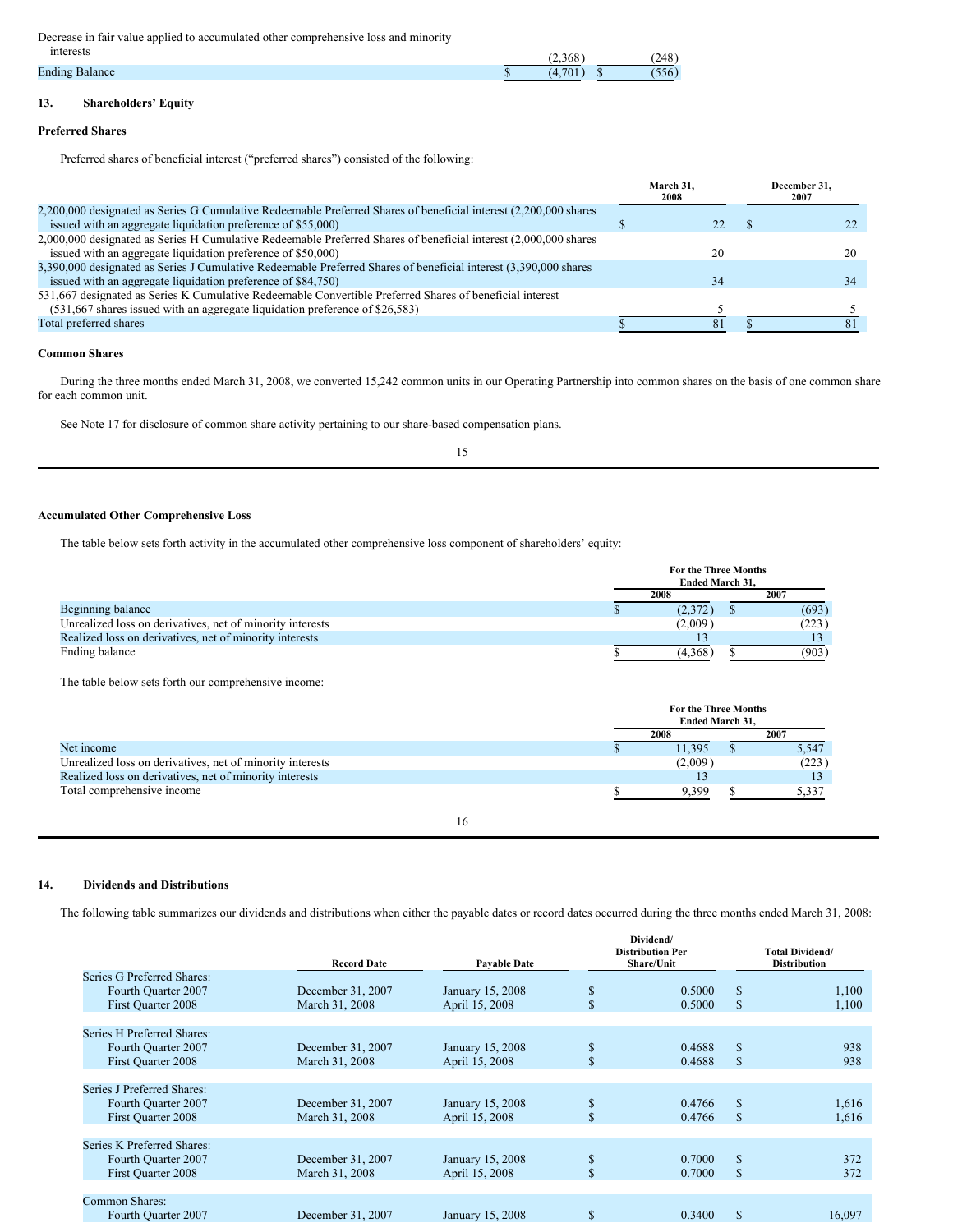Decrease in fair value applied to accumulated other comprehensive loss and minority

| $\cdots$<br>د الات | 60<br>2.900 | $\sim$<br>∪⊤ ⊶) |
|--------------------|-------------|-----------------|
| Endin<br>alance    |             | .               |

# **13. Shareholders' Equity**

## **Preferred Shares**

Preferred shares of beneficial interest ("preferred shares") consisted of the following:

|                                                                                                                  | March 31.<br>2008 |               | December 31.<br>2007 |
|------------------------------------------------------------------------------------------------------------------|-------------------|---------------|----------------------|
| 2,200,000 designated as Series G Cumulative Redeemable Preferred Shares of beneficial interest (2,200,000 shares |                   |               |                      |
| issued with an aggregate liquidation preference of \$55,000)                                                     |                   |               |                      |
| 2,000,000 designated as Series H Cumulative Redeemable Preferred Shares of beneficial interest (2,000,000 shares |                   |               |                      |
| issued with an aggregate liquidation preference of \$50,000)                                                     |                   | 20            |                      |
| 3,390,000 designated as Series J Cumulative Redeemable Preferred Shares of beneficial interest (3,390,000 shares |                   |               |                      |
| issued with an aggregate liquidation preference of \$84,750)                                                     |                   | 34            |                      |
| 531,667 designated as Series K Cumulative Redeemable Convertible Preferred Shares of beneficial interest         |                   |               |                      |
| $(531,667)$ shares issued with an aggregate liquidation preference of \$26,583)                                  |                   |               |                      |
| Total preferred shares                                                                                           |                   | $\mathsf{R}1$ |                      |
|                                                                                                                  |                   |               |                      |

# **Common Shares**

During the three months ended March 31, 2008, we converted 15,242 common units in our Operating Partnership into common shares on the basis of one common share for each common unit.

See Note 17 for disclosure of common share activity pertaining to our share-based compensation plans.

15

### **Accumulated Other Comprehensive Loss**

The table below sets forth activity in the accumulated other comprehensive loss component of shareholders' equity:

|                                                           | For the Three Months<br><b>Ended March 31.</b> |       |
|-----------------------------------------------------------|------------------------------------------------|-------|
|                                                           | 2008                                           | 2007  |
| Beginning balance                                         | (2,372)                                        | (693) |
| Unrealized loss on derivatives, net of minority interests | (2,009)                                        | (223) |
| Realized loss on derivatives, net of minority interests   |                                                |       |
| Ending balance                                            | (4.368)                                        | (903) |

The table below sets forth our comprehensive income:

|                                                           | <b>For the Three Months</b><br><b>Ended March 31.</b> |       |
|-----------------------------------------------------------|-------------------------------------------------------|-------|
|                                                           | 2008                                                  | 2007  |
| Net income                                                | 11.395                                                | 5,547 |
| Unrealized loss on derivatives, net of minority interests | (2,009)                                               | (223) |
| Realized loss on derivatives, net of minority interests   |                                                       |       |
| Total comprehensive income                                | 9.399                                                 | 5,337 |

16

# **14. Dividends and Distributions**

The following table summarizes our dividends and distributions when either the payable dates or record dates occurred during the three months ended March 31, 2008:

|                            |                    |                     |              | Dividend/<br><b>Distribution Per</b> |              | <b>Total Dividend/</b> |
|----------------------------|--------------------|---------------------|--------------|--------------------------------------|--------------|------------------------|
|                            | <b>Record Date</b> | <b>Payable Date</b> |              | Share/Unit                           |              | <b>Distribution</b>    |
| Series G Preferred Shares: |                    |                     |              |                                      |              |                        |
| Fourth Quarter 2007        | December 31, 2007  | January 15, 2008    | \$           | 0.5000                               | $\mathbb{S}$ | 1,100                  |
| First Ouarter 2008         | March 31, 2008     | April 15, 2008      | \$           | 0.5000                               | \$           | 1,100                  |
|                            |                    |                     |              |                                      |              |                        |
| Series H Preferred Shares: |                    |                     |              |                                      |              |                        |
| Fourth Quarter 2007        | December 31, 2007  | January 15, 2008    | \$           | 0.4688                               | $\mathbb{S}$ | 938                    |
| First Quarter 2008         | March 31, 2008     | April 15, 2008      | \$           | 0.4688                               | \$           | 938                    |
|                            |                    |                     |              |                                      |              |                        |
| Series J Preferred Shares: |                    |                     |              |                                      |              |                        |
| Fourth Quarter 2007        | December 31, 2007  | January 15, 2008    | \$           | 0.4766                               | \$           | 1,616                  |
| First Ouarter 2008         | March 31, 2008     | April 15, 2008      | \$           | 0.4766                               | \$           | 1,616                  |
|                            |                    |                     |              |                                      |              |                        |
| Series K Preferred Shares: |                    |                     |              |                                      |              |                        |
| Fourth Quarter 2007        | December 31, 2007  | January 15, 2008    | \$           | 0.7000                               | \$           | 372                    |
| First Ouarter 2008         | March 31, 2008     | April 15, 2008      | $\mathbf{S}$ | 0.7000                               | \$           | 372                    |
|                            |                    |                     |              |                                      |              |                        |
| <b>Common Shares:</b>      |                    |                     |              |                                      |              |                        |
| Fourth Quarter 2007        | December 31, 2007  | January 15, 2008    | \$.          | 0.3400                               | \$           | 16.097                 |
|                            |                    |                     |              |                                      |              |                        |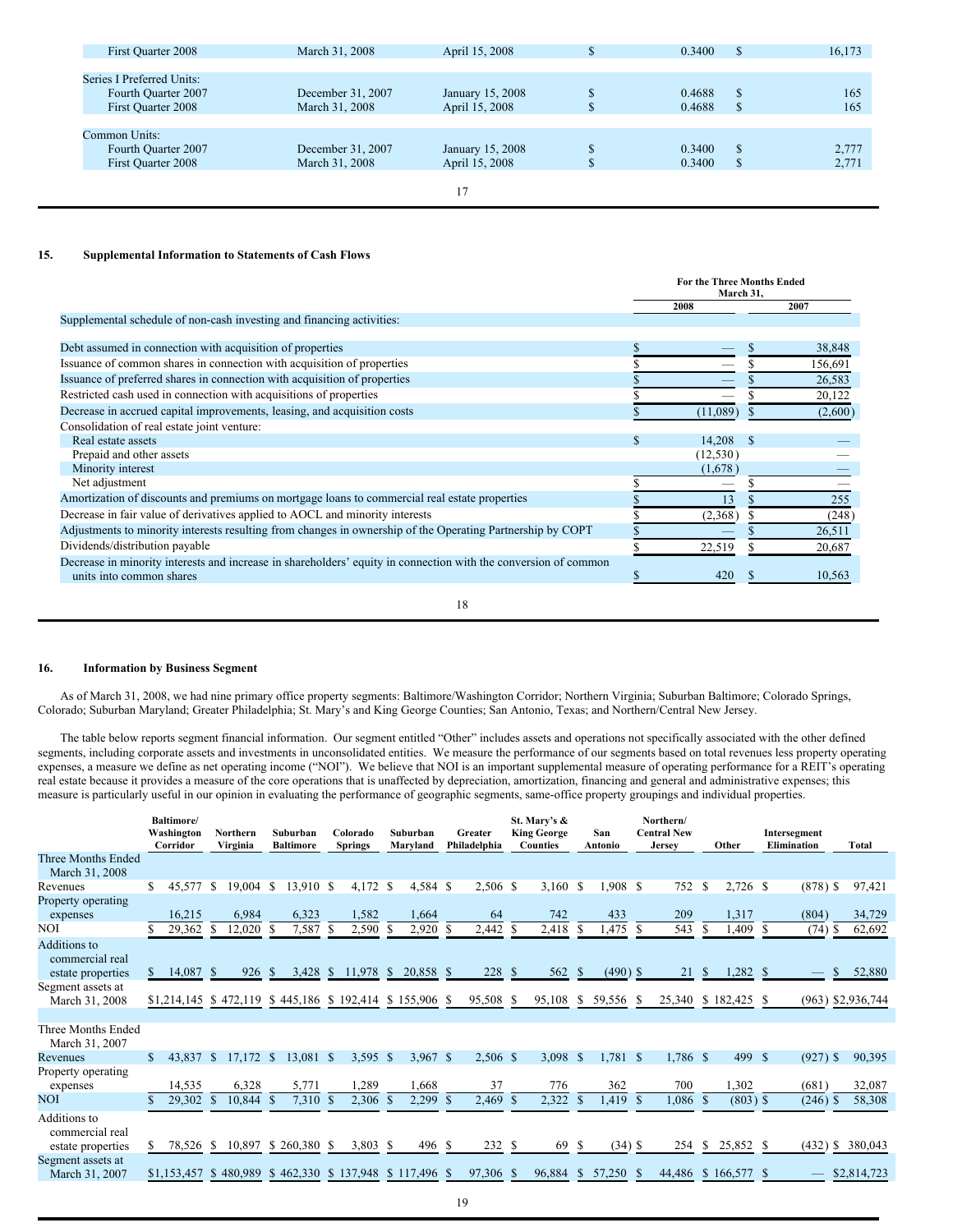| First Ouarter 2008        | March 31, 2008    | April 15, 2008   | ъ             | 0.3400<br><sup>\$</sup> | 16,173 |
|---------------------------|-------------------|------------------|---------------|-------------------------|--------|
|                           |                   |                  |               |                         |        |
| Series I Preferred Units: |                   |                  |               |                         |        |
| Fourth Quarter 2007       | December 31, 2007 | January 15, 2008 | S             | 0.4688<br><sup>\$</sup> | 165    |
| First Ouarter 2008        | March 31, 2008    | April 15, 2008   | S             | 0.4688<br><sup>\$</sup> | 165    |
|                           |                   |                  |               |                         |        |
| Common Units:             |                   |                  |               |                         |        |
| Fourth Quarter 2007       | December 31, 2007 | January 15, 2008 | <sup>\$</sup> | <sup>S</sup><br>0.3400  | 2.777  |
| First Ouarter 2008        | March 31, 2008    | April 15, 2008   | $\sigma$<br>D | 0.3400<br>S             | 2.771  |
|                           |                   |                  |               |                         |        |
|                           |                   | 17               |               |                         |        |

# **15. Supplemental Information to Statements of Cash Flows**

|                                                                                                                 |     | For the Three Months Ended |    |         |
|-----------------------------------------------------------------------------------------------------------------|-----|----------------------------|----|---------|
|                                                                                                                 |     | 2008                       |    | 2007    |
| Supplemental schedule of non-cash investing and financing activities:                                           |     |                            |    |         |
|                                                                                                                 |     |                            |    |         |
| Debt assumed in connection with acquisition of properties                                                       |     |                            |    | 38,848  |
| Issuance of common shares in connection with acquisition of properties                                          |     |                            |    | 156,691 |
| Issuance of preferred shares in connection with acquisition of properties                                       |     |                            |    | 26,583  |
| Restricted cash used in connection with acquisitions of properties                                              |     |                            |    | 20,122  |
| Decrease in accrued capital improvements, leasing, and acquisition costs                                        |     | (11,089)                   |    | (2,600) |
| Consolidation of real estate joint venture:                                                                     |     |                            |    |         |
| Real estate assets                                                                                              | \$. | 14,208                     | -S |         |
| Prepaid and other assets                                                                                        |     | (12, 530)                  |    |         |
| Minority interest                                                                                               |     | (1,678)                    |    |         |
| Net adjustment                                                                                                  |     | _                          |    |         |
| Amortization of discounts and premiums on mortgage loans to commercial real estate properties                   |     | 13                         |    | 255     |
| Decrease in fair value of derivatives applied to AOCL and minority interests                                    |     | (2,368)                    |    | (248)   |
| Adjustments to minority interests resulting from changes in ownership of the Operating Partnership by COPT      |     |                            |    | 26,511  |
| Dividends/distribution payable                                                                                  |     | 22,519                     |    | 20,687  |
| Decrease in minority interests and increase in shareholders' equity in connection with the conversion of common |     |                            |    |         |
| units into common shares                                                                                        |     | 420                        |    | 10,563  |
| $\sim$                                                                                                          |     |                            |    |         |

18

# **16. Information by Business Segment**

As of March 31, 2008, we had nine primary office property segments: Baltimore/Washington Corridor; Northern Virginia; Suburban Baltimore; Colorado Springs, Colorado; Suburban Maryland; Greater Philadelphia; St. Mary's and King George Counties; San Antonio, Texas; and Northern/Central New Jersey.

The table below reports segment financial information. Our segment entitled "Other" includes assets and operations not specifically associated with the other defined segments, including corporate assets and investments in unconsolidated entities. We measure the performance of our segments based on total revenues less property operating expenses, a measure we define as net operating income ("NOI"). We believe that NOI is an important supplemental measure of operating performance for a REIT's operating real estate because it provides a measure of the core operations that is unaffected by depreciation, amortization, financing and general and administrative expenses; this measure is particularly useful in our opinion in evaluating the performance of geographic segments, same-office property groupings and individual properties.

|                                                      |    | <b>Baltimore</b><br>Washington<br>Corridor |               | Northern<br>Virginia |               | Suburban<br><b>Baltimore</b>     |               | Colorado<br><b>Springs</b> |    | Suburban<br>Maryland |               | Greater<br>Philadelphia |     | St. Mary's &<br><b>King George</b><br><b>Counties</b> |               | San<br>Antonio |    | Northern/<br><b>Central New</b><br><b>Jersey</b> | Other        |               | Intersegment<br><b>Elimination</b> |              | Total               |
|------------------------------------------------------|----|--------------------------------------------|---------------|----------------------|---------------|----------------------------------|---------------|----------------------------|----|----------------------|---------------|-------------------------|-----|-------------------------------------------------------|---------------|----------------|----|--------------------------------------------------|--------------|---------------|------------------------------------|--------------|---------------------|
| Three Months Ended<br>March 31, 2008                 |    |                                            |               |                      |               |                                  |               |                            |    |                      |               |                         |     |                                                       |               |                |    |                                                  |              |               |                                    |              |                     |
| Revenues                                             | \$ | 45,577                                     | <sup>\$</sup> | 19,004               | -S            | 13,910 \$                        |               | 4,172 \$                   |    | 4,584 \$             |               | 2,506 \$                |     | 3,160                                                 | <sup>\$</sup> | $1,908$ \$     |    | 752                                              | S            | $2,726$ \$    |                                    | $(878)$ \$   | 97,421              |
| Property operating<br>expenses                       |    | 16,215                                     |               | 6,984                |               | 6,323                            |               | 1,582                      |    | 1,664                |               | 64                      |     | 742                                                   |               | 433            |    | 209                                              |              | 1,317         |                                    | (804)        | 34,729              |
| <b>NOI</b>                                           |    | 29,362                                     | <sup>\$</sup> | 12,020               | -S            | 7,587                            | <sup>\$</sup> | 2,590                      | S  | 2,920                | S             | 2,442                   |     | 2,418                                                 | S             | 1,475          | -S | 543                                              | S            | 1,409 \$      |                                    | (74)<br>-S   | 62,692              |
| Additions to<br>commercial real<br>estate properties | \$ | 14,087                                     | - \$          | 926                  | -S            | 3,428                            | <sup>S</sup>  | 11,978                     | -S | 20,858 \$            |               | 228 \$                  |     | 562                                                   | -S            | $(490)$ \$     |    | 21                                               | <sup>S</sup> | $1,282$ \$    |                                    | <sup>S</sup> | 52,880              |
| Segment assets at<br>March 31, 2008                  |    | \$1,214,145 \$472,119                      |               |                      |               | \$445,186 \$192,414 \$155,906 \$ |               |                            |    |                      |               | 95,508                  | - S | 95,108                                                | S.            | 59,556 \$      |    | 25,340                                           |              | $$182,425$ \$ |                                    |              | $(963)$ \$2,936,744 |
| Three Months Ended<br>March 31, 2007                 |    |                                            |               |                      |               |                                  |               |                            |    |                      |               |                         |     |                                                       |               |                |    |                                                  |              |               |                                    |              |                     |
| Revenues                                             | \$ | 43,837                                     | <sup>S</sup>  | 17,172               | <sup>\$</sup> | 13,081 \$                        |               | 3,595 \$                   |    | $3,967$ \$           |               | 2,506 \$                |     | 3,098                                                 | -S            | $1,781$ \$     |    | 1,786 \$                                         |              | 499           | - \$                               | $(927)$ \$   | 90,395              |
| Property operating<br>expenses                       |    | 14,535                                     |               | 6,328                |               | 5,771                            |               | 1,289                      |    | 1,668                |               | 37                      |     | 776                                                   |               | 362            |    | 700                                              |              | 1,302         |                                    | (681)        | 32,087              |
| <b>NOI</b>                                           |    | 29,302                                     | <sup>\$</sup> | 10,844 \$            |               | 7,310                            | -S            | 2,306 \$                   |    | 2,299                | <sup>\$</sup> | 2,469                   | -S  | 2,322                                                 | <sup>\$</sup> | 1,419          | -S | 1,086 \$                                         |              | $(803)$ \$    |                                    | $(246)$ \$   | 58,308              |
| Additions to<br>commercial real<br>estate properties | S. | 78,526                                     | <sup>\$</sup> | 10.897               |               | \$260,380                        | -S            | 3,803 \$                   |    | 496 \$               |               | 232 \$                  |     | 69                                                    | -S            | $(34)$ \$      |    | 254                                              | S            | 25,852 \$     |                                    |              | $(432)$ \$ 380,043  |
| Segment assets at<br>March 31, 2007                  |    | \$1,153,457                                | <sup>S</sup>  | 480,989              |               | \$462,330                        |               | \$137,948                  |    | \$117,496            | -S            | 97,306                  | -8  | 96,884                                                | <b>S</b>      | 57,250         | -S | 44,486                                           |              | \$166,577     | -S                                 |              | \$2,814,723         |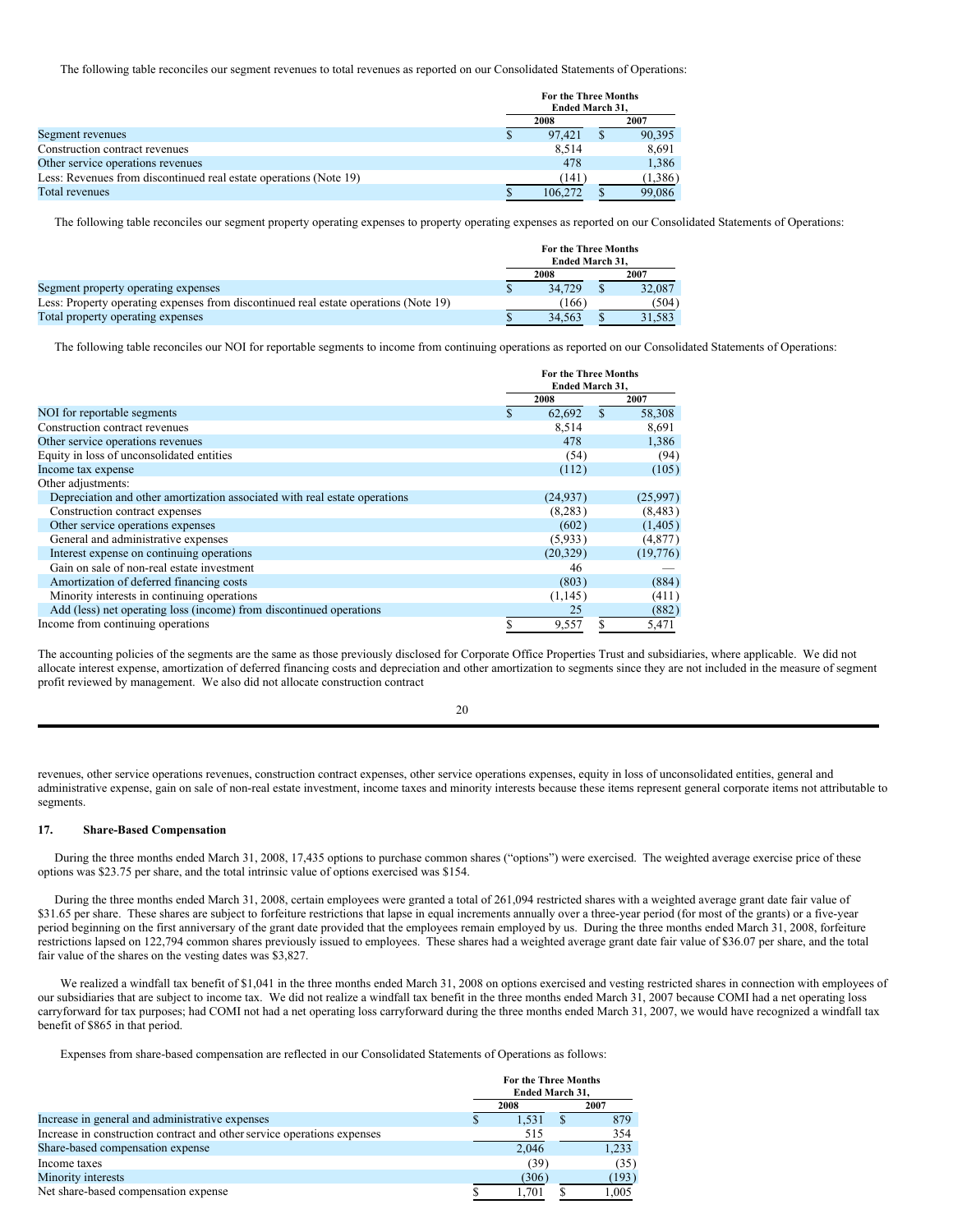The following table reconciles our segment revenues to total revenues as reported on our Consolidated Statements of Operations:

|                                                                   | <b>For the Three Months</b><br><b>Ended March 31.</b> |      |          |  |  |  |  |
|-------------------------------------------------------------------|-------------------------------------------------------|------|----------|--|--|--|--|
|                                                                   | 2008                                                  | 2007 |          |  |  |  |  |
| Segment revenues                                                  | 97.421                                                |      | 90,395   |  |  |  |  |
| Construction contract revenues                                    | 8.514                                                 |      | 8.691    |  |  |  |  |
| Other service operations revenues                                 | 478                                                   |      | 1,386    |  |  |  |  |
| Less: Revenues from discontinued real estate operations (Note 19) | (141)                                                 |      | (1, 386) |  |  |  |  |
| Total revenues                                                    | 106.272                                               |      | 99,086   |  |  |  |  |

The following table reconciles our segment property operating expenses to property operating expenses as reported on our Consolidated Statements of Operations:

|                                                                                      |      | <b>For the Three Months</b><br><b>Ended March 31.</b> |  |        |
|--------------------------------------------------------------------------------------|------|-------------------------------------------------------|--|--------|
|                                                                                      | 2008 |                                                       |  | 2007   |
| Segment property operating expenses                                                  |      | 34.729                                                |  | 32,087 |
| Less: Property operating expenses from discontinued real estate operations (Note 19) |      | (166)                                                 |  | (504)  |
| Total property operating expenses                                                    |      | 34.563                                                |  | 31.583 |

The following table reconciles our NOI for reportable segments to income from continuing operations as reported on our Consolidated Statements of Operations:

|                                                                            | For the Three Months<br>Ended March 31, |           |     |          |
|----------------------------------------------------------------------------|-----------------------------------------|-----------|-----|----------|
|                                                                            |                                         | 2008      |     | 2007     |
| NOI for reportable segments                                                |                                         | 62,692    | \$. | 58,308   |
| Construction contract revenues                                             |                                         | 8,514     |     | 8,691    |
| Other service operations revenues                                          |                                         | 478       |     | 1,386    |
| Equity in loss of unconsolidated entities                                  |                                         | (54)      |     | (94)     |
| Income tax expense                                                         |                                         | (112)     |     | (105)    |
| Other adjustments:                                                         |                                         |           |     |          |
| Depreciation and other amortization associated with real estate operations |                                         | (24, 937) |     | (25,997) |
| Construction contract expenses                                             |                                         | (8,283)   |     | (8, 483) |
| Other service operations expenses                                          |                                         | (602)     |     | (1,405)  |
| General and administrative expenses                                        |                                         | (5,933)   |     | (4,877)  |
| Interest expense on continuing operations                                  |                                         | (20, 329) |     | (19,776) |
| Gain on sale of non-real estate investment                                 |                                         | 46        |     |          |
| Amortization of deferred financing costs                                   |                                         | (803)     |     | (884)    |
| Minority interests in continuing operations                                |                                         | (1, 145)  |     | (411)    |
| Add (less) net operating loss (income) from discontinued operations        |                                         | 25        |     | (882)    |
| Income from continuing operations                                          |                                         | 9,557     |     | 5,471    |

The accounting policies of the segments are the same as those previously disclosed for Corporate Office Properties Trust and subsidiaries, where applicable. We did not allocate interest expense, amortization of deferred financing costs and depreciation and other amortization to segments since they are not included in the measure of segment profit reviewed by management. We also did not allocate construction contract

| I | ٦<br>×<br>I |
|---|-------------|

revenues, other service operations revenues, construction contract expenses, other service operations expenses, equity in loss of unconsolidated entities, general and administrative expense, gain on sale of non-real estate investment, income taxes and minority interests because these items represent general corporate items not attributable to segments.

### **17. Share-Based Compensation**

During the three months ended March 31, 2008, 17,435 options to purchase common shares ("options") were exercised. The weighted average exercise price of these options was \$23.75 per share, and the total intrinsic value of options exercised was \$154.

During the three months ended March 31, 2008, certain employees were granted a total of 261,094 restricted shares with a weighted average grant date fair value of \$31.65 per share. These shares are subject to forfeiture restrictions that lapse in equal increments annually over a three-year period (for most of the grants) or a five-year period beginning on the first anniversary of the grant date provided that the employees remain employed by us. During the three months ended March 31, 2008, forfeiture restrictions lapsed on 122,794 common shares previously issued to employees. These shares had a weighted average grant date fair value of \$36.07 per share, and the total fair value of the shares on the vesting dates was \$3,827.

We realized a windfall tax benefit of \$1,041 in the three months ended March 31, 2008 on options exercised and vesting restricted shares in connection with employees of our subsidiaries that are subject to income tax. We did not realize a windfall tax benefit in the three months ended March 31, 2007 because COMI had a net operating loss carryforward for tax purposes; had COMI not had a net operating loss carryforward during the three months ended March 31, 2007, we would have recognized a windfall tax benefit of \$865 in that period.

Expenses from share-based compensation are reflected in our Consolidated Statements of Operations as follows:

|                                                                         |      | <b>For the Three Months</b><br><b>Ended March 31.</b> |  |       |
|-------------------------------------------------------------------------|------|-------------------------------------------------------|--|-------|
|                                                                         | 2008 | 2007                                                  |  |       |
| Increase in general and administrative expenses                         |      | 1.531                                                 |  | 879   |
| Increase in construction contract and other service operations expenses |      | 515                                                   |  | 354   |
| Share-based compensation expense                                        |      | 2.046                                                 |  | 1.233 |
| Income taxes                                                            |      | (39)                                                  |  | (35)  |
| Minority interests                                                      |      | (306)                                                 |  | (193) |
| Net share-based compensation expense                                    |      | 1.701                                                 |  | 1,005 |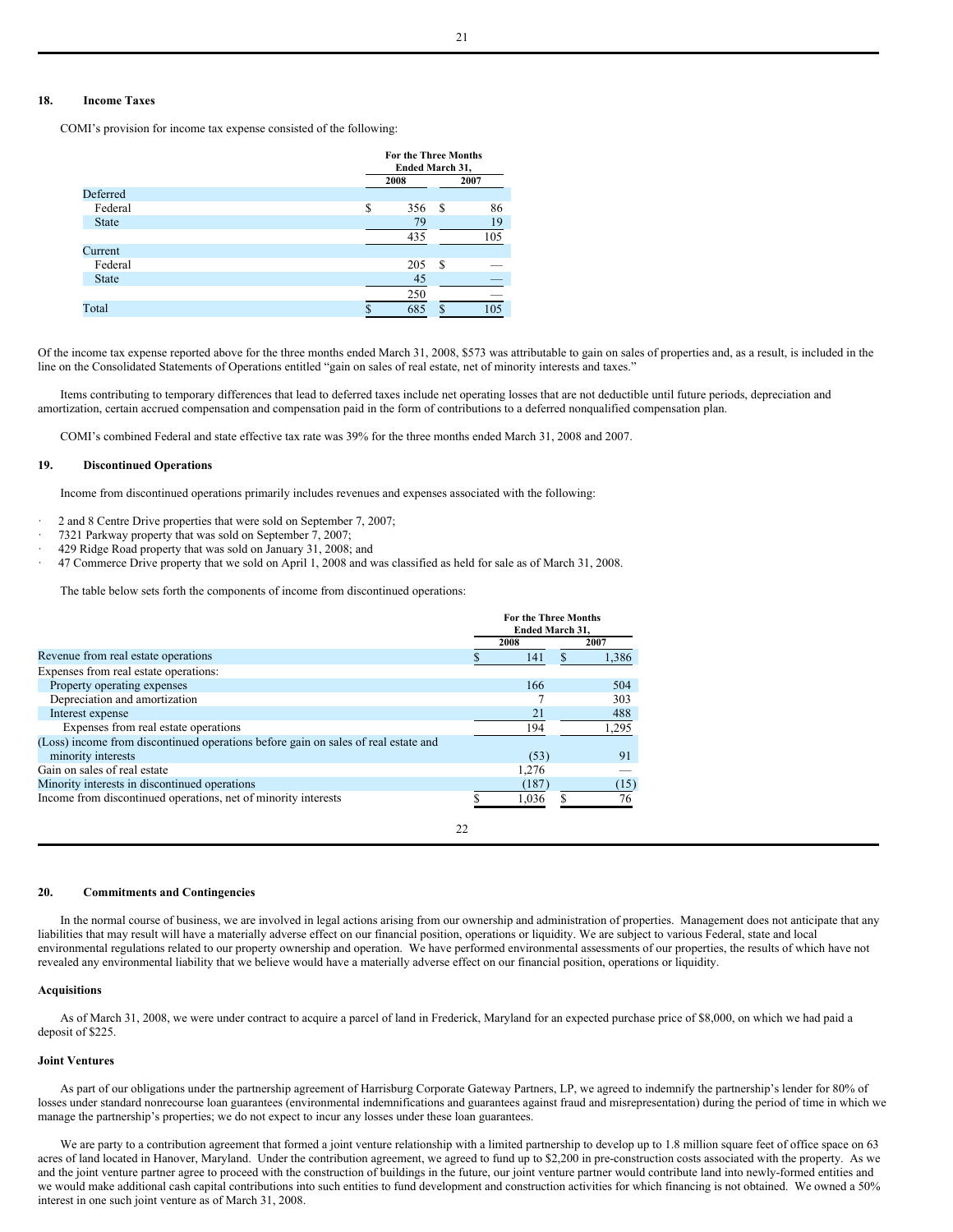#### **18. Income Taxes**

COMI's provision for income tax expense consisted of the following:

|   | <b>For the Three Months</b><br>Ended March 31, |   |      |  |  |
|---|------------------------------------------------|---|------|--|--|
|   | 2008                                           |   | 2007 |  |  |
|   |                                                |   |      |  |  |
| S | 356                                            | S | 86   |  |  |
|   | 79                                             |   | 19   |  |  |
|   | 435                                            |   | 105  |  |  |
|   |                                                |   |      |  |  |
|   | 205                                            | S |      |  |  |
|   | 45                                             |   |      |  |  |
|   | 250                                            |   | ___  |  |  |
|   | 685                                            | G | 105  |  |  |
|   |                                                |   |      |  |  |

Of the income tax expense reported above for the three months ended March 31, 2008, \$573 was attributable to gain on sales of properties and, as a result, is included in the line on the Consolidated Statements of Operations entitled "gain on sales of real estate, net of minority interests and taxes."

Items contributing to temporary differences that lead to deferred taxes include net operating losses that are not deductible until future periods, depreciation and amortization, certain accrued compensation and compensation paid in the form of contributions to a deferred nonqualified compensation plan.

COMI's combined Federal and state effective tax rate was 39% for the three months ended March 31, 2008 and 2007.

### **19. Discontinued Operations**

Income from discontinued operations primarily includes revenues and expenses associated with the following:

- · 2 and 8 Centre Drive properties that were sold on September 7, 2007;
- · 7321 Parkway property that was sold on September 7, 2007;
- · 429 Ridge Road property that was sold on January 31, 2008; and
- · 47 Commerce Drive property that we sold on April 1, 2008 and was classified as held for sale as of March 31, 2008.

The table below sets forth the components of income from discontinued operations:

|                                                                                    | <b>For the Three Months</b><br><b>Ended March 31.</b> |       |     |       |  |
|------------------------------------------------------------------------------------|-------------------------------------------------------|-------|-----|-------|--|
|                                                                                    |                                                       |       |     |       |  |
|                                                                                    |                                                       | 2008  |     | 2007  |  |
| Revenue from real estate operations                                                |                                                       | 141   | \$. | 1,386 |  |
| Expenses from real estate operations:                                              |                                                       |       |     |       |  |
| Property operating expenses                                                        |                                                       | 166   |     | 504   |  |
| Depreciation and amortization                                                      |                                                       |       |     | 303   |  |
| Interest expense                                                                   |                                                       | 21    |     | 488   |  |
| Expenses from real estate operations                                               |                                                       | 194   |     | 1,295 |  |
| (Loss) income from discontinued operations before gain on sales of real estate and |                                                       |       |     |       |  |
| minority interests                                                                 |                                                       | (53)  |     | 91    |  |
| Gain on sales of real estate                                                       |                                                       | 1,276 |     |       |  |
| Minority interests in discontinued operations                                      |                                                       | (187) |     | (15)  |  |
| Income from discontinued operations, net of minority interests                     |                                                       | 1,036 |     | 76    |  |
|                                                                                    | 22                                                    |       |     |       |  |
|                                                                                    |                                                       |       |     |       |  |

### **20. Commitments and Contingencies**

In the normal course of business, we are involved in legal actions arising from our ownership and administration of properties. Management does not anticipate that any liabilities that may result will have a materially adverse effect on our financial position, operations or liquidity. We are subject to various Federal, state and local environmental regulations related to our property ownership and operation. We have performed environmental assessments of our properties, the results of which have not revealed any environmental liability that we believe would have a materially adverse effect on our financial position, operations or liquidity.

### **Acquisitions**

As of March 31, 2008, we were under contract to acquire a parcel of land in Frederick, Maryland for an expected purchase price of \$8,000, on which we had paid a deposit of \$225.

### **Joint Ventures**

As part of our obligations under the partnership agreement of Harrisburg Corporate Gateway Partners, LP, we agreed to indemnify the partnership's lender for 80% of losses under standard nonrecourse loan guarantees (environmental indemnifications and guarantees against fraud and misrepresentation) during the period of time in which we manage the partnership's properties; we do not expect to incur any losses under these loan guarantees.

We are party to a contribution agreement that formed a joint venture relationship with a limited partnership to develop up to 1.8 million square feet of office space on 63 acres of land located in Hanover, Maryland. Under the contribution agreement, we agreed to fund up to \$2,200 in pre-construction costs associated with the property. As we and the joint venture partner agree to proceed with the construction of buildings in the future, our joint venture partner would contribute land into newly-formed entities and we would make additional cash capital contributions into such entities to fund development and construction activities for which financing is not obtained. We owned a 50% interest in one such joint venture as of March 31, 2008.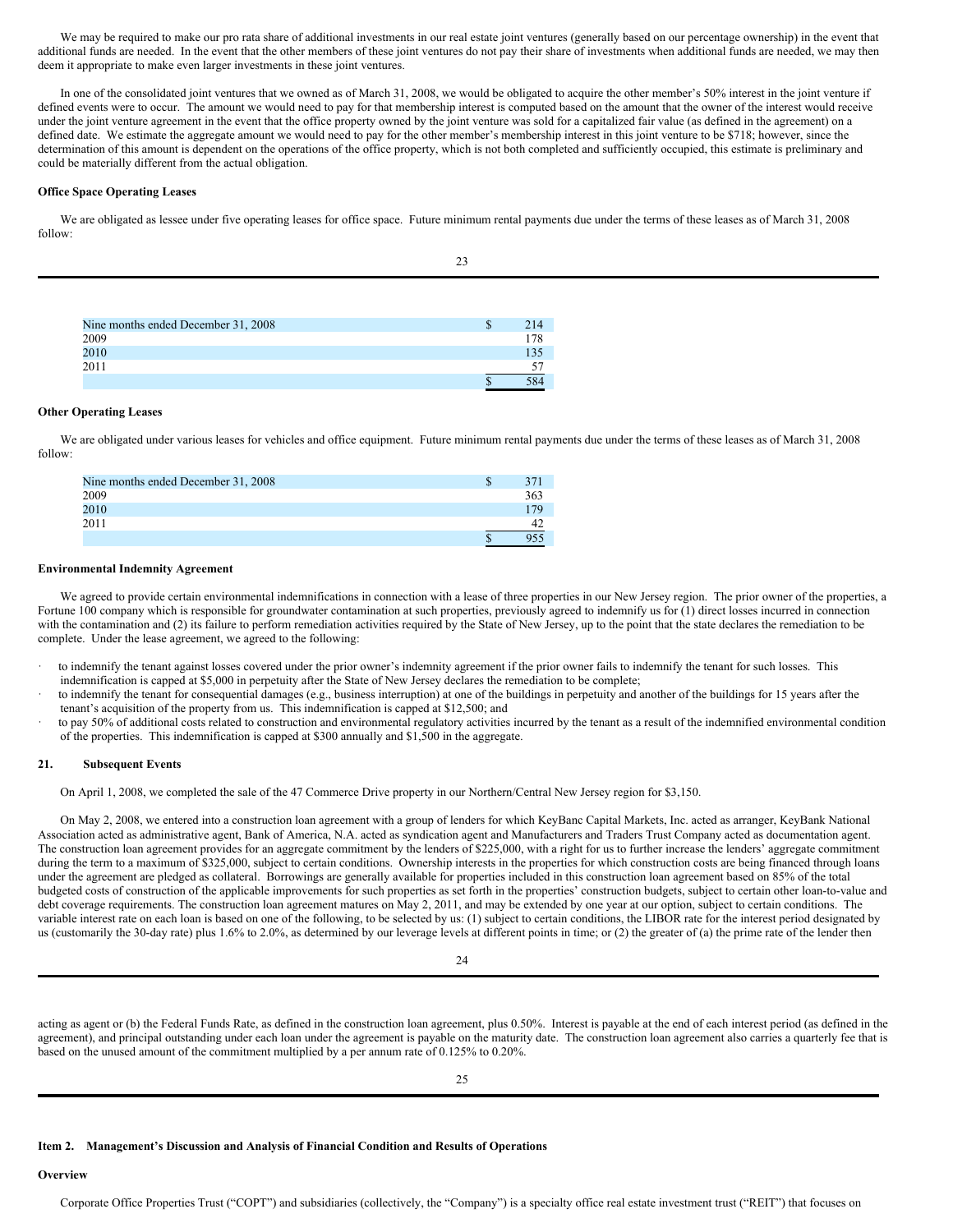We may be required to make our pro rata share of additional investments in our real estate joint ventures (generally based on our percentage ownership) in the event that additional funds are needed. In the event that the other members of these joint ventures do not pay their share of investments when additional funds are needed, we may then deem it appropriate to make even larger investments in these joint ventures.

In one of the consolidated joint ventures that we owned as of March 31, 2008, we would be obligated to acquire the other member's 50% interest in the joint venture if defined events were to occur. The amount we would need to pay for that membership interest is computed based on the amount that the owner of the interest would receive under the joint venture agreement in the event that the office property owned by the joint venture was sold for a capitalized fair value (as defined in the agreement) on a defined date. We estimate the aggregate amount we would need to pay for the other member's membership interest in this joint venture to be \$718; however, since the determination of this amount is dependent on the operations of the office property, which is not both completed and sufficiently occupied, this estimate is preliminary and could be materially different from the actual obligation.

#### **Office Space Operating Leases**

We are obligated as lessee under five operating leases for office space. Future minimum rental payments due under the terms of these leases as of March 31, 2008 follow:

| Nine months ended December 31, 2008 | S | 214 |
|-------------------------------------|---|-----|
| 2009                                |   | 178 |
| 2010                                |   | 135 |
| 2011                                |   |     |
|                                     |   |     |

# **Other Operating Leases**

We are obligated under various leases for vehicles and office equipment. Future minimum rental payments due under the terms of these leases as of March 31, 2008 follow:

| Nine months ended December 31, 2008 |     |
|-------------------------------------|-----|
| 2009                                | 363 |
| 2010                                | 17Q |
| 2011                                |     |
|                                     |     |

#### **Environmental Indemnity Agreement**

We agreed to provide certain environmental indemnifications in connection with a lease of three properties in our New Jersey region. The prior owner of the properties, a Fortune 100 company which is responsible for groundwater contamination at such properties, previously agreed to indemnify us for (1) direct losses incurred in connection with the contamination and (2) its failure to perform remediation activities required by the State of New Jersey, up to the point that the state declares the remediation to be complete. Under the lease agreement, we agreed to the following:

- to indemnify the tenant against losses covered under the prior owner's indemnity agreement if the prior owner fails to indemnify the tenant for such losses. This indemnification is capped at \$5,000 in perpetuity after the State of New Jersey declares the remediation to be complete;
- to indemnify the tenant for consequential damages (e.g., business interruption) at one of the buildings in perpetuity and another of the buildings for 15 years after the tenant's acquisition of the property from us. This indemnification is capped at \$12,500; and
- · to pay 50% of additional costs related to construction and environmental regulatory activities incurred by the tenant as a result of the indemnified environmental condition of the properties. This indemnification is capped at \$300 annually and \$1,500 in the aggregate.

#### **21. Subsequent Events**

On April 1, 2008, we completed the sale of the 47 Commerce Drive property in our Northern/Central New Jersey region for \$3,150.

On May 2, 2008, we entered into a construction loan agreement with a group of lenders for which KeyBanc Capital Markets, Inc. acted as arranger, KeyBank National Association acted as administrative agent, Bank of America, N.A. acted as syndication agent and Manufacturers and Traders Trust Company acted as documentation agent. The construction loan agreement provides for an aggregate commitment by the lenders of \$225,000, with a right for us to further increase the lenders' aggregate commitment during the term to a maximum of \$325,000, subject to certain conditions. Ownership interests in the properties for which construction costs are being financed through loans under the agreement are pledged as collateral. Borrowings are generally available for properties included in this construction loan agreement based on 85% of the total budgeted costs of construction of the applicable improvements for such properties as set forth in the properties' construction budgets, subject to certain other loan-to-value and debt coverage requirements. The construction loan agreement matures on May 2, 2011, and may be extended by one year at our option, subject to certain conditions. The variable interest rate on each loan is based on one of the following, to be selected by us: (1) subject to certain conditions, the LIBOR rate for the interest period designated by us (customarily the 30-day rate) plus 1.6% to 2.0%, as determined by our leverage levels at different points in time; or (2) the greater of (a) the prime rate of the lender then

24

acting as agent or (b) the Federal Funds Rate, as defined in the construction loan agreement, plus 0.50%. Interest is payable at the end of each interest period (as defined in the agreement), and principal outstanding under each loan under the agreement is payable on the maturity date. The construction loan agreement also carries a quarterly fee that is based on the unused amount of the commitment multiplied by a per annum rate of 0.125% to 0.20%.

<span id="page-13-0"></span>25

### **Item 2. Management's Discussion and Analysis of Financial Condition and Results of Operations**

### **Overview**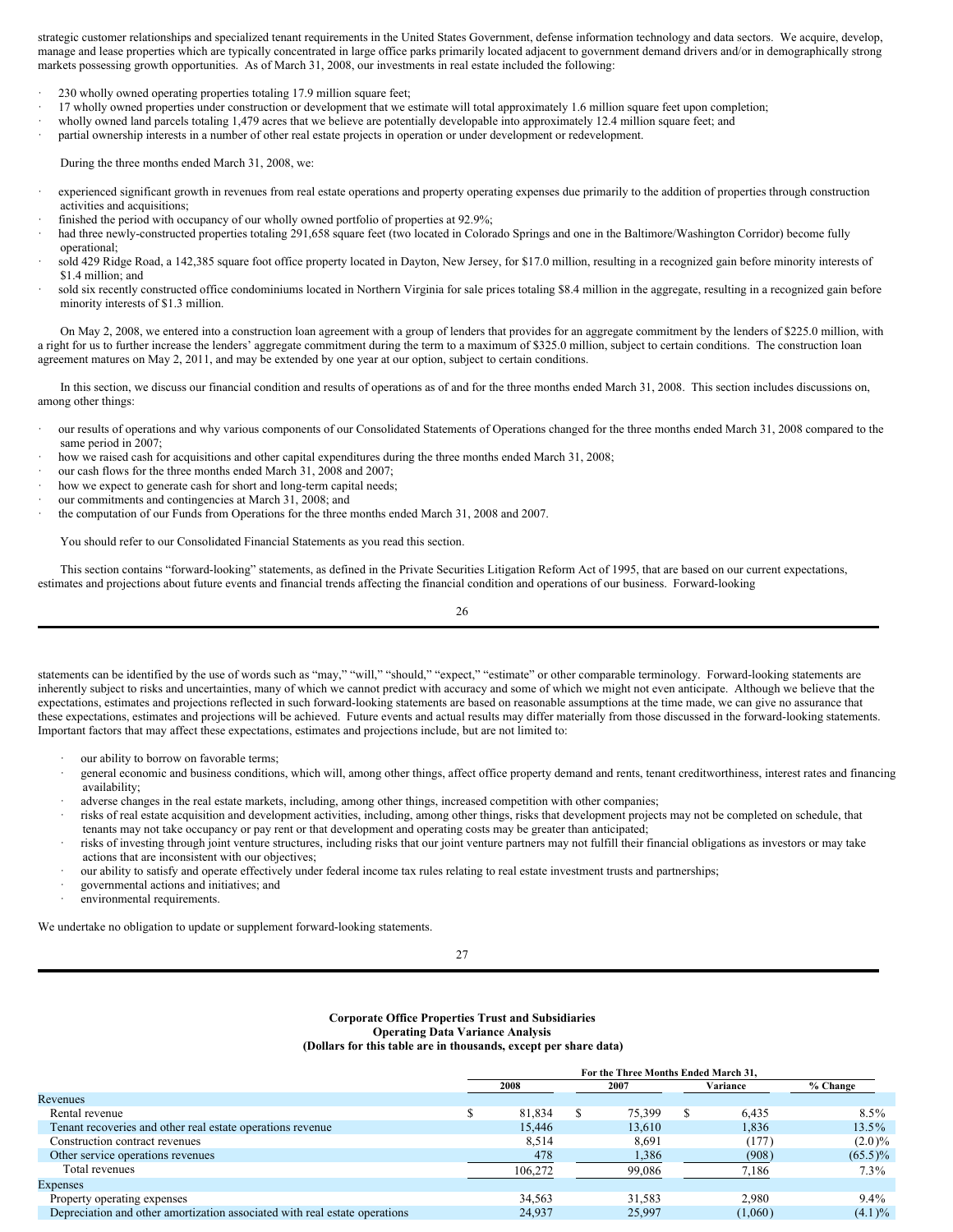strategic customer relationships and specialized tenant requirements in the United States Government, defense information technology and data sectors. We acquire, develop, manage and lease properties which are typically concentrated in large office parks primarily located adjacent to government demand drivers and/or in demographically strong markets possessing growth opportunities. As of March 31, 2008, our investments in real estate included the following:

- 230 wholly owned operating properties totaling 17.9 million square feet;
- · 17 wholly owned properties under construction or development that we estimate will total approximately 1.6 million square feet upon completion;
- · wholly owned land parcels totaling 1,479 acres that we believe are potentially developable into approximately 12.4 million square feet; and
- partial ownership interests in a number of other real estate projects in operation or under development or redevelopment.

During the three months ended March 31, 2008, we:

- · experienced significant growth in revenues from real estate operations and property operating expenses due primarily to the addition of properties through construction activities and acquisitions;
- finished the period with occupancy of our wholly owned portfolio of properties at 92.9%;
- had three newly-constructed properties totaling 291,658 square feet (two located in Colorado Springs and one in the Baltimore/Washington Corridor) become fully operational;
- sold 429 Ridge Road, a 142,385 square foot office property located in Dayton, New Jersey, for \$17.0 million, resulting in a recognized gain before minority interests of \$1.4 million; and
- sold six recently constructed office condominiums located in Northern Virginia for sale prices totaling \$8.4 million in the aggregate, resulting in a recognized gain before minority interests of \$1.3 million.

On May 2, 2008, we entered into a construction loan agreement with a group of lenders that provides for an aggregate commitment by the lenders of \$225.0 million, with a right for us to further increase the lenders' aggregate commitment during the term to a maximum of \$325.0 million, subject to certain conditions. The construction loan agreement matures on May 2, 2011, and may be extended by one year at our option, subject to certain conditions.

In this section, we discuss our financial condition and results of operations as of and for the three months ended March 31, 2008. This section includes discussions on, among other things:

- our results of operations and why various components of our Consolidated Statements of Operations changed for the three months ended March 31, 2008 compared to the same period in 2007;
- how we raised cash for acquisitions and other capital expenditures during the three months ended March 31, 2008;
- our cash flows for the three months ended March 31, 2008 and 2007;
- how we expect to generate cash for short and long-term capital needs;
- our commitments and contingencies at March 31, 2008; and
- the computation of our Funds from Operations for the three months ended March 31, 2008 and 2007.

You should refer to our Consolidated Financial Statements as you read this section.

This section contains "forward-looking" statements, as defined in the Private Securities Litigation Reform Act of 1995, that are based on our current expectations, estimates and projections about future events and financial trends affecting the financial condition and operations of our business. Forward-looking

26

statements can be identified by the use of words such as "may," "will," "should," "expect," "estimate" or other comparable terminology. Forward-looking statements are inherently subject to risks and uncertainties, many of which we cannot predict with accuracy and some of which we might not even anticipate. Although we believe that the expectations, estimates and projections reflected in such forward-looking statements are based on reasonable assumptions at the time made, we can give no assurance that these expectations, estimates and projections will be achieved. Future events and actual results may differ materially from those discussed in the forward-looking statements. Important factors that may affect these expectations, estimates and projections include, but are not limited to:

- · our ability to borrow on favorable terms;
- · general economic and business conditions, which will, among other things, affect office property demand and rents, tenant creditworthiness, interest rates and financing availability;
- adverse changes in the real estate markets, including, among other things, increased competition with other companies;
- · risks of real estate acquisition and development activities, including, among other things, risks that development projects may not be completed on schedule, that tenants may not take occupancy or pay rent or that development and operating costs may be greater than anticipated;
- · risks of investing through joint venture structures, including risks that our joint venture partners may not fulfill their financial obligations as investors or may take actions that are inconsistent with our objectives;
- · our ability to satisfy and operate effectively under federal income tax rules relating to real estate investment trusts and partnerships;
- · governmental actions and initiatives; and
- environmental requirements.

We undertake no obligation to update or supplement forward-looking statements.

### 27

### **Corporate Office Properties Trust and Subsidiaries Operating Data Variance Analysis (Dollars for this table are in thousands, except per share data)**

|                                                                            |  | 2008    |  | 2007   |  | Variance | % Change   |
|----------------------------------------------------------------------------|--|---------|--|--------|--|----------|------------|
| Revenues                                                                   |  |         |  |        |  |          |            |
| Rental revenue                                                             |  | 81.834  |  | 75.399 |  | 6,435    | $8.5\%$    |
| Tenant recoveries and other real estate operations revenue                 |  | 15.446  |  | 13,610 |  | 1,836    | $13.5\%$   |
| Construction contract revenues                                             |  | 8,514   |  | 8,691  |  | (177)    | $(2.0)\%$  |
| Other service operations revenues                                          |  | 478     |  | 1,386  |  | (908)    | $(65.5)\%$ |
| Total revenues                                                             |  | 106,272 |  | 99,086 |  | 7,186    | $7.3\%$    |
| <b>Expenses</b>                                                            |  |         |  |        |  |          |            |
| Property operating expenses                                                |  | 34.563  |  | 31.583 |  | 2,980    | $9.4\%$    |
| Depreciation and other amortization associated with real estate operations |  | 24,937  |  | 25,997 |  | (1,060)  | $(4.1)\%$  |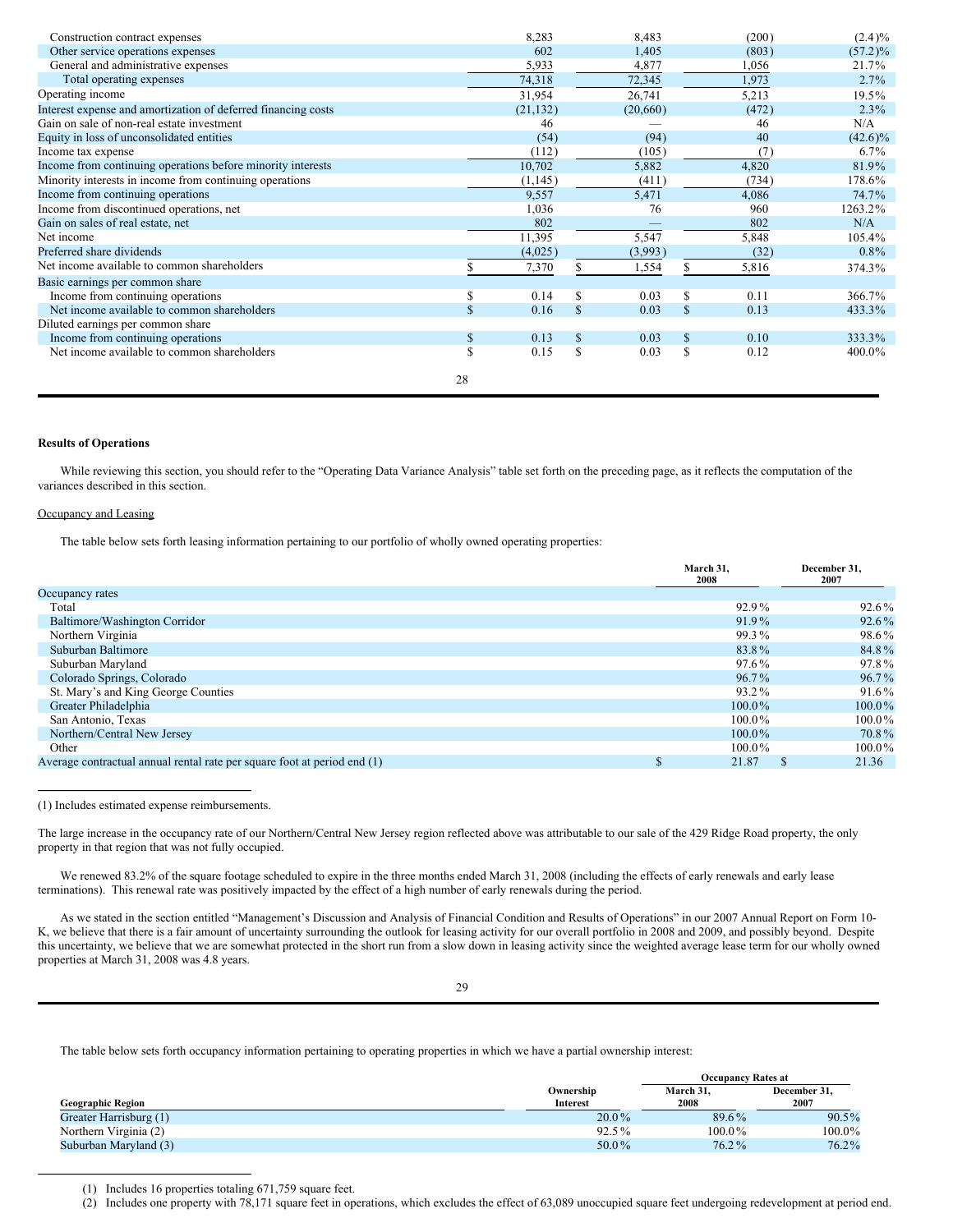| Construction contract expenses                                |     | 8,283     |               | 8,483    |     | (200) | $(2.4)\%$  |
|---------------------------------------------------------------|-----|-----------|---------------|----------|-----|-------|------------|
| Other service operations expenses                             |     | 602       |               | 1,405    |     | (803) | $(57.2)\%$ |
| General and administrative expenses                           |     | 5,933     |               | 4,877    |     | 1,056 | 21.7%      |
| Total operating expenses                                      |     | 74,318    |               | 72,345   |     | 1,973 | 2.7%       |
| Operating income                                              |     | 31,954    |               | 26,741   |     | 5,213 | 19.5%      |
| Interest expense and amortization of deferred financing costs |     | (21, 132) |               | (20,660) |     | (472) | $2.3\%$    |
| Gain on sale of non-real estate investment                    |     | 46        |               |          |     | 46    | N/A        |
| Equity in loss of unconsolidated entities                     |     | (54)      |               | (94)     |     | 40    | $(42.6)\%$ |
| Income tax expense                                            |     | (112)     |               | (105)    |     | (7)   | $6.7\%$    |
| Income from continuing operations before minority interests   |     | 10,702    |               | 5,882    |     | 4,820 | 81.9%      |
| Minority interests in income from continuing operations       |     | (1, 145)  |               | (411)    |     | (734) | 178.6%     |
| Income from continuing operations                             |     | 9,557     |               | 5,471    |     | 4,086 | 74.7%      |
| Income from discontinued operations, net                      |     | 1,036     |               | 76       |     | 960   | 1263.2%    |
| Gain on sales of real estate, net                             |     | 802       |               |          |     | 802   | N/A        |
| Net income                                                    |     | 11,395    |               | 5,547    |     | 5,848 | 105.4%     |
| Preferred share dividends                                     |     | (4,025)   |               | (3,993)  |     | (32)  | $0.8\%$    |
| Net income available to common shareholders                   |     | 7,370     |               | 1,554    |     | 5,816 | 374.3%     |
| Basic earnings per common share                               |     |           |               |          |     |       |            |
| Income from continuing operations                             |     | 0.14      | \$            | 0.03     | S   | 0.11  | 366.7%     |
| Net income available to common shareholders                   | \$  | 0.16      | $\mathbb{S}$  | 0.03     | S   | 0.13  | 433.3%     |
| Diluted earnings per common share                             |     |           |               |          |     |       |            |
| Income from continuing operations                             | \$. | 0.13      | <sup>\$</sup> | 0.03     | \$. | 0.10  | 333.3%     |
| Net income available to common shareholders                   | \$  | 0.15      | \$            | 0.03     | S   | 0.12  | 400.0%     |
|                                                               | 28  |           |               |          |     |       |            |

# **Results of Operations**

While reviewing this section, you should refer to the "Operating Data Variance Analysis" table set forth on the preceding page, as it reflects the computation of the variances described in this section.

# Occupancy and Leasing

The table below sets forth leasing information pertaining to our portfolio of wholly owned operating properties:

|                                                                          | March 31, | December 31, |
|--------------------------------------------------------------------------|-----------|--------------|
|                                                                          | 2008      | 2007         |
| Occupancy rates                                                          |           |              |
| Total                                                                    | 92.9%     | 92.6%        |
| Baltimore/Washington Corridor                                            | $91.9\%$  | $92.6\%$     |
| Northern Virginia                                                        | 99.3%     | 98.6%        |
| Suburban Baltimore                                                       | 83.8%     | 84.8%        |
| Suburban Maryland                                                        | 97.6%     | 97.8%        |
| Colorado Springs, Colorado                                               | $96.7\%$  | $96.7\%$     |
| St. Mary's and King George Counties                                      | 93.2%     | 91.6%        |
| Greater Philadelphia                                                     | $100.0\%$ | $100.0\%$    |
| San Antonio, Texas                                                       | $100.0\%$ | $100.0\%$    |
| Northern/Central New Jersey                                              | $100.0\%$ | 70.8%        |
| Other                                                                    | $100.0\%$ | $100.0\%$    |
| Average contractual annual rental rate per square foot at period end (1) | 21.87     | 21.36        |

(1) Includes estimated expense reimbursements.

The large increase in the occupancy rate of our Northern/Central New Jersey region reflected above was attributable to our sale of the 429 Ridge Road property, the only property in that region that was not fully occupied.

We renewed 83.2% of the square footage scheduled to expire in the three months ended March 31, 2008 (including the effects of early renewals and early lease terminations). This renewal rate was positively impacted by the effect of a high number of early renewals during the period.

As we stated in the section entitled "Management's Discussion and Analysis of Financial Condition and Results of Operations" in our 2007 Annual Report on Form 10- K, we believe that there is a fair amount of uncertainty surrounding the outlook for leasing activity for our overall portfolio in 2008 and 2009, and possibly beyond. Despite this uncertainty, we believe that we are somewhat protected in the short run from a slow down in leasing activity since the weighted average lease term for our wholly owned properties at March 31, 2008 was 4.8 years.

29

The table below sets forth occupancy information pertaining to operating properties in which we have a partial ownership interest:

|                          |                 | <b>Occupancy Rates at</b> |              |
|--------------------------|-----------------|---------------------------|--------------|
|                          | Ownership       | March 31.                 | December 31. |
| <b>Geographic Region</b> | <b>Interest</b> | 2008                      | 2007         |
| Greater Harrisburg (1)   | $20.0\%$        | 89.6%                     | $90.5\%$     |
| Northern Virginia (2)    | $92.5\%$        | $100.0\%$                 | 100.0%       |
| Suburban Maryland (3)    | 50.0%           | $76.2\%$                  | $76.2\%$     |

(1) Includes 16 properties totaling 671,759 square feet.

(2) Includes one property with 78,171 square feet in operations, which excludes the effect of 63,089 unoccupied square feet undergoing redevelopment at period end.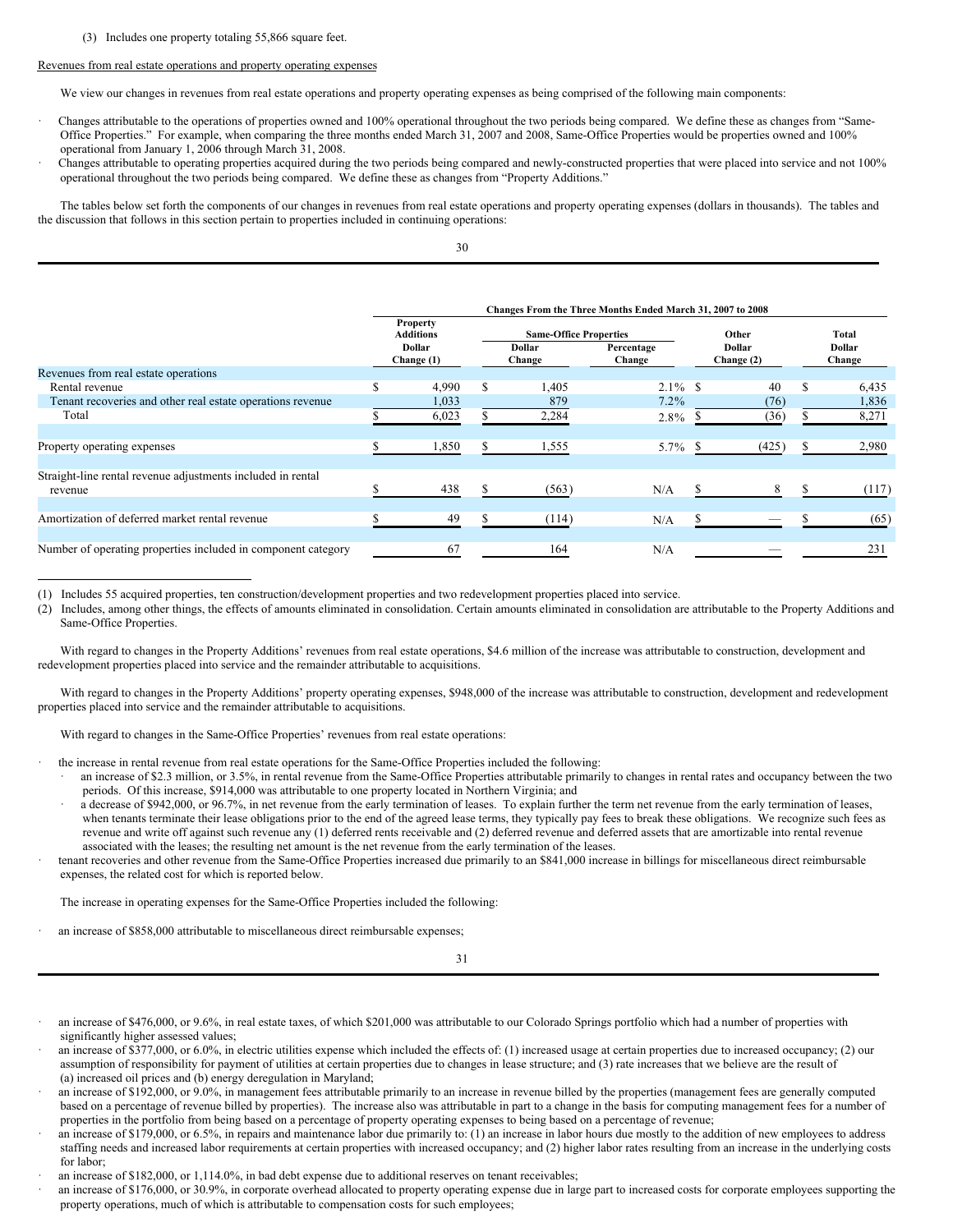### (3) Includes one property totaling 55,866 square feet.

#### Revenues from real estate operations and property operating expenses

We view our changes in revenues from real estate operations and property operating expenses as being comprised of the following main components:

- · Changes attributable to the operations of properties owned and 100% operational throughout the two periods being compared. We define these as changes from "Same-Office Properties." For example, when comparing the three months ended March 31, 2007 and 2008, Same-Office Properties would be properties owned and 100% operational from January 1, 2006 through March 31, 2008.
- · Changes attributable to operating properties acquired during the two periods being compared and newly-constructed properties that were placed into service and not 100% operational throughout the two periods being compared. We define these as changes from "Property Additions."

The tables below set forth the components of our changes in revenues from real estate operations and property operating expenses (dollars in thousands). The tables and the discussion that follows in this section pertain to properties included in continuing operations:

30

| Changes From the Three Months Ended March 31, 2007 to 2008             |   |                                     |   |                               |                      |  |                             |  |                  |
|------------------------------------------------------------------------|---|-------------------------------------|---|-------------------------------|----------------------|--|-----------------------------|--|------------------|
|                                                                        |   | <b>Property</b><br><b>Additions</b> |   | <b>Same-Office Properties</b> |                      |  | Other                       |  | Total            |
|                                                                        |   | Dollar<br>Change (1)                |   | <b>Dollar</b><br>Change       | Percentage<br>Change |  | <b>Dollar</b><br>Change (2) |  | Dollar<br>Change |
| Revenues from real estate operations                                   |   |                                     |   |                               |                      |  |                             |  |                  |
| Rental revenue                                                         | S | 4,990                               | S | 1,405                         | $2.1\%$ \$           |  | 40                          |  | 6,435            |
| Tenant recoveries and other real estate operations revenue             |   | 1,033                               |   | 879                           | $7.2\%$              |  | (76)                        |  | 1,836            |
| Total                                                                  |   | 6,023                               |   | 2,284                         | $2.8\%$              |  | (36)                        |  | 8,271            |
| Property operating expenses                                            |   | 1,850                               |   | 1,555                         | $5.7\%$ \$           |  | (425)                       |  | 2,980            |
| Straight-line rental revenue adjustments included in rental<br>revenue |   | 438                                 |   | (563)                         | N/A                  |  |                             |  | (117)            |
| Amortization of deferred market rental revenue                         |   | 49                                  |   | (114)                         | N/A                  |  |                             |  | (65)             |
| Number of operating properties included in component category          |   | 67                                  |   | 164                           | N/A                  |  |                             |  | 231              |

(1) Includes 55 acquired properties, ten construction/development properties and two redevelopment properties placed into service.

(2) Includes, among other things, the effects of amounts eliminated in consolidation. Certain amounts eliminated in consolidation are attributable to the Property Additions and Same-Office Properties.

With regard to changes in the Property Additions' revenues from real estate operations, \$4.6 million of the increase was attributable to construction, development and redevelopment properties placed into service and the remainder attributable to acquisitions.

With regard to changes in the Property Additions' property operating expenses, \$948,000 of the increase was attributable to construction, development and redevelopment properties placed into service and the remainder attributable to acquisitions.

With regard to changes in the Same-Office Properties' revenues from real estate operations:

- the increase in rental revenue from real estate operations for the Same-Office Properties included the following:
- an increase of \$2.3 million, or 3.5%, in rental revenue from the Same-Office Properties attributable primarily to changes in rental rates and occupancy between the two periods. Of this increase, \$914,000 was attributable to one property located in Northern Virginia; and
- a decrease of \$942,000, or 96.7%, in net revenue from the early termination of leases. To explain further the term net revenue from the early termination of leases, when tenants terminate their lease obligations prior to the end of the agreed lease terms, they typically pay fees to break these obligations. We recognize such fees as revenue and write off against such revenue any (1) deferred rents receivable and (2) deferred revenue and deferred assets that are amortizable into rental revenue associated with the leases; the resulting net amount is the net revenue from the early termination of the leases.
- tenant recoveries and other revenue from the Same-Office Properties increased due primarily to an \$841,000 increase in billings for miscellaneous direct reimbursable expenses, the related cost for which is reported below.

The increase in operating expenses for the Same-Office Properties included the following:

an increase of \$858,000 attributable to miscellaneous direct reimbursable expenses;

# 31

- an increase of \$476,000, or 9.6%, in real estate taxes, of which \$201,000 was attributable to our Colorado Springs portfolio which had a number of properties with significantly higher assessed values;
- an increase of \$377,000, or 6.0%, in electric utilities expense which included the effects of: (1) increased usage at certain properties due to increased occupancy; (2) our assumption of responsibility for payment of utilities at certain properties due to changes in lease structure; and (3) rate increases that we believe are the result of (a) increased oil prices and (b) energy deregulation in Maryland;
- an increase of \$192,000, or 9.0%, in management fees attributable primarily to an increase in revenue billed by the properties (management fees are generally computed based on a percentage of revenue billed by properties). The increase also was attributable in part to a change in the basis for computing management fees for a number of properties in the portfolio from being based on a percentage of property operating expenses to being based on a percentage of revenue;
- an increase of \$179,000, or 6.5%, in repairs and maintenance labor due primarily to: (1) an increase in labor hours due mostly to the addition of new employees to address staffing needs and increased labor requirements at certain properties with increased occupancy; and (2) higher labor rates resulting from an increase in the underlying costs for labor;
- an increase of \$182,000, or 1,114.0%, in bad debt expense due to additional reserves on tenant receivables;
- an increase of \$176,000, or 30.9%, in corporate overhead allocated to property operating expense due in large part to increased costs for corporate employees supporting the property operations, much of which is attributable to compensation costs for such employees;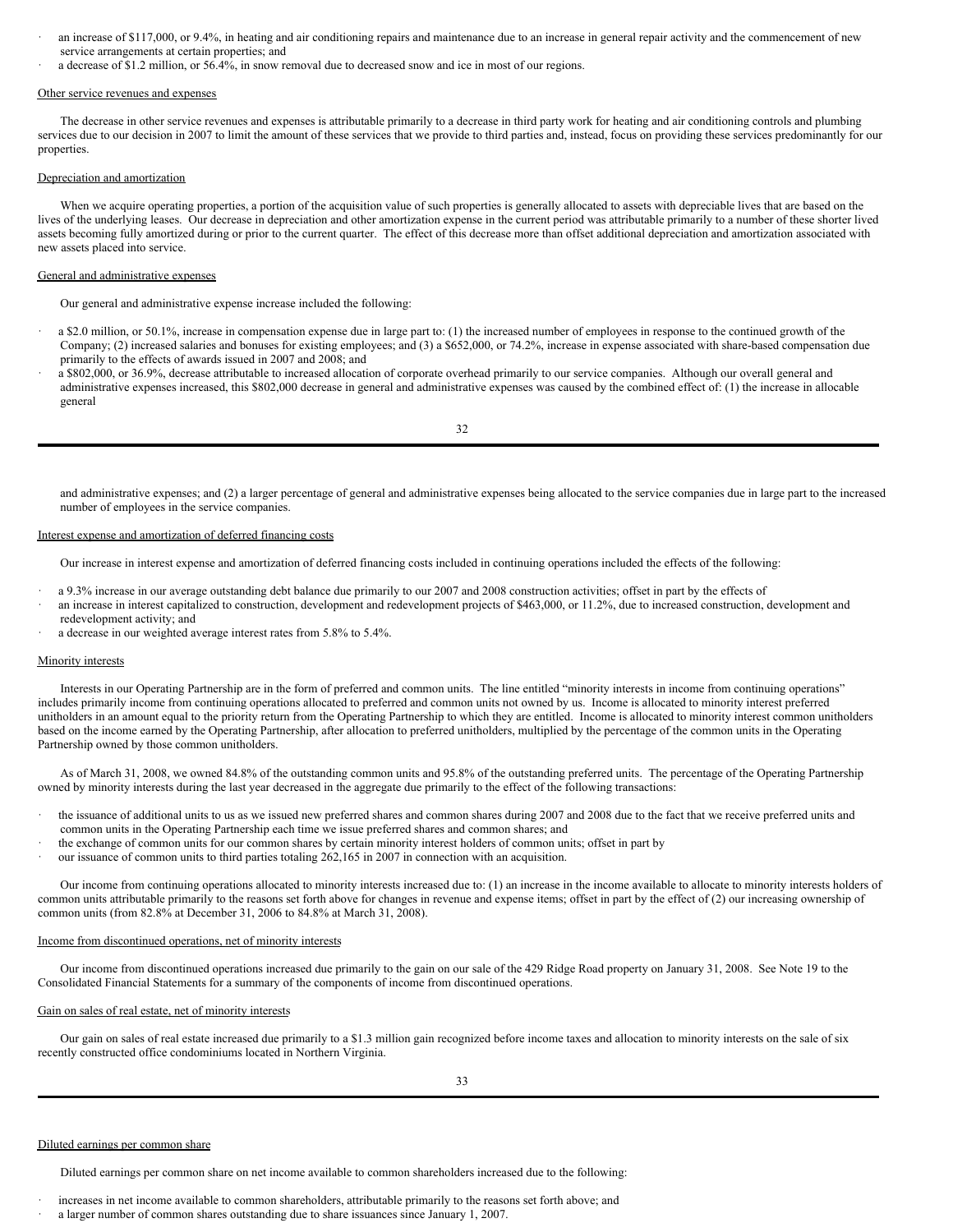- an increase of \$117,000, or 9.4%, in heating and air conditioning repairs and maintenance due to an increase in general repair activity and the commencement of new service arrangements at certain properties; and
- a decrease of \$1.2 million, or 56.4%, in snow removal due to decreased snow and ice in most of our regions.

### Other service revenues and expenses

The decrease in other service revenues and expenses is attributable primarily to a decrease in third party work for heating and air conditioning controls and plumbing services due to our decision in 2007 to limit the amount of these services that we provide to third parties and, instead, focus on providing these services predominantly for our properties.

### Depreciation and amortization

When we acquire operating properties, a portion of the acquisition value of such properties is generally allocated to assets with depreciable lives that are based on the lives of the underlying leases. Our decrease in depreciation and other amortization expense in the current period was attributable primarily to a number of these shorter lived assets becoming fully amortized during or prior to the current quarter. The effect of this decrease more than offset additional depreciation and amortization associated with new assets placed into service.

### General and administrative expenses

Our general and administrative expense increase included the following:

- a \$2.0 million, or 50.1%, increase in compensation expense due in large part to: (1) the increased number of employees in response to the continued growth of the Company; (2) increased salaries and bonuses for existing employees; and (3) a \$652,000, or 74.2%, increase in expense associated with share-based compensation due primarily to the effects of awards issued in 2007 and 2008; and
- a \$802,000, or 36.9%, decrease attributable to increased allocation of corporate overhead primarily to our service companies. Although our overall general and administrative expenses increased, this \$802,000 decrease in general and administrative expenses was caused by the combined effect of: (1) the increase in allocable general

32

and administrative expenses; and (2) a larger percentage of general and administrative expenses being allocated to the service companies due in large part to the increased number of employees in the service companies.

#### Interest expense and amortization of deferred financing costs

Our increase in interest expense and amortization of deferred financing costs included in continuing operations included the effects of the following:

- a 9.3% increase in our average outstanding debt balance due primarily to our 2007 and 2008 construction activities; offset in part by the effects of
- an increase in interest capitalized to construction, development and redevelopment projects of \$463,000, or 11.2%, due to increased construction, development and redevelopment activity; and
- a decrease in our weighted average interest rates from 5.8% to 5.4%.

#### **Minority** interests

Interests in our Operating Partnership are in the form of preferred and common units. The line entitled "minority interests in income from continuing operations" includes primarily income from continuing operations allocated to preferred and common units not owned by us. Income is allocated to minority interest preferred unitholders in an amount equal to the priority return from the Operating Partnership to which they are entitled. Income is allocated to minority interest common unitholders based on the income earned by the Operating Partnership, after allocation to preferred unitholders, multiplied by the percentage of the common units in the Operating Partnership owned by those common unitholders.

As of March 31, 2008, we owned 84.8% of the outstanding common units and 95.8% of the outstanding preferred units. The percentage of the Operating Partnership owned by minority interests during the last year decreased in the aggregate due primarily to the effect of the following transactions:

- the issuance of additional units to us as we issued new preferred shares and common shares during 2007 and 2008 due to the fact that we receive preferred units and common units in the Operating Partnership each time we issue preferred shares and common shares; and
- the exchange of common units for our common shares by certain minority interest holders of common units; offset in part by
- our issuance of common units to third parties totaling 262,165 in 2007 in connection with an acquisition.

Our income from continuing operations allocated to minority interests increased due to: (1) an increase in the income available to allocate to minority interests holders of common units attributable primarily to the reasons set forth above for changes in revenue and expense items; offset in part by the effect of (2) our increasing ownership of common units (from 82.8% at December 31, 2006 to 84.8% at March 31, 2008).

### Income from discontinued operations, net of minority interests

Our income from discontinued operations increased due primarily to the gain on our sale of the 429 Ridge Road property on January 31, 2008. See Note 19 to the Consolidated Financial Statements for a summary of the components of income from discontinued operations.

#### Gain on sales of real estate, net of minority interests

Our gain on sales of real estate increased due primarily to a \$1.3 million gain recognized before income taxes and allocation to minority interests on the sale of six recently constructed office condominiums located in Northern Virginia.

#### Diluted earnings per common share

Diluted earnings per common share on net income available to common shareholders increased due to the following:

increases in net income available to common shareholders, attributable primarily to the reasons set forth above; and

a larger number of common shares outstanding due to share issuances since January 1, 2007.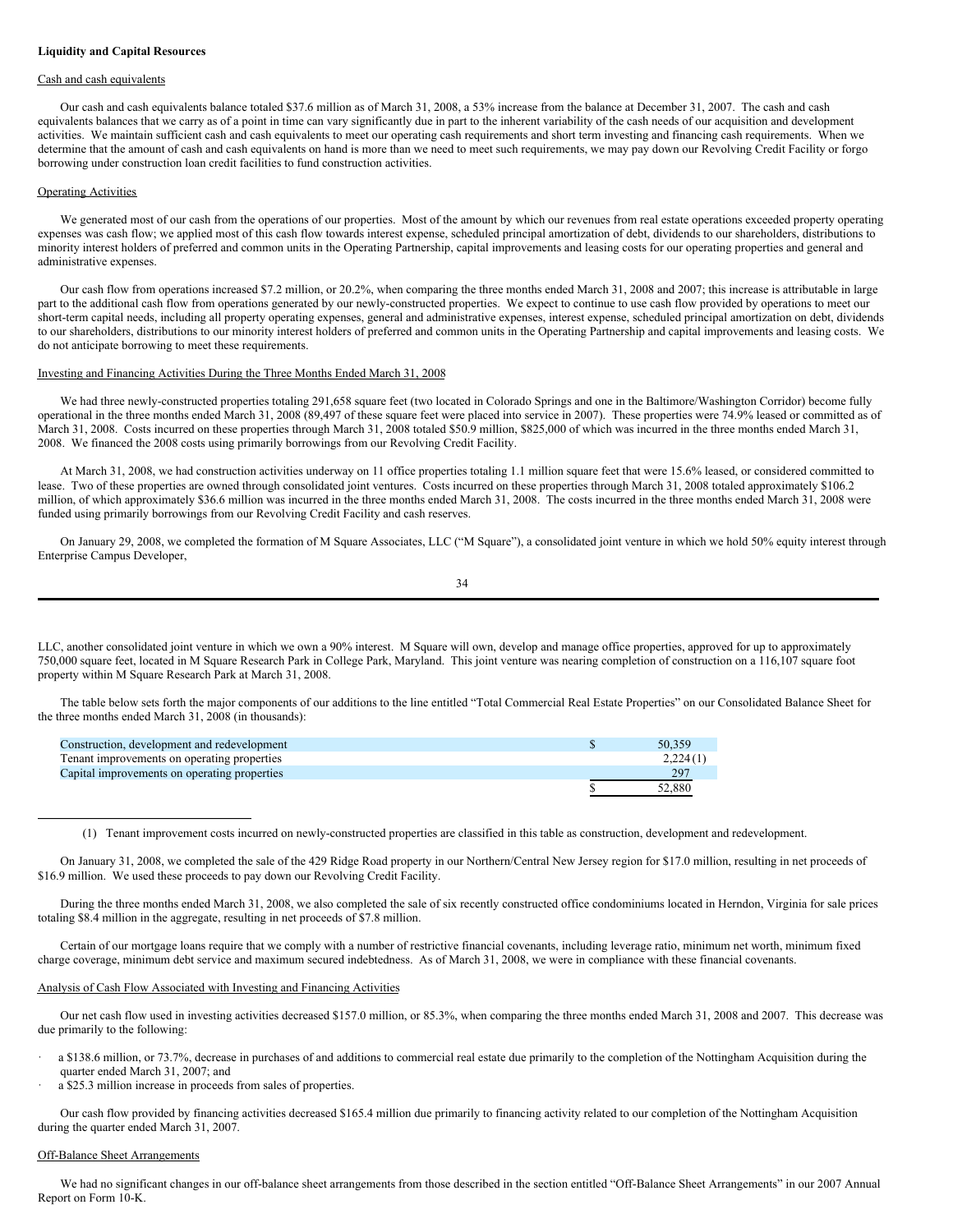### **Liquidity and Capital Resources**

#### Cash and cash equivalents

Our cash and cash equivalents balance totaled \$37.6 million as of March 31, 2008, a 53% increase from the balance at December 31, 2007. The cash and cash equivalents balances that we carry as of a point in time can vary significantly due in part to the inherent variability of the cash needs of our acquisition and development activities. We maintain sufficient cash and cash equivalents to meet our operating cash requirements and short term investing and financing cash requirements. When we determine that the amount of cash and cash equivalents on hand is more than we need to meet such requirements, we may pay down our Revolving Credit Facility or forgo borrowing under construction loan credit facilities to fund construction activities.

#### Operating Activities

We generated most of our cash from the operations of our properties. Most of the amount by which our revenues from real estate operations exceeded property operating expenses was cash flow; we applied most of this cash flow towards interest expense, scheduled principal amortization of debt, dividends to our shareholders, distributions to minority interest holders of preferred and common units in the Operating Partnership, capital improvements and leasing costs for our operating properties and general and administrative expenses.

Our cash flow from operations increased \$7.2 million, or 20.2%, when comparing the three months ended March 31, 2008 and 2007; this increase is attributable in large part to the additional cash flow from operations generated by our newly-constructed properties. We expect to continue to use cash flow provided by operations to meet our short-term capital needs, including all property operating expenses, general and administrative expenses, interest expense, scheduled principal amortization on debt, dividends to our shareholders, distributions to our minority interest holders of preferred and common units in the Operating Partnership and capital improvements and leasing costs. We do not anticipate borrowing to meet these requirements.

### Investing and Financing Activities During the Three Months Ended March 31, 2008

We had three newly-constructed properties totaling 291,658 square feet (two located in Colorado Springs and one in the Baltimore/Washington Corridor) become fully operational in the three months ended March 31, 2008 (89,497 of these square feet were placed into service in 2007). These properties were 74.9% leased or committed as of March 31, 2008. Costs incurred on these properties through March 31, 2008 totaled \$50.9 million, \$825,000 of which was incurred in the three months ended March 31, 2008. We financed the 2008 costs using primarily borrowings from our Revolving Credit Facility.

At March 31, 2008, we had construction activities underway on 11 office properties totaling 1.1 million square feet that were 15.6% leased, or considered committed to lease. Two of these properties are owned through consolidated joint ventures. Costs incurred on these properties through March 31, 2008 totaled approximately \$106.2 million, of which approximately \$36.6 million was incurred in the three months ended March 31, 2008. The costs incurred in the three months ended March 31, 2008 were funded using primarily borrowings from our Revolving Credit Facility and cash reserves.

On January 29, 2008, we completed the formation of M Square Associates, LLC ("M Square"), a consolidated joint venture in which we hold 50% equity interest through Enterprise Campus Developer,

34

LLC, another consolidated joint venture in which we own a 90% interest. M Square will own, develop and manage office properties, approved for up to approximately 750,000 square feet, located in M Square Research Park in College Park, Maryland. This joint venture was nearing completion of construction on a 116,107 square foot property within M Square Research Park at March 31, 2008.

The table below sets forth the major components of our additions to the line entitled "Total Commercial Real Estate Properties" on our Consolidated Balance Sheet for the three months ended March 31, 2008 (in thousands):

| Construction, development and redevelopment  | 50.359   |
|----------------------------------------------|----------|
| Tenant improvements on operating properties  | 2,224(1) |
| Capital improvements on operating properties | 297      |
|                                              | 52,880   |

(1) Tenant improvement costs incurred on newly-constructed properties are classified in this table as construction, development and redevelopment.

On January 31, 2008, we completed the sale of the 429 Ridge Road property in our Northern/Central New Jersey region for \$17.0 million, resulting in net proceeds of \$16.9 million. We used these proceeds to pay down our Revolving Credit Facility.

During the three months ended March 31, 2008, we also completed the sale of six recently constructed office condominiums located in Herndon, Virginia for sale prices totaling \$8.4 million in the aggregate, resulting in net proceeds of \$7.8 million.

Certain of our mortgage loans require that we comply with a number of restrictive financial covenants, including leverage ratio, minimum net worth, minimum fixed charge coverage, minimum debt service and maximum secured indebtedness. As of March 31, 2008, we were in compliance with these financial covenants.

#### Analysis of Cash Flow Associated with Investing and Financing Activities

Our net cash flow used in investing activities decreased \$157.0 million, or 85.3%, when comparing the three months ended March 31, 2008 and 2007. This decrease was due primarily to the following:

- a \$138.6 million, or 73.7%, decrease in purchases of and additions to commercial real estate due primarily to the completion of the Nottingham Acquisition during the quarter ended March 31, 2007; and
- a \$25.3 million increase in proceeds from sales of properties.

Our cash flow provided by financing activities decreased \$165.4 million due primarily to financing activity related to our completion of the Nottingham Acquisition during the quarter ended March 31, 2007.

# Off-Balance Sheet Arrangements

We had no significant changes in our off-balance sheet arrangements from those described in the section entitled "Off-Balance Sheet Arrangements" in our 2007 Annual Report on Form 10-K.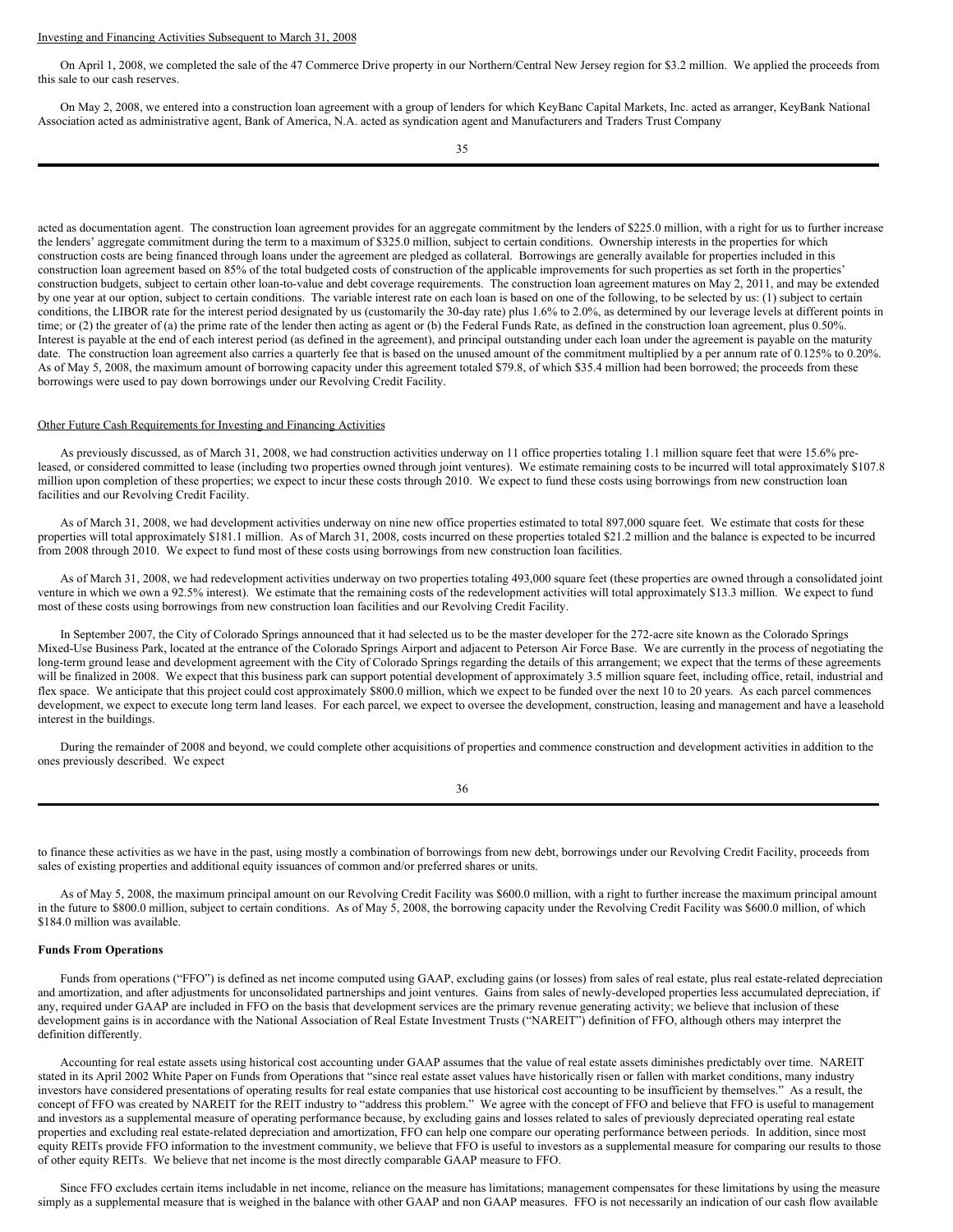#### Investing and Financing Activities Subsequent to March 31, 2008

On April 1, 2008, we completed the sale of the 47 Commerce Drive property in our Northern/Central New Jersey region for \$3.2 million. We applied the proceeds from this sale to our cash reserves.

On May 2, 2008, we entered into a construction loan agreement with a group of lenders for which KeyBanc Capital Markets, Inc. acted as arranger, KeyBank National Association acted as administrative agent, Bank of America, N.A. acted as syndication agent and Manufacturers and Traders Trust Company

acted as documentation agent. The construction loan agreement provides for an aggregate commitment by the lenders of \$225.0 million, with a right for us to further increase the lenders' aggregate commitment during the term to a maximum of \$325.0 million, subject to certain conditions. Ownership interests in the properties for which construction costs are being financed through loans under the agreement are pledged as collateral. Borrowings are generally available for properties included in this construction loan agreement based on 85% of the total budgeted costs of construction of the applicable improvements for such properties as set forth in the properties' construction budgets, subject to certain other loan-to-value and debt coverage requirements. The construction loan agreement matures on May 2, 2011, and may be extended by one year at our option, subject to certain conditions. The variable interest rate on each loan is based on one of the following, to be selected by us: (1) subject to certain conditions, the LIBOR rate for the interest period designated by us (customarily the 30-day rate) plus 1.6% to 2.0%, as determined by our leverage levels at different points in time; or (2) the greater of (a) the prime rate of the lender then acting as agent or (b) the Federal Funds Rate, as defined in the construction loan agreement, plus 0.50%. Interest is payable at the end of each interest period (as defined in the agreement), and principal outstanding under each loan under the agreement is payable on the maturity date. The construction loan agreement also carries a quarterly fee that is based on the unused amount of the commitment multiplied by a per annum rate of 0.125% to 0.20%. As of May 5, 2008, the maximum amount of borrowing capacity under this agreement totaled \$79.8, of which \$35.4 million had been borrowed; the proceeds from these borrowings were used to pay down borrowings under our Revolving Credit Facility.

#### Other Future Cash Requirements for Investing and Financing Activities

As previously discussed, as of March 31, 2008, we had construction activities underway on 11 office properties totaling 1.1 million square feet that were 15.6% preleased, or considered committed to lease (including two properties owned through joint ventures). We estimate remaining costs to be incurred will total approximately \$107.8 million upon completion of these properties; we expect to incur these costs through 2010. We expect to fund these costs using borrowings from new construction loan facilities and our Revolving Credit Facility.

As of March 31, 2008, we had development activities underway on nine new office properties estimated to total 897,000 square feet. We estimate that costs for these properties will total approximately \$181.1 million. As of March 31, 2008, costs incurred on these properties totaled \$21.2 million and the balance is expected to be incurred from 2008 through 2010. We expect to fund most of these costs using borrowings from new construction loan facilities.

As of March 31, 2008, we had redevelopment activities underway on two properties totaling 493,000 square feet (these properties are owned through a consolidated joint venture in which we own a 92.5% interest). We estimate that the remaining costs of the redevelopment activities will total approximately \$13.3 million. We expect to fund most of these costs using borrowings from new construction loan facilities and our Revolving Credit Facility.

In September 2007, the City of Colorado Springs announced that it had selected us to be the master developer for the 272-acre site known as the Colorado Springs Mixed-Use Business Park, located at the entrance of the Colorado Springs Airport and adjacent to Peterson Air Force Base. We are currently in the process of negotiating the long-term ground lease and development agreement with the City of Colorado Springs regarding the details of this arrangement; we expect that the terms of these agreements will be finalized in 2008. We expect that this business park can support potential development of approximately 3.5 million square feet, including office, retail, industrial and flex space. We anticipate that this project could cost approximately \$800.0 million, which we expect to be funded over the next 10 to 20 years. As each parcel commences development, we expect to execute long term land leases. For each parcel, we expect to oversee the development, construction, leasing and management and have a leasehold interest in the buildings.

During the remainder of 2008 and beyond, we could complete other acquisitions of properties and commence construction and development activities in addition to the ones previously described. We expect

36

to finance these activities as we have in the past, using mostly a combination of borrowings from new debt, borrowings under our Revolving Credit Facility, proceeds from sales of existing properties and additional equity issuances of common and/or preferred shares or units.

As of May 5, 2008, the maximum principal amount on our Revolving Credit Facility was \$600.0 million, with a right to further increase the maximum principal amount in the future to \$800.0 million, subject to certain conditions. As of May 5, 2008, the borrowing capacity under the Revolving Credit Facility was \$600.0 million, of which \$184.0 million was available.

# **Funds From Operations**

Funds from operations ("FFO") is defined as net income computed using GAAP, excluding gains (or losses) from sales of real estate, plus real estate-related depreciation and amortization, and after adjustments for unconsolidated partnerships and joint ventures. Gains from sales of newly-developed properties less accumulated depreciation, if any, required under GAAP are included in FFO on the basis that development services are the primary revenue generating activity; we believe that inclusion of these development gains is in accordance with the National Association of Real Estate Investment Trusts ("NAREIT") definition of FFO, although others may interpret the definition differently.

Accounting for real estate assets using historical cost accounting under GAAP assumes that the value of real estate assets diminishes predictably over time. NAREIT stated in its April 2002 White Paper on Funds from Operations that "since real estate asset values have historically risen or fallen with market conditions, many industry investors have considered presentations of operating results for real estate companies that use historical cost accounting to be insufficient by themselves." As a result, the concept of FFO was created by NAREIT for the REIT industry to "address this problem." We agree with the concept of FFO and believe that FFO is useful to management and investors as a supplemental measure of operating performance because, by excluding gains and losses related to sales of previously depreciated operating real estate properties and excluding real estate-related depreciation and amortization, FFO can help one compare our operating performance between periods. In addition, since most equity REITs provide FFO information to the investment community, we believe that FFO is useful to investors as a supplemental measure for comparing our results to those of other equity REITs. We believe that net income is the most directly comparable GAAP measure to FFO.

Since FFO excludes certain items includable in net income, reliance on the measure has limitations; management compensates for these limitations by using the measure simply as a supplemental measure that is weighed in the balance with other GAAP and non GAAP measures. FFO is not necessarily an indication of our cash flow available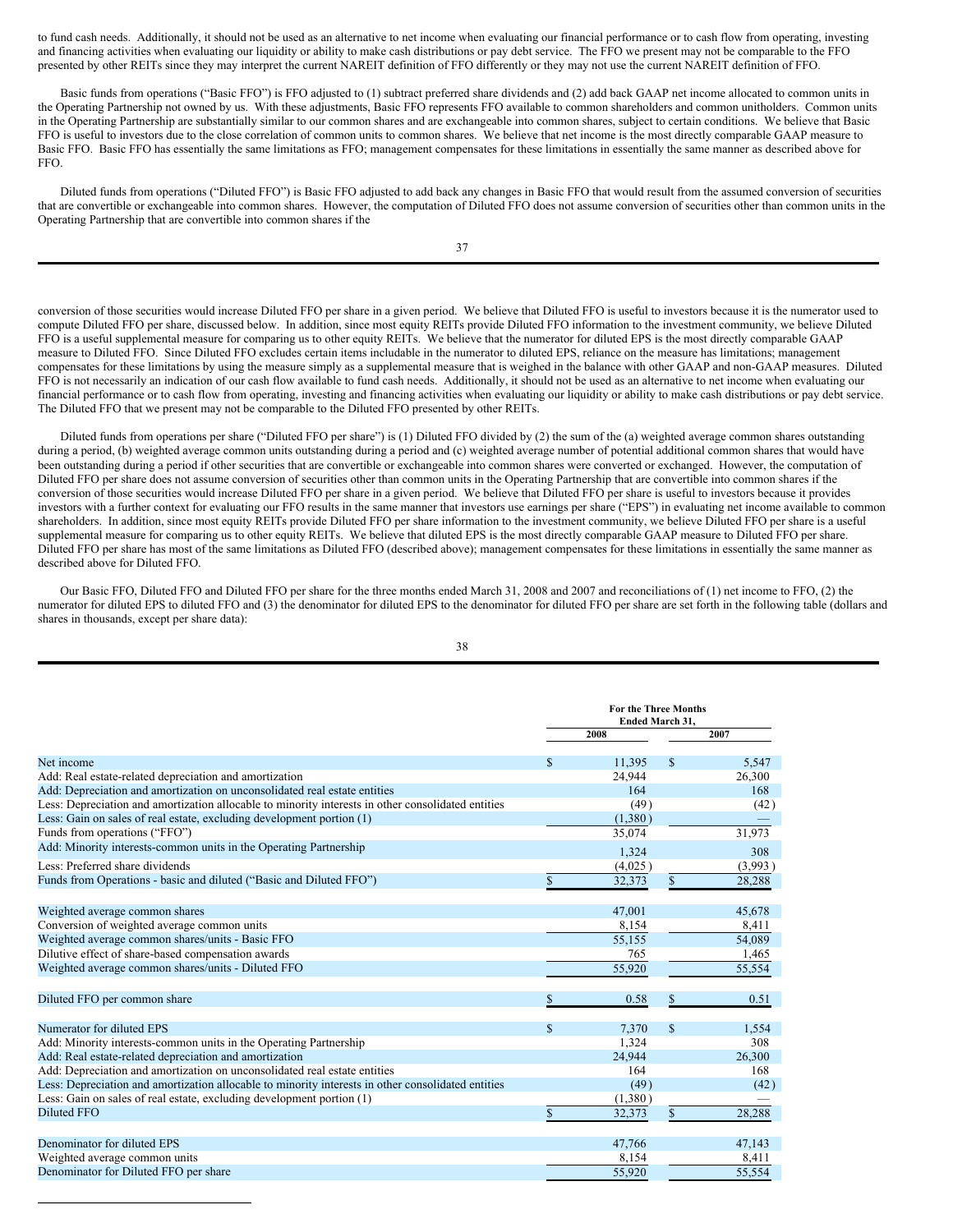to fund cash needs. Additionally, it should not be used as an alternative to net income when evaluating our financial performance or to cash flow from operating, investing and financing activities when evaluating our liquidity or ability to make cash distributions or pay debt service. The FFO we present may not be comparable to the FFO presented by other REITs since they may interpret the current NAREIT definition of FFO differently or they may not use the current NAREIT definition of FFO.

Basic funds from operations ("Basic FFO") is FFO adjusted to (1) subtract preferred share dividends and (2) add back GAAP net income allocated to common units in the Operating Partnership not owned by us. With these adjustments, Basic FFO represents FFO available to common shareholders and common unitholders. Common units in the Operating Partnership are substantially similar to our common shares and are exchangeable into common shares, subject to certain conditions. We believe that Basic FFO is useful to investors due to the close correlation of common units to common shares. We believe that net income is the most directly comparable GAAP measure to Basic FFO. Basic FFO has essentially the same limitations as FFO; management compensates for these limitations in essentially the same manner as described above for FFO.

Diluted funds from operations ("Diluted FFO") is Basic FFO adjusted to add back any changes in Basic FFO that would result from the assumed conversion of securities that are convertible or exchangeable into common shares. However, the computation of Diluted FFO does not assume conversion of securities other than common units in the Operating Partnership that are convertible into common shares if the

37

conversion of those securities would increase Diluted FFO per share in a given period. We believe that Diluted FFO is useful to investors because it is the numerator used to compute Diluted FFO per share, discussed below. In addition, since most equity REITs provide Diluted FFO information to the investment community, we believe Diluted FFO is a useful supplemental measure for comparing us to other equity REITs. We believe that the numerator for diluted EPS is the most directly comparable GAAP measure to Diluted FFO. Since Diluted FFO excludes certain items includable in the numerator to diluted EPS, reliance on the measure has limitations; management compensates for these limitations by using the measure simply as a supplemental measure that is weighed in the balance with other GAAP and non-GAAP measures. Diluted FFO is not necessarily an indication of our cash flow available to fund cash needs. Additionally, it should not be used as an alternative to net income when evaluating our financial performance or to cash flow from operating, investing and financing activities when evaluating our liquidity or ability to make cash distributions or pay debt service. The Diluted FFO that we present may not be comparable to the Diluted FFO presented by other REITs.

Diluted funds from operations per share ("Diluted FFO per share") is (1) Diluted FFO divided by (2) the sum of the (a) weighted average common shares outstanding during a period, (b) weighted average common units outstanding during a period and (c) weighted average number of potential additional common shares that would have been outstanding during a period if other securities that are convertible or exchangeable into common shares were converted or exchanged. However, the computation of Diluted FFO per share does not assume conversion of securities other than common units in the Operating Partnership that are convertible into common shares if the conversion of those securities would increase Diluted FFO per share in a given period. We believe that Diluted FFO per share is useful to investors because it provides investors with a further context for evaluating our FFO results in the same manner that investors use earnings per share ("EPS") in evaluating net income available to common shareholders. In addition, since most equity REITs provide Diluted FFO per share information to the investment community, we believe Diluted FFO per share is a useful supplemental measure for comparing us to other equity REITs. We believe that diluted EPS is the most directly comparable GAAP measure to Diluted FFO per share. Diluted FFO per share has most of the same limitations as Diluted FFO (described above); management compensates for these limitations in essentially the same manner as described above for Diluted FFO.

Our Basic FFO, Diluted FFO and Diluted FFO per share for the three months ended March 31, 2008 and 2007 and reconciliations of (1) net income to FFO, (2) the numerator for diluted EPS to diluted FFO and (3) the denominator for diluted EPS to the denominator for diluted FFO per share are set forth in the following table (dollars and shares in thousands, except per share data):

| ۰,<br>۹<br>×<br>۰. | I<br>×<br>w<br>۹ |
|--------------------|------------------|

|                                                                                                    | <b>For the Three Months</b><br>Ended March 31, |         |               |         |
|----------------------------------------------------------------------------------------------------|------------------------------------------------|---------|---------------|---------|
|                                                                                                    |                                                | 2008    |               | 2007    |
| Net income                                                                                         | \$                                             | 11,395  | <sup>\$</sup> | 5,547   |
| Add: Real estate-related depreciation and amortization                                             |                                                | 24,944  |               | 26,300  |
| Add: Depreciation and amortization on unconsolidated real estate entities                          |                                                | 164     |               | 168     |
| Less: Depreciation and amortization allocable to minority interests in other consolidated entities |                                                | (49)    |               | (42)    |
| Less: Gain on sales of real estate, excluding development portion (1)                              |                                                | (1,380) |               |         |
| Funds from operations ("FFO")                                                                      |                                                | 35,074  |               | 31,973  |
| Add: Minority interests-common units in the Operating Partnership                                  |                                                | 1,324   |               | 308     |
| Less: Preferred share dividends                                                                    |                                                | (4,025) |               | (3,993) |
| Funds from Operations - basic and diluted ("Basic and Diluted FFO")                                | \$                                             | 32,373  | $\mathbb{S}$  | 28,288  |
|                                                                                                    |                                                |         |               |         |
| Weighted average common shares                                                                     |                                                | 47,001  |               | 45,678  |
| Conversion of weighted average common units                                                        |                                                | 8,154   |               | 8,411   |
| Weighted average common shares/units - Basic FFO                                                   |                                                | 55,155  |               | 54,089  |
| Dilutive effect of share-based compensation awards                                                 |                                                | 765     |               | 1,465   |
| Weighted average common shares/units - Diluted FFO                                                 |                                                | 55,920  |               | 55,554  |
| Diluted FFO per common share                                                                       | \$                                             | 0.58    | \$            | 0.51    |
| Numerator for diluted EPS                                                                          | \$                                             | 7,370   | $\mathbb{S}$  | 1,554   |
| Add: Minority interests-common units in the Operating Partnership                                  |                                                | 1,324   |               | 308     |
| Add: Real estate-related depreciation and amortization                                             |                                                | 24,944  |               | 26,300  |
| Add: Depreciation and amortization on unconsolidated real estate entities                          |                                                | 164     |               | 168     |
| Less: Depreciation and amortization allocable to minority interests in other consolidated entities |                                                | (49)    |               | (42)    |
| Less: Gain on sales of real estate, excluding development portion (1)                              |                                                | (1,380) |               |         |
| Diluted FFO                                                                                        | \$                                             | 32,373  | $\mathsf{\$}$ | 28,288  |
| Denominator for diluted EPS                                                                        |                                                |         |               |         |
|                                                                                                    |                                                | 47,766  |               | 47,143  |
| Weighted average common units                                                                      |                                                | 8,154   |               | 8,411   |
| Denominator for Diluted FFO per share                                                              |                                                | 55,920  |               | 55,554  |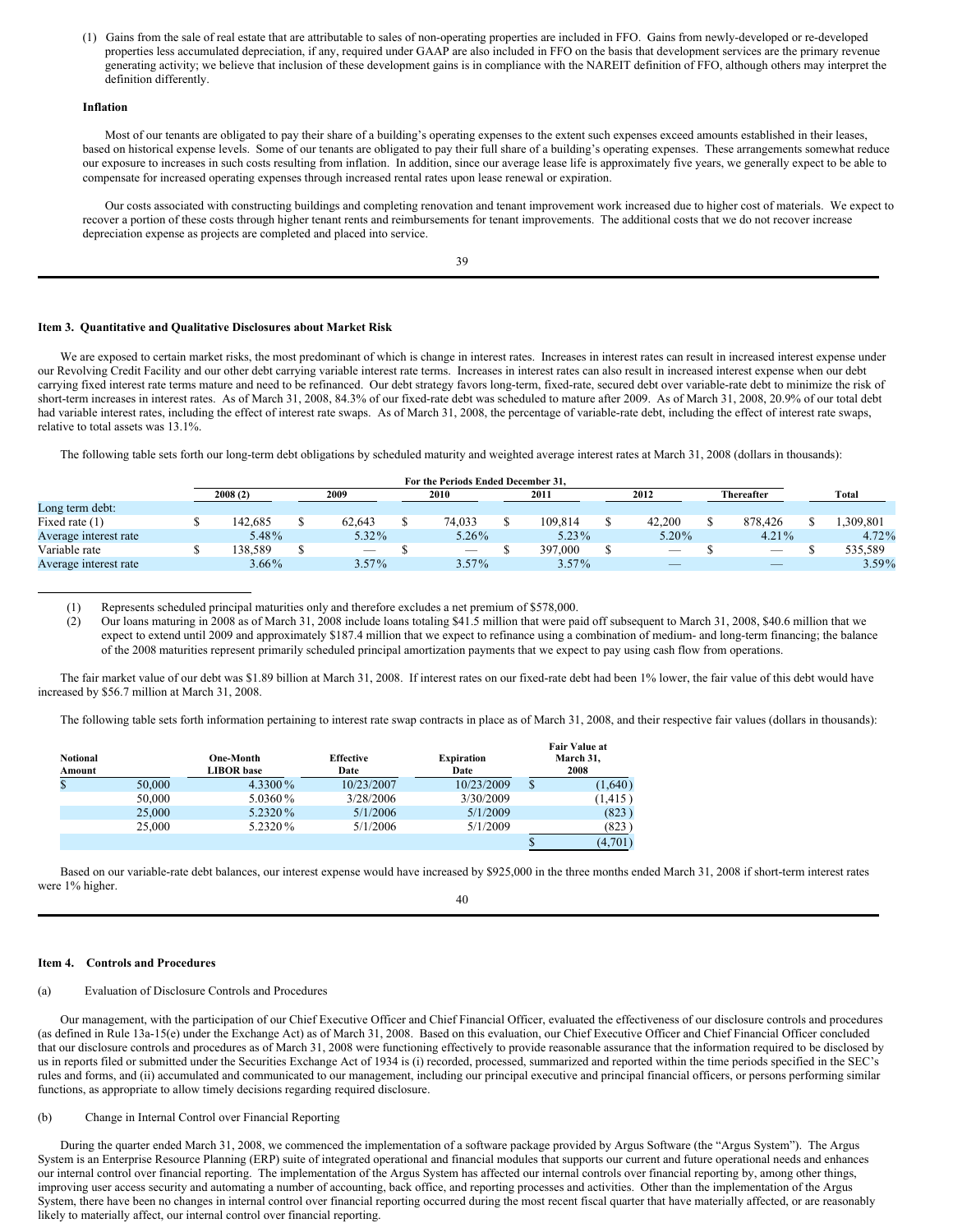(1) Gains from the sale of real estate that are attributable to sales of non-operating properties are included in FFO. Gains from newly-developed or re-developed properties less accumulated depreciation, if any, required under GAAP are also included in FFO on the basis that development services are the primary revenue generating activity; we believe that inclusion of these development gains is in compliance with the NAREIT definition of FFO, although others may interpret the definition differently.

### **Inflation**

Most of our tenants are obligated to pay their share of a building's operating expenses to the extent such expenses exceed amounts established in their leases, based on historical expense levels. Some of our tenants are obligated to pay their full share of a building's operating expenses. These arrangements somewhat reduce our exposure to increases in such costs resulting from inflation. In addition, since our average lease life is approximately five years, we generally expect to be able to compensate for increased operating expenses through increased rental rates upon lease renewal or expiration.

Our costs associated with constructing buildings and completing renovation and tenant improvement work increased due to higher cost of materials. We expect to recover a portion of these costs through higher tenant rents and reimbursements for tenant improvements. The additional costs that we do not recover increase depreciation expense as projects are completed and placed into service.

<span id="page-21-0"></span>39

#### **Item 3. Quantitative and Qualitative Disclosures about Market Risk**

We are exposed to certain market risks, the most predominant of which is change in interest rates. Increases in interest rates can result in increased interest expense under our Revolving Credit Facility and our other debt carrying variable interest rate terms. Increases in interest rates can also result in increased interest expense when our debt carrying fixed interest rate terms mature and need to be refinanced. Our debt strategy favors long-term, fixed-rate, secured debt over variable-rate debt to minimize the risk of short-term increases in interest rates. As of March 31, 2008, 84.3% of our fixed-rate debt was scheduled to mature after 2009. As of March 31, 2008, 20.9% of our total debt had variable interest rates, including the effect of interest rate swaps. As of March 31, 2008, the percentage of variable-rate debt, including the effect of interest rate swaps, relative to total assets was 13.1%.

The following table sets forth our long-term debt obligations by scheduled maturity and weighted average interest rates at March 31, 2008 (dollars in thousands):

| For the Periods Ended December 31. |  |         |  |                                 |  |          |          |                          |  |                                                                                                                                                                                                                                                                                                                                                                                               |          |
|------------------------------------|--|---------|--|---------------------------------|--|----------|----------|--------------------------|--|-----------------------------------------------------------------------------------------------------------------------------------------------------------------------------------------------------------------------------------------------------------------------------------------------------------------------------------------------------------------------------------------------|----------|
|                                    |  | 2008(2) |  | 2009                            |  | 2010     | 2011     | 2012                     |  | Thereafter                                                                                                                                                                                                                                                                                                                                                                                    | Total    |
| Long term debt:                    |  |         |  |                                 |  |          |          |                          |  |                                                                                                                                                                                                                                                                                                                                                                                               |          |
| Fixed rate $(1)$                   |  | 142.685 |  | 62.643                          |  | 74.033   | 109.814  | 42.200                   |  | 878,426                                                                                                                                                                                                                                                                                                                                                                                       | ,309,801 |
| Average interest rate              |  | 5.48%   |  | 5.32%                           |  | 5.26%    | $5.23\%$ | 5.20%                    |  | $4.21\%$                                                                                                                                                                                                                                                                                                                                                                                      | $4.72\%$ |
| Variable rate                      |  | 38.589  |  | $\hspace{0.1mm}-\hspace{0.1mm}$ |  |          | 397,000  | $\overline{\phantom{a}}$ |  | $\hspace{1.0cm} \overline{\hspace{1.0cm} \hspace{1.0cm} \hspace{1.0cm} } \hspace{1.0cm} \hspace{1.0cm} \overline{\hspace{1.0cm} \hspace{1.0cm} \hspace{1.0cm} } \hspace{1.0cm} \hspace{1.0cm} \overline{\hspace{1.0cm} \hspace{1.0cm} \hspace{1.0cm} } \hspace{1.0cm} \hspace{1.0cm} \overline{\hspace{1.0cm} \hspace{1.0cm} \hspace{1.0cm} } \hspace{1.0cm} \hspace{1.0cm} \hspace{1.0cm} }$ | 535.589  |
| Average interest rate              |  | 3.66%   |  | 3.57%                           |  | $3.57\%$ | $3.57\%$ | $\overline{\phantom{a}}$ |  | $\overline{\phantom{a}}$                                                                                                                                                                                                                                                                                                                                                                      | 3.59%    |

(1) Represents scheduled principal maturities only and therefore excludes a net premium of \$578,000.

(2) Our loans maturing in 2008 as of March 31, 2008 include loans totaling \$41.5 million that were paid off subsequent to March 31, 2008, \$40.6 million that we expect to extend until 2009 and approximately \$187.4 million that we expect to refinance using a combination of medium- and long-term financing; the balance of the 2008 maturities represent primarily scheduled principal amortization payments that we expect to pay using cash flow from operations.

The fair market value of our debt was \$1.89 billion at March 31, 2008. If interest rates on our fixed-rate debt had been 1% lower, the fair value of this debt would have increased by \$56.7 million at March 31, 2008.

The following table sets forth information pertaining to interest rate swap contracts in place as of March 31, 2008, and their respective fair values (dollars in thousands):

**Fair Value at**

| Notional<br>Amount |        | One-Month<br><b>LIBOR</b> base | <b>Effective</b><br>Date | <b>Expiration</b><br>Date |    | Fair Value at<br>March 31,<br>2008 |
|--------------------|--------|--------------------------------|--------------------------|---------------------------|----|------------------------------------|
|                    | 50,000 | $4.3300\%$                     | 10/23/2007               | 10/23/2009                |    | (1,640)                            |
|                    | 50,000 | 5.0360 %                       | 3/28/2006                | 3/30/2009                 |    | (1, 415)                           |
|                    | 25,000 | 5.2320 %                       | 5/1/2006                 | 5/1/2009                  |    | (823)                              |
|                    | 25,000 | 5.2320 %                       | 5/1/2006                 | 5/1/2009                  |    | (823)                              |
|                    |        |                                |                          |                           | ۰D | (4,701)                            |

Based on our variable-rate debt balances, our interest expense would have increased by \$925,000 in the three months ended March 31, 2008 if short-term interest rates were 1% higher.

40

#### <span id="page-21-1"></span>**Item 4. Controls and Procedures**

### (a) Evaluation of Disclosure Controls and Procedures

Our management, with the participation of our Chief Executive Officer and Chief Financial Officer, evaluated the effectiveness of our disclosure controls and procedures (as defined in Rule 13a-15(e) under the Exchange Act) as of March 31, 2008. Based on this evaluation, our Chief Executive Officer and Chief Financial Officer concluded that our disclosure controls and procedures as of March 31, 2008 were functioning effectively to provide reasonable assurance that the information required to be disclosed by us in reports filed or submitted under the Securities Exchange Act of 1934 is (i) recorded, processed, summarized and reported within the time periods specified in the SEC's rules and forms, and (ii) accumulated and communicated to our management, including our principal executive and principal financial officers, or persons performing similar functions, as appropriate to allow timely decisions regarding required disclosure.

#### (b) Change in Internal Control over Financial Reporting

During the quarter ended March 31, 2008, we commenced the implementation of a software package provided by Argus Software (the "Argus System"). The Argus System is an Enterprise Resource Planning (ERP) suite of integrated operational and financial modules that supports our current and future operational needs and enhances our internal control over financial reporting. The implementation of the Argus System has affected our internal controls over financial reporting by, among other things, improving user access security and automating a number of accounting, back office, and reporting processes and activities. Other than the implementation of the Argus System, there have been no changes in internal control over financial reporting occurred during the most recent fiscal quarter that have materially affected, or are reasonably likely to materially affect, our internal control over financial reporting.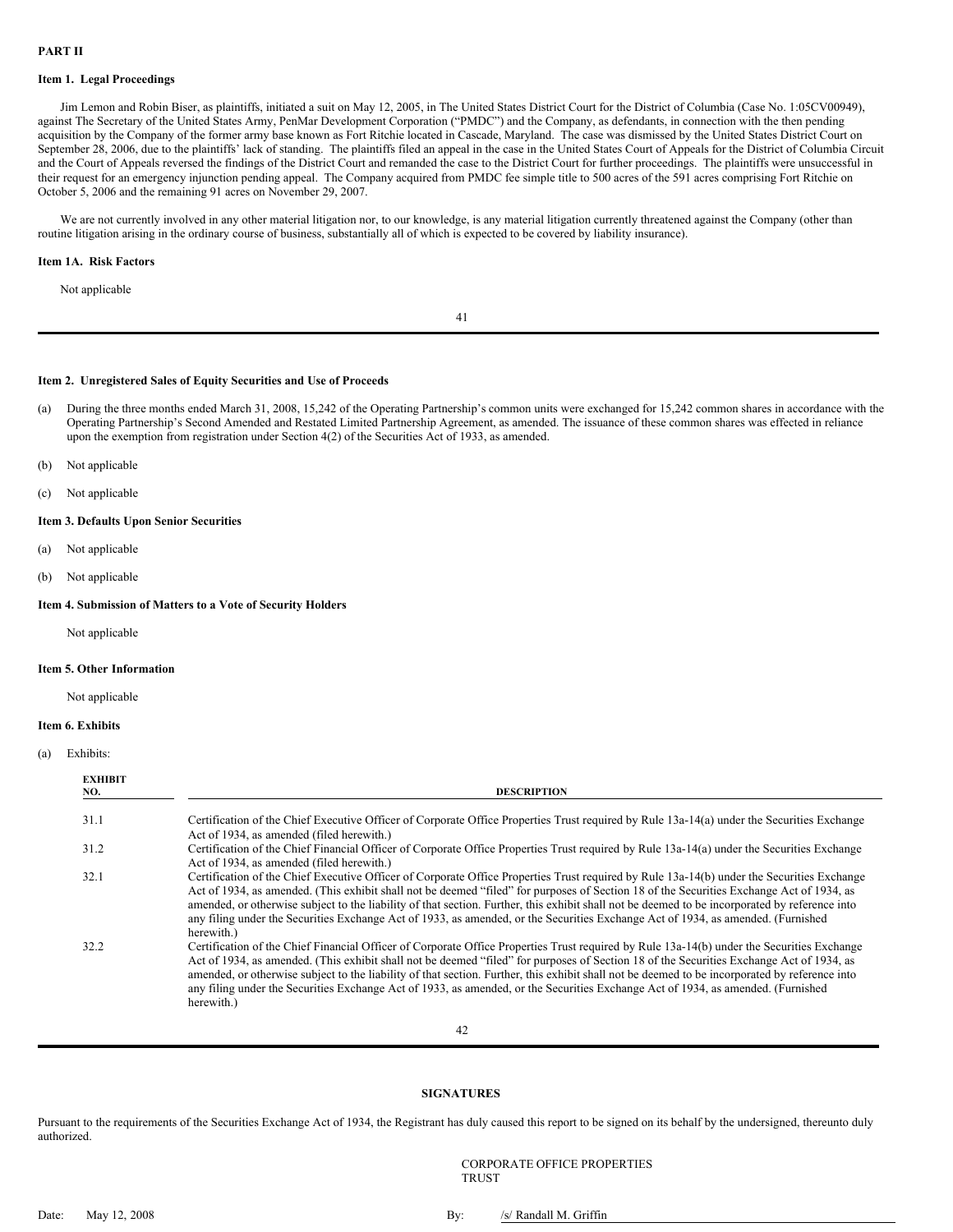### <span id="page-22-0"></span>**PART II**

### <span id="page-22-1"></span>**Item 1. Legal Proceedings**

Jim Lemon and Robin Biser, as plaintiffs, initiated a suit on May 12, 2005, in The United States District Court for the District of Columbia (Case No. 1:05CV00949), against The Secretary of the United States Army, PenMar Development Corporation ("PMDC") and the Company, as defendants, in connection with the then pending acquisition by the Company of the former army base known as Fort Ritchie located in Cascade, Maryland. The case was dismissed by the United States District Court on September 28, 2006, due to the plaintiffs' lack of standing. The plaintiffs filed an appeal in the case in the United States Court of Appeals for the District of Columbia Circuit and the Court of Appeals reversed the findings of the District Court and remanded the case to the District Court for further proceedings. The plaintiffs were unsuccessful in their request for an emergency injunction pending appeal. The Company acquired from PMDC fee simple title to 500 acres of the 591 acres comprising Fort Ritchie on October 5, 2006 and the remaining 91 acres on November 29, 2007.

We are not currently involved in any other material litigation nor, to our knowledge, is any material litigation currently threatened against the Company (other than routine litigation arising in the ordinary course of business, substantially all of which is expected to be covered by liability insurance).

### **Item 1A. Risk Factors**

<span id="page-22-2"></span>Not applicable

<span id="page-22-3"></span>41

#### **Item 2. Unregistered Sales of Equity Securities and Use of Proceeds**

- (a) During the three months ended March 31, 2008, 15,242 of the Operating Partnership's common units were exchanged for 15,242 common shares in accordance with the Operating Partnership's Second Amended and Restated Limited Partnership Agreement, as amended. The issuance of these common shares was effected in reliance upon the exemption from registration under Section 4(2) of the Securities Act of 1933, as amended.
- (b) Not applicable
- (c) Not applicable

### <span id="page-22-4"></span>**Item 3. Defaults Upon Senior Securities**

- (a) Not applicable
- (b) Not applicable

### **Item 4. Submission of Matters to a Vote of Security Holders**

<span id="page-22-5"></span>Not applicable

### **Item 5. Other Information**

<span id="page-22-7"></span><span id="page-22-6"></span>Not applicable

#### **Item 6. Exhibits**

(a) Exhibits:

| <b>EXHIBIT</b><br>NO. | <b>DESCRIPTION</b>                                                                                                                                                                                                                                                                                                                                                                                                                                                                                                                                                                         |
|-----------------------|--------------------------------------------------------------------------------------------------------------------------------------------------------------------------------------------------------------------------------------------------------------------------------------------------------------------------------------------------------------------------------------------------------------------------------------------------------------------------------------------------------------------------------------------------------------------------------------------|
| 31.1                  | Certification of the Chief Executive Officer of Corporate Office Properties Trust required by Rule 13a-14(a) under the Securities Exchange<br>Act of 1934, as amended (filed herewith.)                                                                                                                                                                                                                                                                                                                                                                                                    |
| 31.2                  | Certification of the Chief Financial Officer of Corporate Office Properties Trust required by Rule 13a-14(a) under the Securities Exchange<br>Act of 1934, as amended (filed herewith.)                                                                                                                                                                                                                                                                                                                                                                                                    |
| 32.1                  | Certification of the Chief Executive Officer of Corporate Office Properties Trust required by Rule 13a-14(b) under the Securities Exchange<br>Act of 1934, as amended. (This exhibit shall not be deemed "filed" for purposes of Section 18 of the Securities Exchange Act of 1934, as<br>amended, or otherwise subject to the liability of that section. Further, this exhibit shall not be deemed to be incorporated by reference into<br>any filing under the Securities Exchange Act of 1933, as amended, or the Securities Exchange Act of 1934, as amended. (Furnished<br>herewith.) |
| 32.2                  | Certification of the Chief Financial Officer of Corporate Office Properties Trust required by Rule 13a-14(b) under the Securities Exchange<br>Act of 1934, as amended. (This exhibit shall not be deemed "filed" for purposes of Section 18 of the Securities Exchange Act of 1934, as<br>amended, or otherwise subject to the liability of that section. Further, this exhibit shall not be deemed to be incorporated by reference into<br>any filing under the Securities Exchange Act of 1933, as amended, or the Securities Exchange Act of 1934, as amended. (Furnished<br>herewith.) |

<span id="page-22-8"></span>42

# **SIGNATURES**

Pursuant to the requirements of the Securities Exchange Act of 1934, the Registrant has duly caused this report to be signed on its behalf by the undersigned, thereunto duly authorized.

> CORPORATE OFFICE PROPERTIES **TRUST**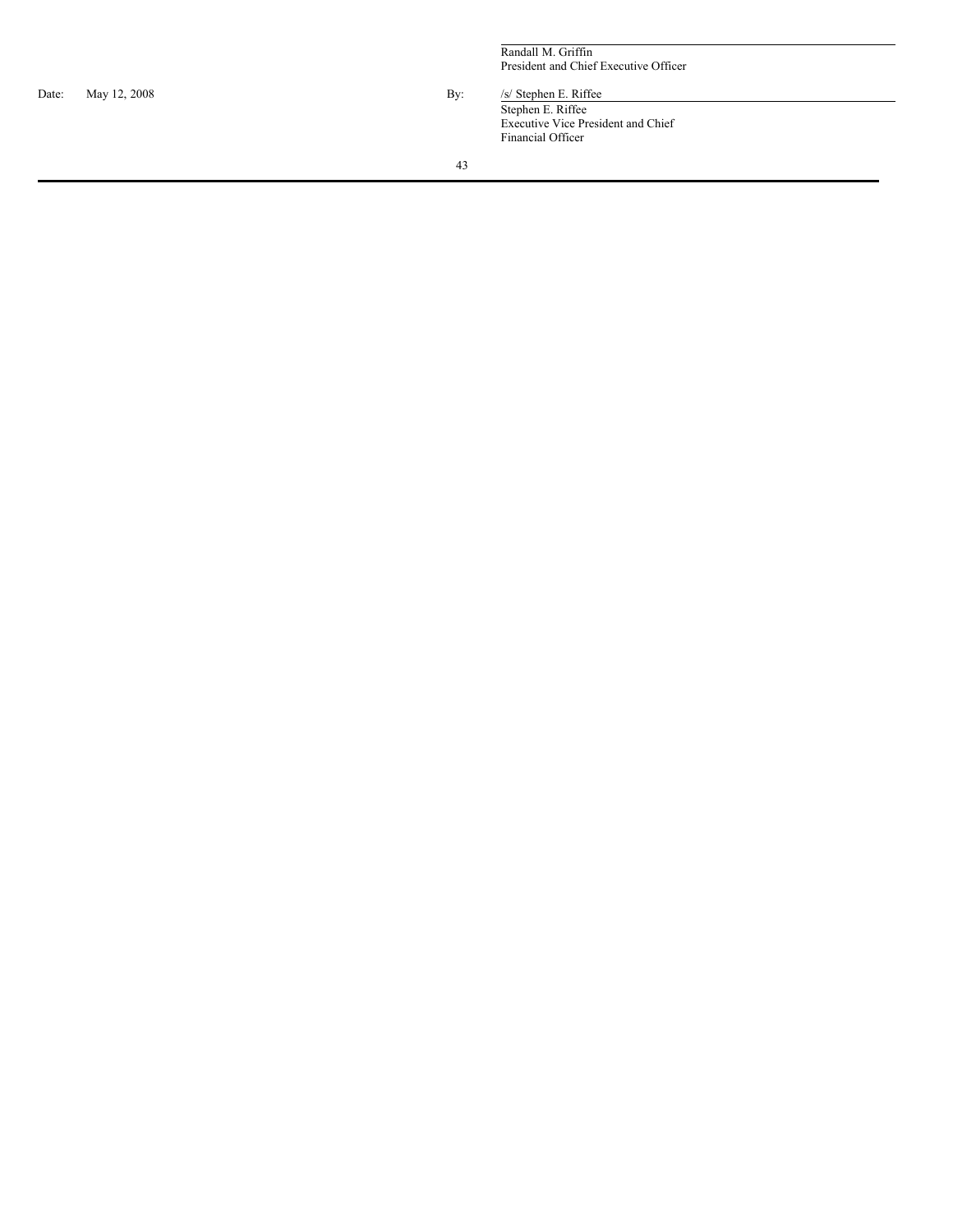Date e: May 12, 2008 Randall M. Griffin President and Chief Executive Officer

By:  $/$ s/ Stephen E. Riffee Stephen E. Riffee Executive Vice President and Chief Financial Officer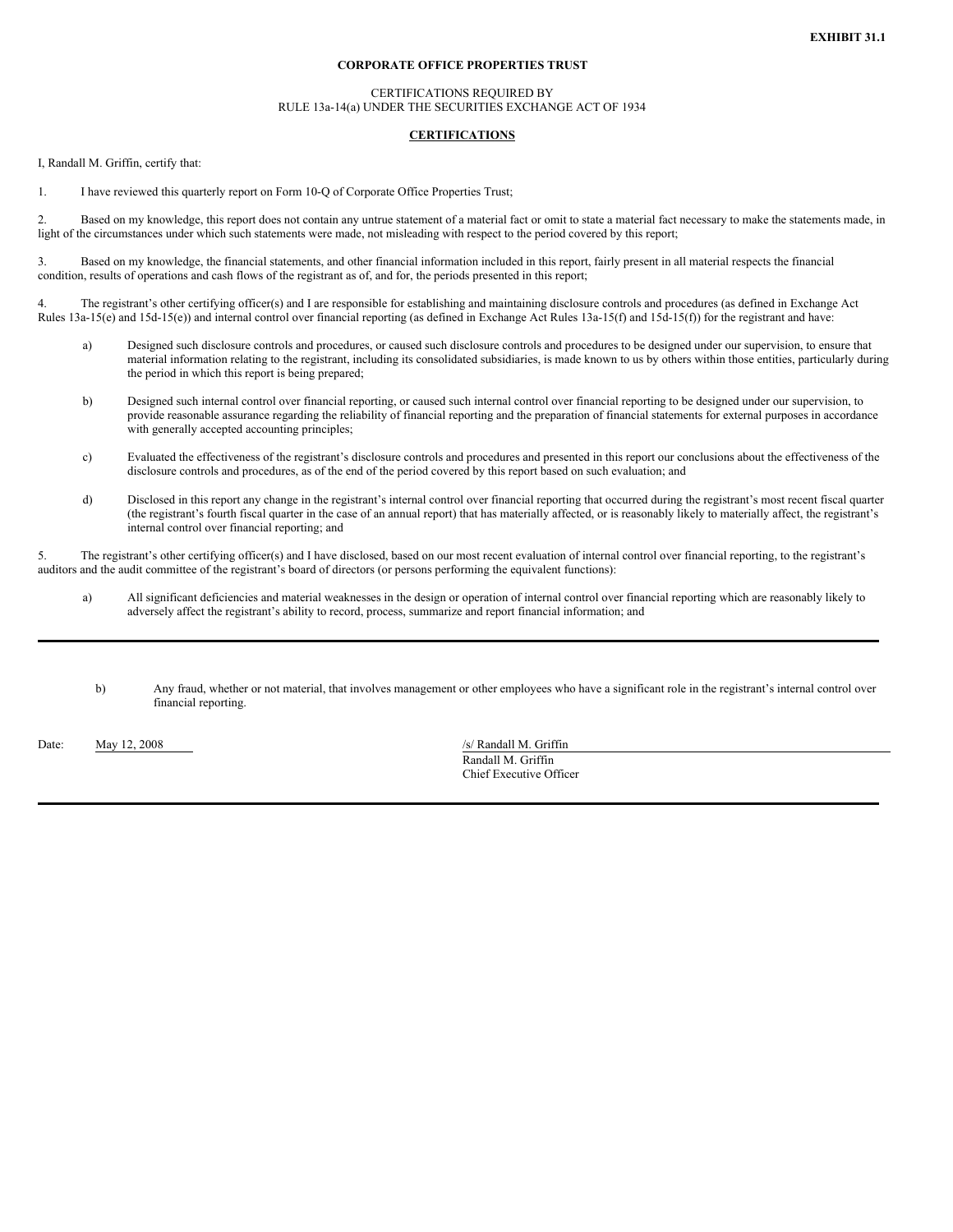### CERTIFICATIONS REQUIRED BY RULE 13a-14(a) UNDER THE SECURITIES EXCHANGE ACT OF 1934

### **CERTIFICATIONS**

I, Randall M. Griffin, certify that:

1. I have reviewed this quarterly report on Form 10-Q of Corporate Office Properties Trust;

2. Based on my knowledge, this report does not contain any untrue statement of a material fact or omit to state a material fact necessary to make the statements made, in light of the circumstances under which such statements were made, not misleading with respect to the period covered by this report;

3. Based on my knowledge, the financial statements, and other financial information included in this report, fairly present in all material respects the financial condition, results of operations and cash flows of the registrant as of, and for, the periods presented in this report;

4. The registrant's other certifying officer(s) and I are responsible for establishing and maintaining disclosure controls and procedures (as defined in Exchange Act Rules 13a-15(e) and 15d-15(e)) and internal control over financial reporting (as defined in Exchange Act Rules 13a-15(f) and 15d-15(f)) for the registrant and have:

- a) Designed such disclosure controls and procedures, or caused such disclosure controls and procedures to be designed under our supervision, to ensure that material information relating to the registrant, including its consolidated subsidiaries, is made known to us by others within those entities, particularly during the period in which this report is being prepared;
- b) Designed such internal control over financial reporting, or caused such internal control over financial reporting to be designed under our supervision, to provide reasonable assurance regarding the reliability of financial reporting and the preparation of financial statements for external purposes in accordance with generally accepted accounting principles;
- c) Evaluated the effectiveness of the registrant's disclosure controls and procedures and presented in this report our conclusions about the effectiveness of the disclosure controls and procedures, as of the end of the period covered by this report based on such evaluation; and
- d) Disclosed in this report any change in the registrant's internal control over financial reporting that occurred during the registrant's most recent fiscal quarter (the registrant's fourth fiscal quarter in the case of an annual report) that has materially affected, or is reasonably likely to materially affect, the registrant's internal control over financial reporting; and

5. The registrant's other certifying officer(s) and I have disclosed, based on our most recent evaluation of internal control over financial reporting, to the registrant's auditors and the audit committee of the registrant's board of directors (or persons performing the equivalent functions):

- a) All significant deficiencies and material weaknesses in the design or operation of internal control over financial reporting which are reasonably likely to adversely affect the registrant's ability to record, process, summarize and report financial information; and
- b) Any fraud, whether or not material, that involves management or other employees who have a significant role in the registrant's internal control over financial reporting.

Date: May 12, 2008 /s/ Randall M. Griffin

Randall M. Griffin Chief Executive Officer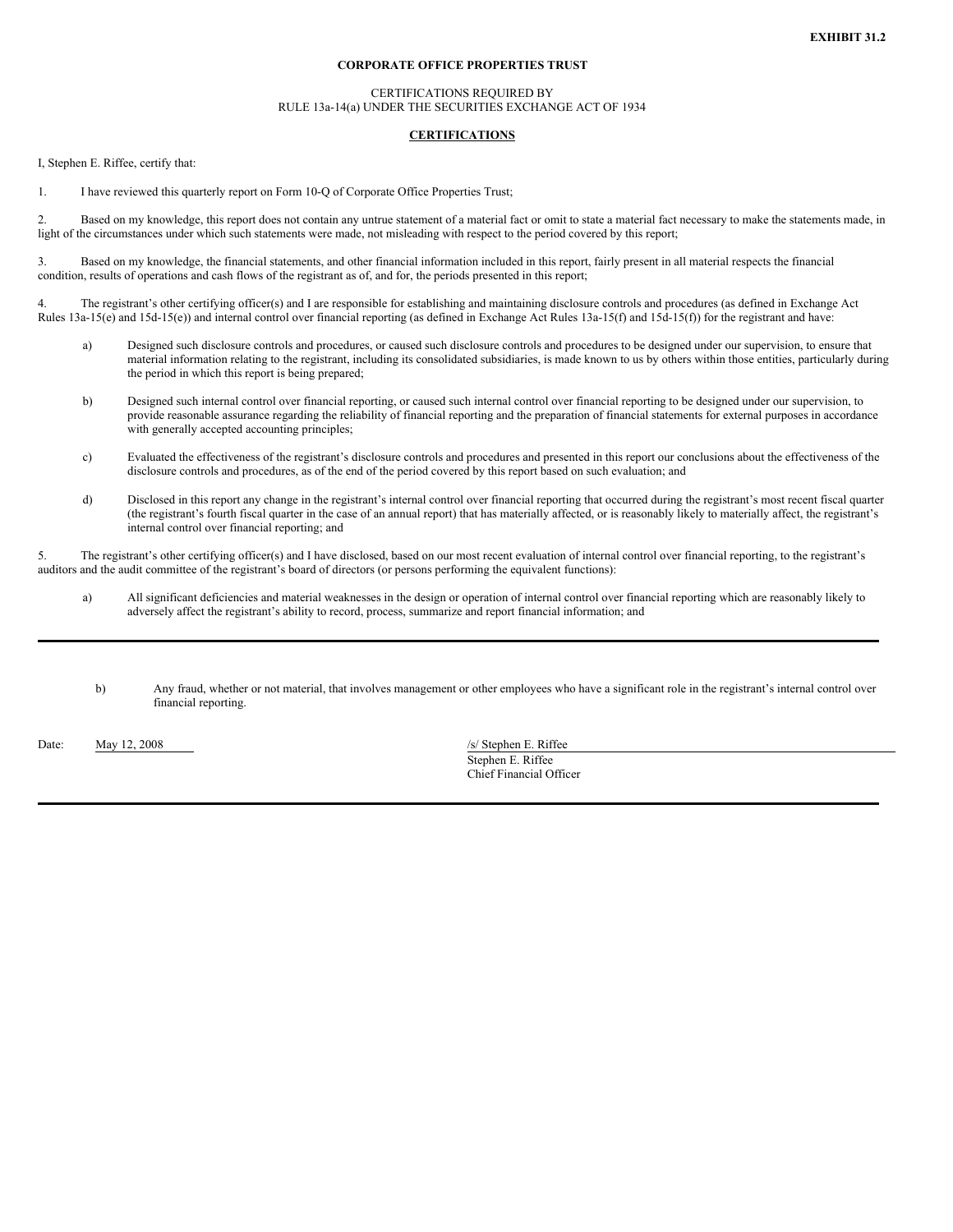## CERTIFICATIONS REQUIRED BY RULE 13a-14(a) UNDER THE SECURITIES EXCHANGE ACT OF 1934

### **CERTIFICATIONS**

I, Stephen E. Riffee, certify that:

1. I have reviewed this quarterly report on Form 10-Q of Corporate Office Properties Trust;

2. Based on my knowledge, this report does not contain any untrue statement of a material fact or omit to state a material fact necessary to make the statements made, in light of the circumstances under which such statements were made, not misleading with respect to the period covered by this report;

3. Based on my knowledge, the financial statements, and other financial information included in this report, fairly present in all material respects the financial condition, results of operations and cash flows of the registrant as of, and for, the periods presented in this report;

4. The registrant's other certifying officer(s) and I are responsible for establishing and maintaining disclosure controls and procedures (as defined in Exchange Act Rules 13a-15(e) and 15d-15(e)) and internal control over financial reporting (as defined in Exchange Act Rules 13a-15(f) and 15d-15(f)) for the registrant and have:

- a) Designed such disclosure controls and procedures, or caused such disclosure controls and procedures to be designed under our supervision, to ensure that material information relating to the registrant, including its consolidated subsidiaries, is made known to us by others within those entities, particularly during the period in which this report is being prepared;
- b) Designed such internal control over financial reporting, or caused such internal control over financial reporting to be designed under our supervision, to provide reasonable assurance regarding the reliability of financial reporting and the preparation of financial statements for external purposes in accordance with generally accepted accounting principles;
- c) Evaluated the effectiveness of the registrant's disclosure controls and procedures and presented in this report our conclusions about the effectiveness of the disclosure controls and procedures, as of the end of the period covered by this report based on such evaluation; and
- d) Disclosed in this report any change in the registrant's internal control over financial reporting that occurred during the registrant's most recent fiscal quarter (the registrant's fourth fiscal quarter in the case of an annual report) that has materially affected, or is reasonably likely to materially affect, the registrant's internal control over financial reporting; and

5. The registrant's other certifying officer(s) and I have disclosed, based on our most recent evaluation of internal control over financial reporting, to the registrant's auditors and the audit committee of the registrant's board of directors (or persons performing the equivalent functions):

- a) All significant deficiencies and material weaknesses in the design or operation of internal control over financial reporting which are reasonably likely to adversely affect the registrant's ability to record, process, summarize and report financial information; and
- b) Any fraud, whether or not material, that involves management or other employees who have a significant role in the registrant's internal control over financial reporting.

Date: May 12, 2008 /s/ Stephen E. Riffee

Stephen E. Riffee Chief Financial Officer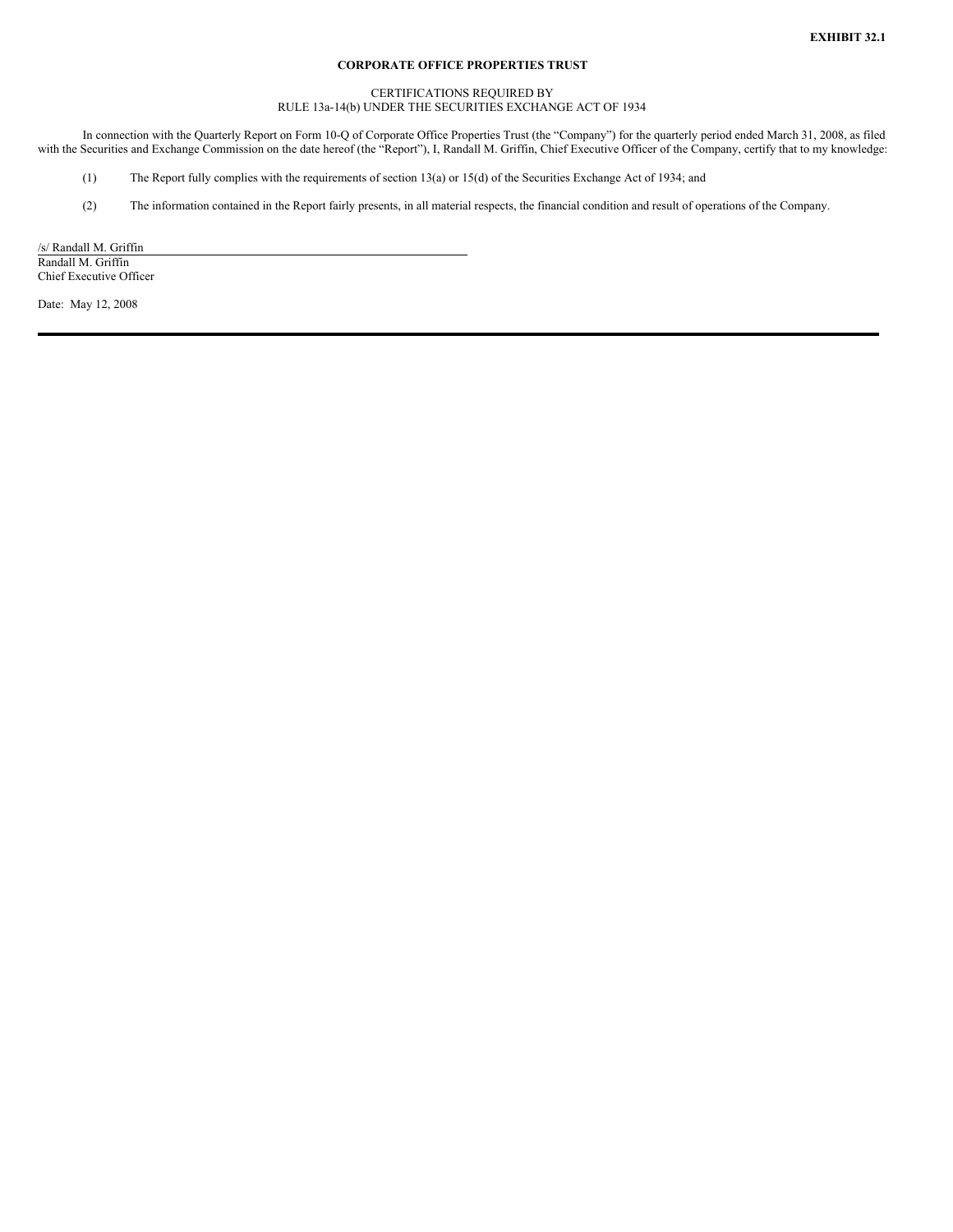### CERTIFICATIONS REQUIRED BY RULE 13a-14(b) UNDER THE SECURITIES EXCHANGE ACT OF 1934

In connection with the Quarterly Report on Form 10-Q of Corporate Office Properties Trust (the "Company") for the quarterly period ended March 31, 2008, as filed with the Securities and Exchange Commission on the date hereof (the "Report"), I, Randall M. Griffin, Chief Executive Officer of the Company, certify that to my knowledge:

- (1) The Report fully complies with the requirements of section 13(a) or 15(d) of the Securities Exchange Act of 1934; and
- (2) The information contained in the Report fairly presents, in all material respects, the financial condition and result of operations of the Company.

/s/ Randall M. Griffin Randall M. Griffin Chief Executive Officer

Date: May 12, 2008